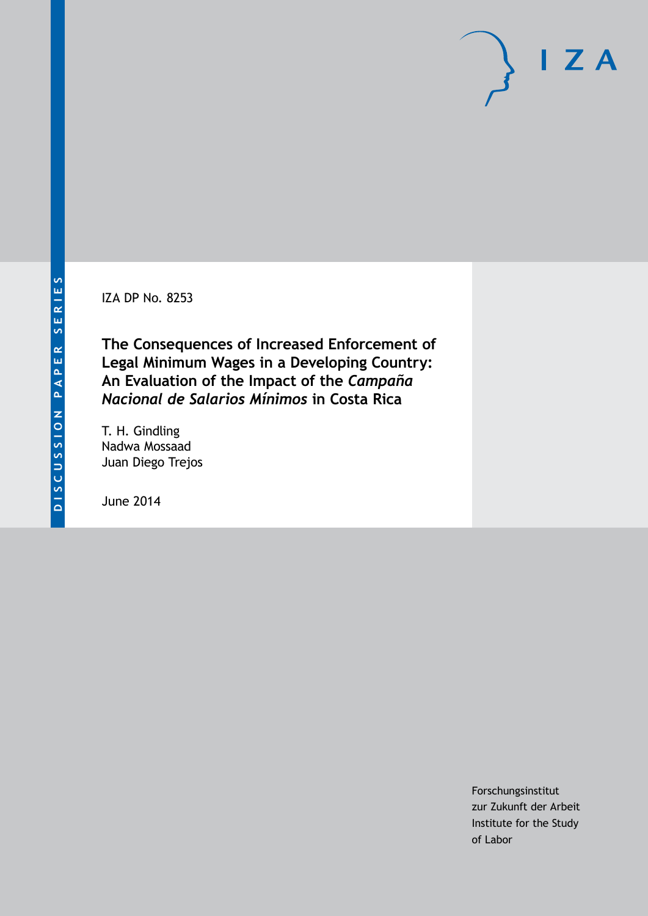IZA DP No. 8253

**The Consequences of Increased Enforcement of Legal Minimum Wages in a Developing Country: An Evaluation of the Impact of the** *Campaña Nacional de Salarios Mínimos* **in Costa Rica**

T. H. Gindling Nadwa Mossaad Juan Diego Trejos

June 2014

Forschungsinstitut zur Zukunft der Arbeit Institute for the Study of Labor

 $I Z A$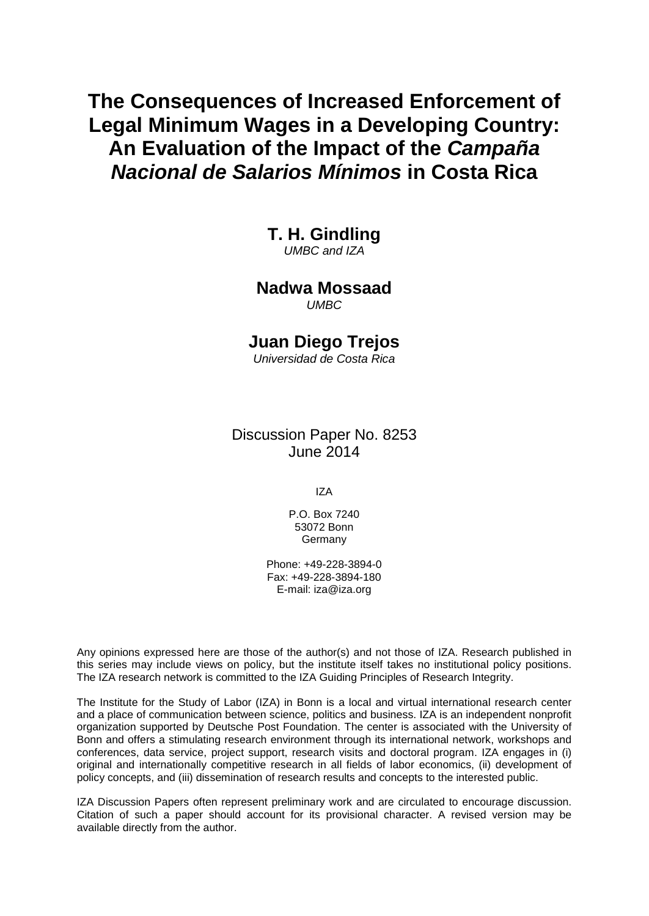# **The Consequences of Increased Enforcement of Legal Minimum Wages in a Developing Country: An Evaluation of the Impact of the** *Campaña Nacional de Salarios Mínimos* **in Costa Rica**

**T. H. Gindling**

*UMBC and IZA*

# **Nadwa Mossaad**

*UMBC*

## **Juan Diego Trejos**

*Universidad de Costa Rica*

Discussion Paper No. 8253 June 2014

IZA

P.O. Box 7240 53072 Bonn Germany

Phone: +49-228-3894-0 Fax: +49-228-3894-180 E-mail: [iza@iza.org](mailto:iza@iza.org)

Any opinions expressed here are those of the author(s) and not those of IZA. Research published in this series may include views on policy, but the institute itself takes no institutional policy positions. The IZA research network is committed to the IZA Guiding Principles of Research Integrity.

The Institute for the Study of Labor (IZA) in Bonn is a local and virtual international research center and a place of communication between science, politics and business. IZA is an independent nonprofit organization supported by Deutsche Post Foundation. The center is associated with the University of Bonn and offers a stimulating research environment through its international network, workshops and conferences, data service, project support, research visits and doctoral program. IZA engages in (i) original and internationally competitive research in all fields of labor economics, (ii) development of policy concepts, and (iii) dissemination of research results and concepts to the interested public.

IZA Discussion Papers often represent preliminary work and are circulated to encourage discussion. Citation of such a paper should account for its provisional character. A revised version may be available directly from the author.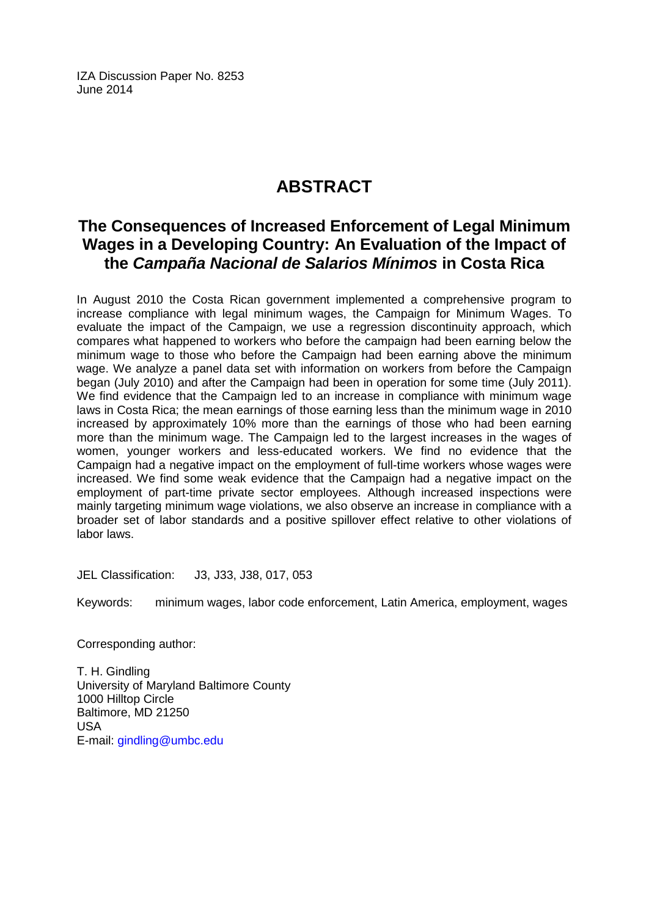IZA Discussion Paper No. 8253 June 2014

# **ABSTRACT**

## **The Consequences of Increased Enforcement of Legal Minimum Wages in a Developing Country: An Evaluation of the Impact of the** *Campaña Nacional de Salarios Mínimos* **in Costa Rica**

In August 2010 the Costa Rican government implemented a comprehensive program to increase compliance with legal minimum wages, the Campaign for Minimum Wages. To evaluate the impact of the Campaign, we use a regression discontinuity approach, which compares what happened to workers who before the campaign had been earning below the minimum wage to those who before the Campaign had been earning above the minimum wage. We analyze a panel data set with information on workers from before the Campaign began (July 2010) and after the Campaign had been in operation for some time (July 2011). We find evidence that the Campaign led to an increase in compliance with minimum wage laws in Costa Rica; the mean earnings of those earning less than the minimum wage in 2010 increased by approximately 10% more than the earnings of those who had been earning more than the minimum wage. The Campaign led to the largest increases in the wages of women, younger workers and less-educated workers. We find no evidence that the Campaign had a negative impact on the employment of full-time workers whose wages were increased. We find some weak evidence that the Campaign had a negative impact on the employment of part-time private sector employees. Although increased inspections were mainly targeting minimum wage violations, we also observe an increase in compliance with a broader set of labor standards and a positive spillover effect relative to other violations of labor laws.

JEL Classification: J3, J33, J38, 017, 053

Keywords: minimum wages, labor code enforcement, Latin America, employment, wages

Corresponding author:

T. H. Gindling University of Maryland Baltimore County 1000 Hilltop Circle Baltimore, MD 21250 USA E-mail: [gindling@umbc.edu](mailto:gindling@umbc.edu)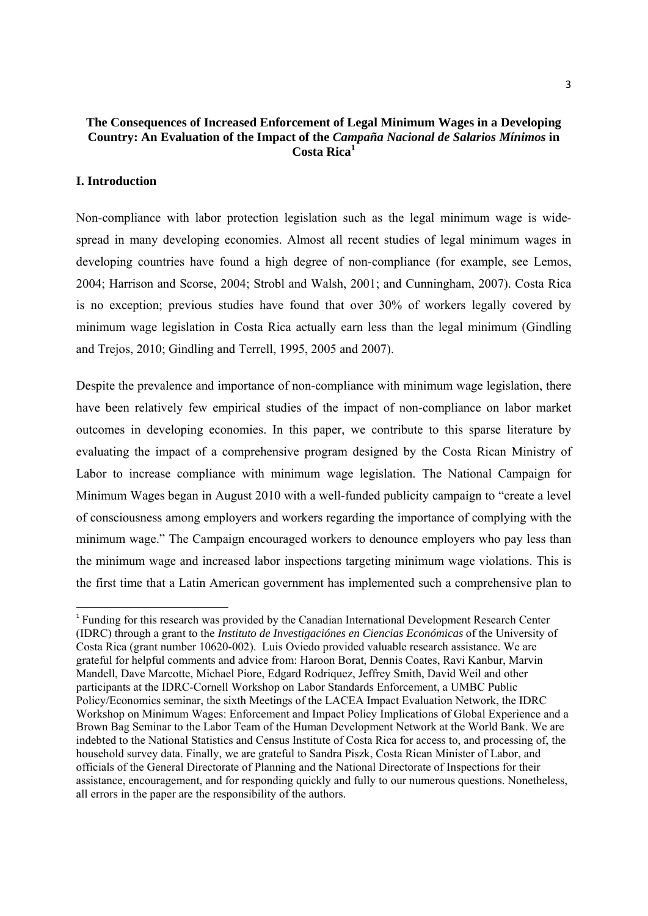#### **The Consequences of Increased Enforcement of Legal Minimum Wages in a Developing Country: An Evaluation of the Impact of the** *Campaña Nacional de Salarios Mínimos* **in Costa Rica<sup>1</sup>**

#### **I. Introduction**

Non-compliance with labor protection legislation such as the legal minimum wage is widespread in many developing economies. Almost all recent studies of legal minimum wages in developing countries have found a high degree of non-compliance (for example, see Lemos, 2004; Harrison and Scorse, 2004; Strobl and Walsh, 2001; and Cunningham, 2007). Costa Rica is no exception; previous studies have found that over 30% of workers legally covered by minimum wage legislation in Costa Rica actually earn less than the legal minimum (Gindling and Trejos, 2010; Gindling and Terrell, 1995, 2005 and 2007).

Despite the prevalence and importance of non-compliance with minimum wage legislation, there have been relatively few empirical studies of the impact of non-compliance on labor market outcomes in developing economies. In this paper, we contribute to this sparse literature by evaluating the impact of a comprehensive program designed by the Costa Rican Ministry of Labor to increase compliance with minimum wage legislation. The National Campaign for Minimum Wages began in August 2010 with a well-funded publicity campaign to "create a level of consciousness among employers and workers regarding the importance of complying with the minimum wage." The Campaign encouraged workers to denounce employers who pay less than the minimum wage and increased labor inspections targeting minimum wage violations. This is the first time that a Latin American government has implemented such a comprehensive plan to

<sup>1</sup> Funding for this research was provided by the Canadian International Development Research Center (IDRC) through a grant to the *Instituto de Investigaciónes en Ciencias Económicas* of the University of Costa Rica (grant number 10620-002). Luis Oviedo provided valuable research assistance. We are grateful for helpful comments and advice from: Haroon Borat, Dennis Coates, Ravi Kanbur, Marvin Mandell, Dave Marcotte, Michael Piore, Edgard Rodriquez, Jeffrey Smith, David Weil and other participants at the IDRC-Cornell Workshop on Labor Standards Enforcement, a UMBC Public Policy/Economics seminar, the sixth Meetings of the LACEA Impact Evaluation Network, the IDRC Workshop on Minimum Wages: Enforcement and Impact Policy Implications of Global Experience and a Brown Bag Seminar to the Labor Team of the Human Development Network at the World Bank. We are indebted to the National Statistics and Census Institute of Costa Rica for access to, and processing of, the household survey data. Finally, we are grateful to Sandra Piszk, Costa Rican Minister of Labor, and officials of the General Directorate of Planning and the National Directorate of Inspections for their assistance, encouragement, and for responding quickly and fully to our numerous questions. Nonetheless, all errors in the paper are the responsibility of the authors.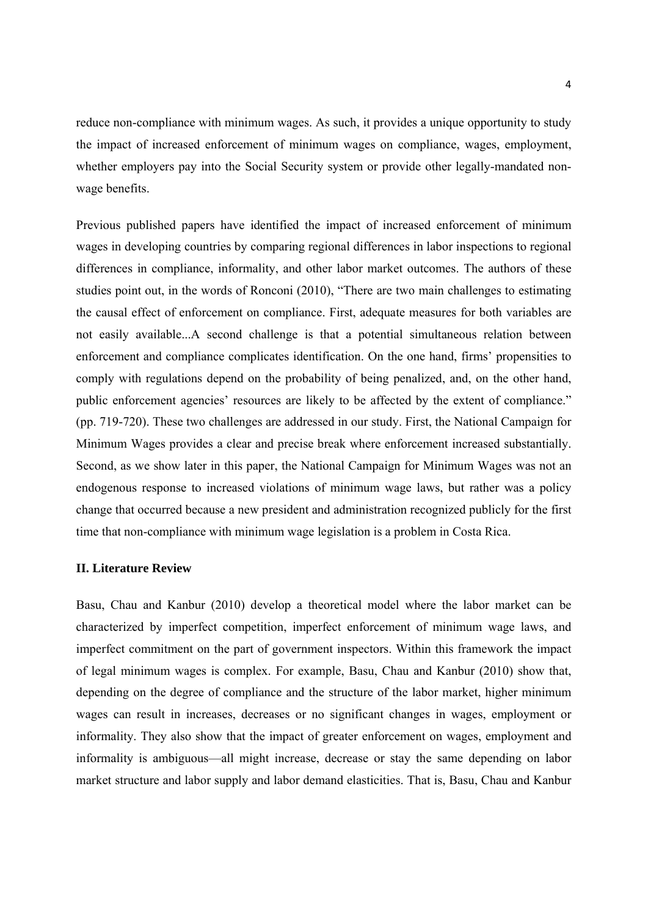reduce non-compliance with minimum wages. As such, it provides a unique opportunity to study the impact of increased enforcement of minimum wages on compliance, wages, employment, whether employers pay into the Social Security system or provide other legally-mandated nonwage benefits.

Previous published papers have identified the impact of increased enforcement of minimum wages in developing countries by comparing regional differences in labor inspections to regional differences in compliance, informality, and other labor market outcomes. The authors of these studies point out, in the words of Ronconi (2010), "There are two main challenges to estimating the causal effect of enforcement on compliance. First, adequate measures for both variables are not easily available...A second challenge is that a potential simultaneous relation between enforcement and compliance complicates identification. On the one hand, firms' propensities to comply with regulations depend on the probability of being penalized, and, on the other hand, public enforcement agencies' resources are likely to be affected by the extent of compliance." (pp. 719-720). These two challenges are addressed in our study. First, the National Campaign for Minimum Wages provides a clear and precise break where enforcement increased substantially. Second, as we show later in this paper, the National Campaign for Minimum Wages was not an endogenous response to increased violations of minimum wage laws, but rather was a policy change that occurred because a new president and administration recognized publicly for the first time that non-compliance with minimum wage legislation is a problem in Costa Rica.

#### **II. Literature Review**

Basu, Chau and Kanbur (2010) develop a theoretical model where the labor market can be characterized by imperfect competition, imperfect enforcement of minimum wage laws, and imperfect commitment on the part of government inspectors. Within this framework the impact of legal minimum wages is complex. For example, Basu, Chau and Kanbur (2010) show that, depending on the degree of compliance and the structure of the labor market, higher minimum wages can result in increases, decreases or no significant changes in wages, employment or informality. They also show that the impact of greater enforcement on wages, employment and informality is ambiguous—all might increase, decrease or stay the same depending on labor market structure and labor supply and labor demand elasticities. That is, Basu, Chau and Kanbur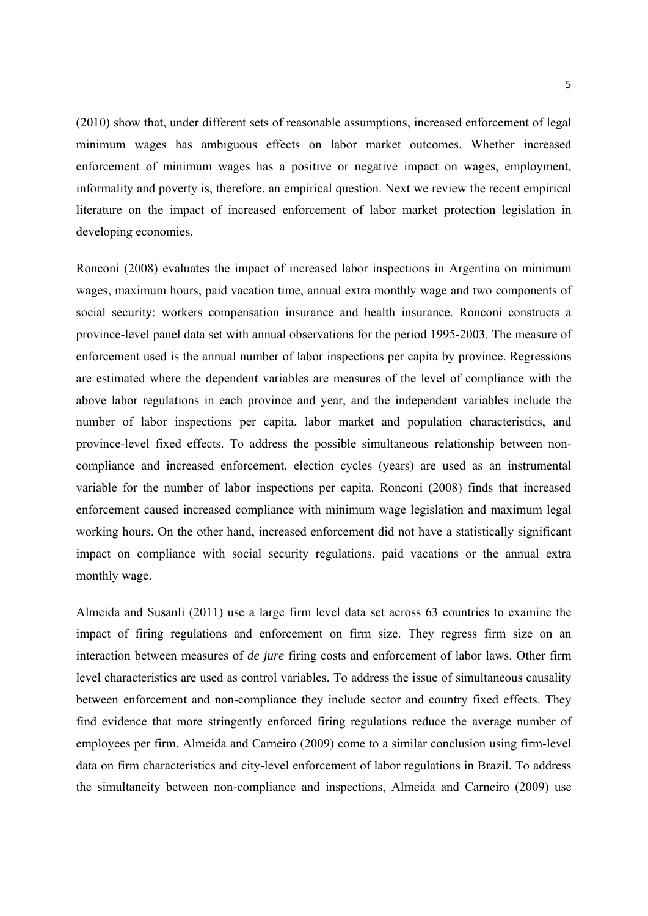(2010) show that, under different sets of reasonable assumptions, increased enforcement of legal minimum wages has ambiguous effects on labor market outcomes. Whether increased enforcement of minimum wages has a positive or negative impact on wages, employment, informality and poverty is, therefore, an empirical question. Next we review the recent empirical literature on the impact of increased enforcement of labor market protection legislation in developing economies.

Ronconi (2008) evaluates the impact of increased labor inspections in Argentina on minimum wages, maximum hours, paid vacation time, annual extra monthly wage and two components of social security: workers compensation insurance and health insurance. Ronconi constructs a province-level panel data set with annual observations for the period 1995-2003. The measure of enforcement used is the annual number of labor inspections per capita by province. Regressions are estimated where the dependent variables are measures of the level of compliance with the above labor regulations in each province and year, and the independent variables include the number of labor inspections per capita, labor market and population characteristics, and province-level fixed effects. To address the possible simultaneous relationship between noncompliance and increased enforcement, election cycles (years) are used as an instrumental variable for the number of labor inspections per capita. Ronconi (2008) finds that increased enforcement caused increased compliance with minimum wage legislation and maximum legal working hours. On the other hand, increased enforcement did not have a statistically significant impact on compliance with social security regulations, paid vacations or the annual extra monthly wage.

Almeida and Susanli (2011) use a large firm level data set across 63 countries to examine the impact of firing regulations and enforcement on firm size. They regress firm size on an interaction between measures of *de jure* firing costs and enforcement of labor laws. Other firm level characteristics are used as control variables. To address the issue of simultaneous causality between enforcement and non-compliance they include sector and country fixed effects. They find evidence that more stringently enforced firing regulations reduce the average number of employees per firm. Almeida and Carneiro (2009) come to a similar conclusion using firm-level data on firm characteristics and city-level enforcement of labor regulations in Brazil. To address the simultaneity between non-compliance and inspections, Almeida and Carneiro (2009) use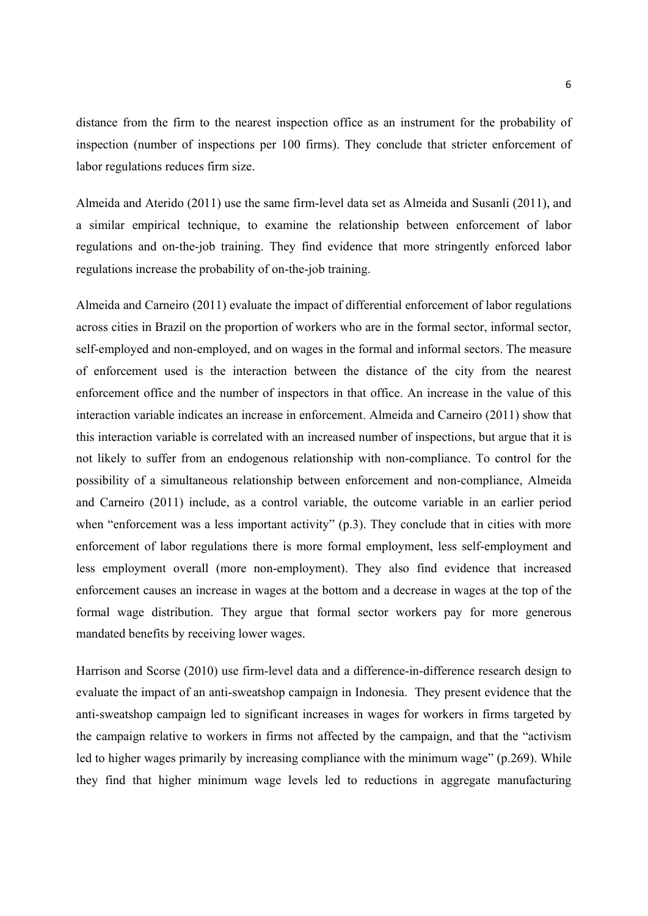distance from the firm to the nearest inspection office as an instrument for the probability of inspection (number of inspections per 100 firms). They conclude that stricter enforcement of labor regulations reduces firm size.

Almeida and Aterido (2011) use the same firm-level data set as Almeida and Susanli (2011), and a similar empirical technique, to examine the relationship between enforcement of labor regulations and on-the-job training. They find evidence that more stringently enforced labor regulations increase the probability of on-the-job training.

Almeida and Carneiro (2011) evaluate the impact of differential enforcement of labor regulations across cities in Brazil on the proportion of workers who are in the formal sector, informal sector, self-employed and non-employed, and on wages in the formal and informal sectors. The measure of enforcement used is the interaction between the distance of the city from the nearest enforcement office and the number of inspectors in that office. An increase in the value of this interaction variable indicates an increase in enforcement. Almeida and Carneiro (2011) show that this interaction variable is correlated with an increased number of inspections, but argue that it is not likely to suffer from an endogenous relationship with non-compliance. To control for the possibility of a simultaneous relationship between enforcement and non-compliance, Almeida and Carneiro (2011) include, as a control variable, the outcome variable in an earlier period when "enforcement was a less important activity" (p.3). They conclude that in cities with more enforcement of labor regulations there is more formal employment, less self-employment and less employment overall (more non-employment). They also find evidence that increased enforcement causes an increase in wages at the bottom and a decrease in wages at the top of the formal wage distribution. They argue that formal sector workers pay for more generous mandated benefits by receiving lower wages.

Harrison and Scorse (2010) use firm-level data and a difference-in-difference research design to evaluate the impact of an anti-sweatshop campaign in Indonesia. They present evidence that the anti-sweatshop campaign led to significant increases in wages for workers in firms targeted by the campaign relative to workers in firms not affected by the campaign, and that the "activism led to higher wages primarily by increasing compliance with the minimum wage" (p.269). While they find that higher minimum wage levels led to reductions in aggregate manufacturing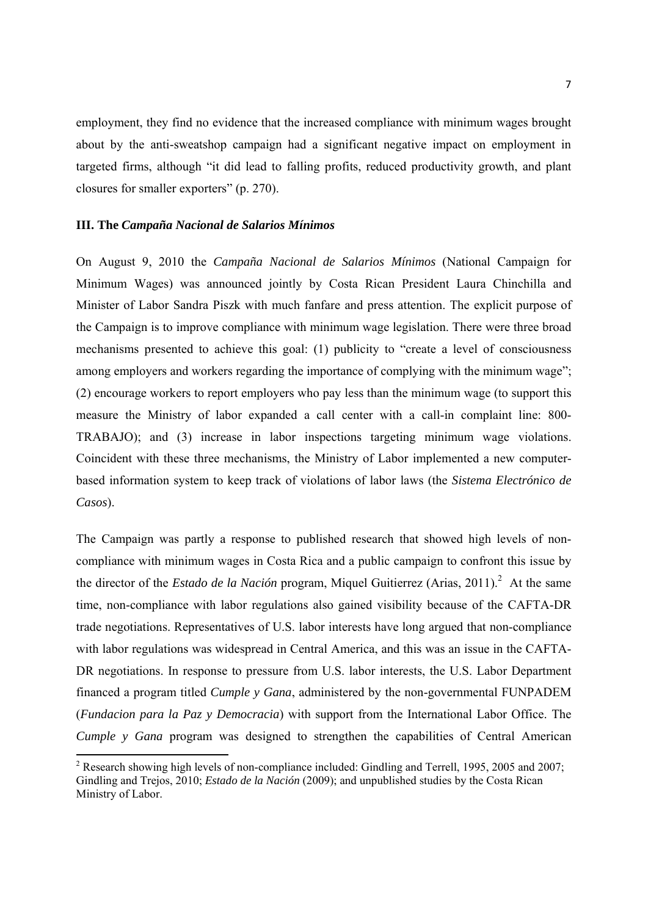employment, they find no evidence that the increased compliance with minimum wages brought about by the anti-sweatshop campaign had a significant negative impact on employment in targeted firms, although "it did lead to falling profits, reduced productivity growth, and plant closures for smaller exporters" (p. 270).

#### **III. The** *Campaña Nacional de Salarios Mínimos*

On August 9, 2010 the *Campaña Nacional de Salarios Mínimos* (National Campaign for Minimum Wages) was announced jointly by Costa Rican President Laura Chinchilla and Minister of Labor Sandra Piszk with much fanfare and press attention. The explicit purpose of the Campaign is to improve compliance with minimum wage legislation. There were three broad mechanisms presented to achieve this goal: (1) publicity to "create a level of consciousness among employers and workers regarding the importance of complying with the minimum wage"; (2) encourage workers to report employers who pay less than the minimum wage (to support this measure the Ministry of labor expanded a call center with a call-in complaint line: 800- TRABAJO); and (3) increase in labor inspections targeting minimum wage violations. Coincident with these three mechanisms, the Ministry of Labor implemented a new computerbased information system to keep track of violations of labor laws (the *Sistema Electrónico de Casos*).

The Campaign was partly a response to published research that showed high levels of noncompliance with minimum wages in Costa Rica and a public campaign to confront this issue by the director of the *Estado de la Nación* program, Miquel Guitierrez (Arias, 2011).<sup>2</sup> At the same time, non-compliance with labor regulations also gained visibility because of the CAFTA-DR trade negotiations. Representatives of U.S. labor interests have long argued that non-compliance with labor regulations was widespread in Central America, and this was an issue in the CAFTA-DR negotiations. In response to pressure from U.S. labor interests, the U.S. Labor Department financed a program titled *Cumple y Gana*, administered by the non-governmental FUNPADEM (*Fundacion para la Paz y Democracia*) with support from the International Labor Office. The *Cumple y Gana* program was designed to strengthen the capabilities of Central American

<sup>&</sup>lt;sup>2</sup> Research showing high levels of non-compliance included: Gindling and Terrell, 1995, 2005 and 2007; Gindling and Trejos, 2010; *Estado de la Nación* (2009); and unpublished studies by the Costa Rican Ministry of Labor.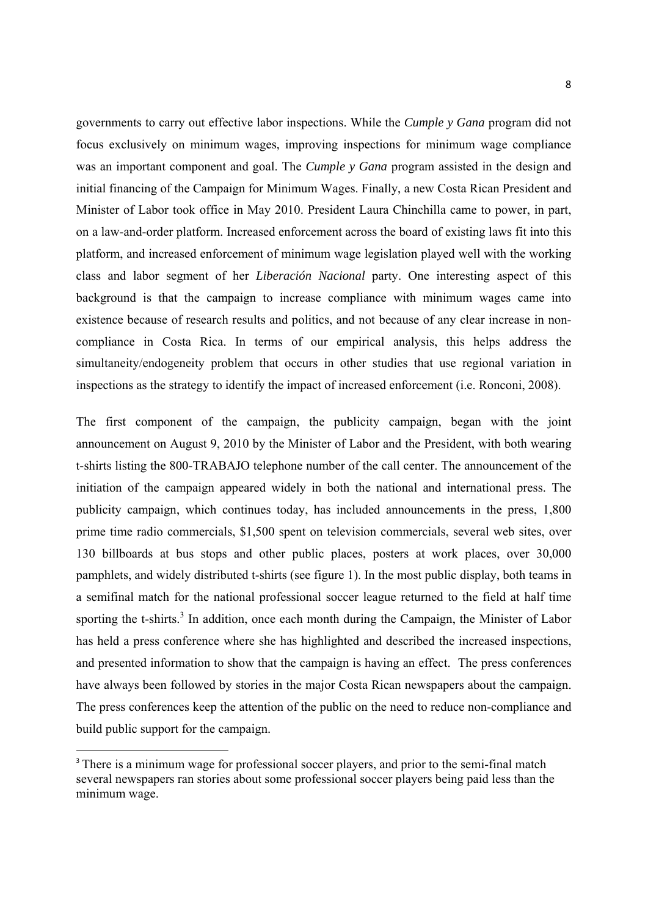governments to carry out effective labor inspections. While the *Cumple y Gana* program did not focus exclusively on minimum wages, improving inspections for minimum wage compliance was an important component and goal. The *Cumple y Gana* program assisted in the design and initial financing of the Campaign for Minimum Wages. Finally, a new Costa Rican President and Minister of Labor took office in May 2010. President Laura Chinchilla came to power, in part, on a law-and-order platform. Increased enforcement across the board of existing laws fit into this platform, and increased enforcement of minimum wage legislation played well with the working class and labor segment of her *Liberación Nacional* party. One interesting aspect of this background is that the campaign to increase compliance with minimum wages came into existence because of research results and politics, and not because of any clear increase in noncompliance in Costa Rica. In terms of our empirical analysis, this helps address the simultaneity/endogeneity problem that occurs in other studies that use regional variation in inspections as the strategy to identify the impact of increased enforcement (i.e. Ronconi, 2008).

The first component of the campaign, the publicity campaign, began with the joint announcement on August 9, 2010 by the Minister of Labor and the President, with both wearing t-shirts listing the 800-TRABAJO telephone number of the call center. The announcement of the initiation of the campaign appeared widely in both the national and international press. The publicity campaign, which continues today, has included announcements in the press, 1,800 prime time radio commercials, \$1,500 spent on television commercials, several web sites, over 130 billboards at bus stops and other public places, posters at work places, over 30,000 pamphlets, and widely distributed t-shirts (see figure 1). In the most public display, both teams in a semifinal match for the national professional soccer league returned to the field at half time sporting the t-shirts.<sup>3</sup> In addition, once each month during the Campaign, the Minister of Labor has held a press conference where she has highlighted and described the increased inspections, and presented information to show that the campaign is having an effect. The press conferences have always been followed by stories in the major Costa Rican newspapers about the campaign. The press conferences keep the attention of the public on the need to reduce non-compliance and build public support for the campaign.

<sup>&</sup>lt;sup>3</sup> There is a minimum wage for professional soccer players, and prior to the semi-final match several newspapers ran stories about some professional soccer players being paid less than the minimum wage.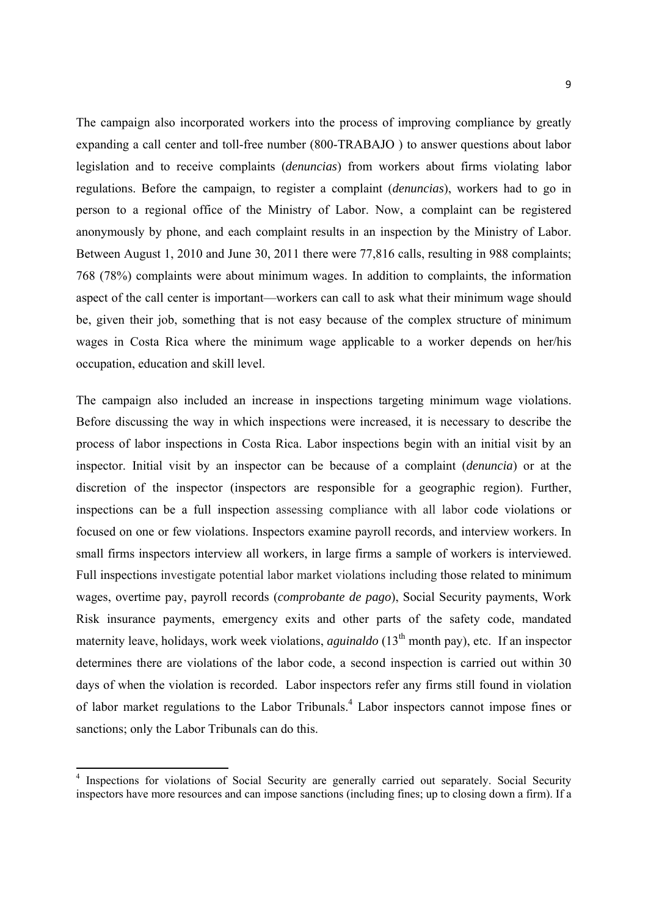The campaign also incorporated workers into the process of improving compliance by greatly expanding a call center and toll-free number (800-TRABAJO ) to answer questions about labor legislation and to receive complaints (*denuncias*) from workers about firms violating labor regulations. Before the campaign, to register a complaint (*denuncias*), workers had to go in person to a regional office of the Ministry of Labor. Now, a complaint can be registered anonymously by phone, and each complaint results in an inspection by the Ministry of Labor. Between August 1, 2010 and June 30, 2011 there were 77,816 calls, resulting in 988 complaints; 768 (78%) complaints were about minimum wages. In addition to complaints, the information aspect of the call center is important—workers can call to ask what their minimum wage should be, given their job, something that is not easy because of the complex structure of minimum wages in Costa Rica where the minimum wage applicable to a worker depends on her/his occupation, education and skill level.

The campaign also included an increase in inspections targeting minimum wage violations. Before discussing the way in which inspections were increased, it is necessary to describe the process of labor inspections in Costa Rica. Labor inspections begin with an initial visit by an inspector. Initial visit by an inspector can be because of a complaint (*denuncia*) or at the discretion of the inspector (inspectors are responsible for a geographic region). Further, inspections can be a full inspection assessing compliance with all labor code violations or focused on one or few violations. Inspectors examine payroll records, and interview workers. In small firms inspectors interview all workers, in large firms a sample of workers is interviewed. Full inspections investigate potential labor market violations including those related to minimum wages, overtime pay, payroll records (*comprobante de pago*), Social Security payments, Work Risk insurance payments, emergency exits and other parts of the safety code, mandated maternity leave, holidays, work week violations, *aguinaldo* (13<sup>th</sup> month pay), etc. If an inspector determines there are violations of the labor code, a second inspection is carried out within 30 days of when the violation is recorded. Labor inspectors refer any firms still found in violation of labor market regulations to the Labor Tribunals.<sup>4</sup> Labor inspectors cannot impose fines or sanctions; only the Labor Tribunals can do this.

<sup>&</sup>lt;sup>4</sup> Inspections for violations of Social Security are generally carried out separately. Social Security inspectors have more resources and can impose sanctions (including fines; up to closing down a firm). If a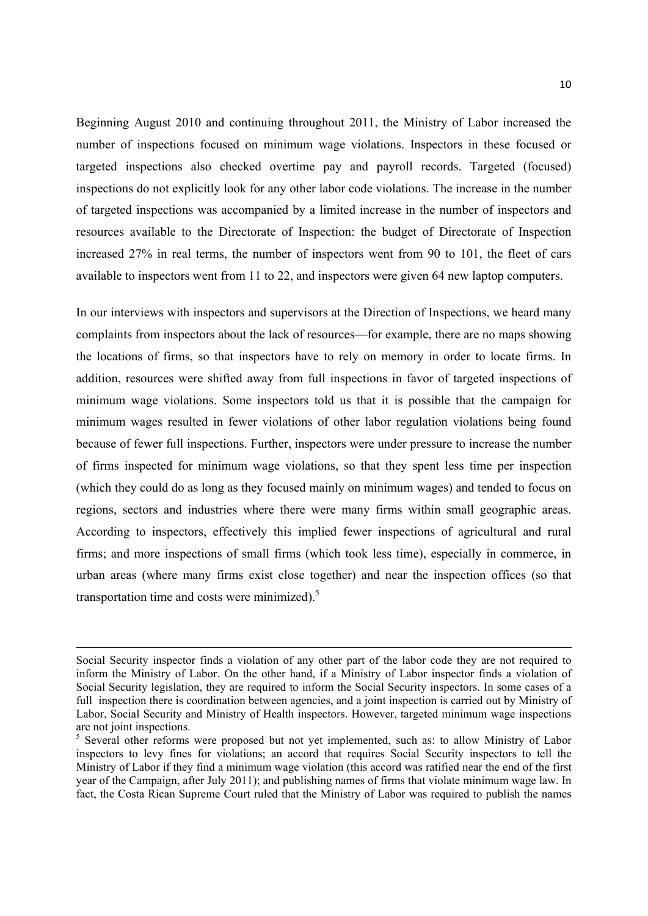Beginning August 2010 and continuing throughout 2011, the Ministry of Labor increased the number of inspections focused on minimum wage violations. Inspectors in these focused or targeted inspections also checked overtime pay and payroll records. Targeted (focused) inspections do not explicitly look for any other labor code violations. The increase in the number of targeted inspections was accompanied by a limited increase in the number of inspectors and resources available to the Directorate of Inspection: the budget of Directorate of Inspection increased 27% in real terms, the number of inspectors went from 90 to 101, the fleet of cars available to inspectors went from 11 to 22, and inspectors were given 64 new laptop computers.

In our interviews with inspectors and supervisors at the Direction of Inspections, we heard many complaints from inspectors about the lack of resources—for example, there are no maps showing the locations of firms, so that inspectors have to rely on memory in order to locate firms. In addition, resources were shifted away from full inspections in favor of targeted inspections of minimum wage violations. Some inspectors told us that it is possible that the campaign for minimum wages resulted in fewer violations of other labor regulation violations being found because of fewer full inspections. Further, inspectors were under pressure to increase the number of firms inspected for minimum wage violations, so that they spent less time per inspection (which they could do as long as they focused mainly on minimum wages) and tended to focus on regions, sectors and industries where there were many firms within small geographic areas. According to inspectors, effectively this implied fewer inspections of agricultural and rural firms; and more inspections of small firms (which took less time), especially in commerce, in urban areas (where many firms exist close together) and near the inspection offices (so that transportation time and costs were minimized).5

<u> 1989 - Johann Stein, marwolaethau a bhann an chomhair an t-an chomhair an chomhair an chomhair an chomhair a</u>

Social Security inspector finds a violation of any other part of the labor code they are not required to inform the Ministry of Labor. On the other hand, if a Ministry of Labor inspector finds a violation of Social Security legislation, they are required to inform the Social Security inspectors. In some cases of a full inspection there is coordination between agencies, and a joint inspection is carried out by Ministry of Labor, Social Security and Ministry of Health inspectors. However, targeted minimum wage inspections are not joint inspections.

<sup>&</sup>lt;sup>5</sup> Several other reforms were proposed but not yet implemented, such as: to allow Ministry of Labor inspectors to levy fines for violations; an accord that requires Social Security inspectors to tell the Ministry of Labor if they find a minimum wage violation (this accord was ratified near the end of the first year of the Campaign, after July 2011); and publishing names of firms that violate minimum wage law. In fact, the Costa Rican Supreme Court ruled that the Ministry of Labor was required to publish the names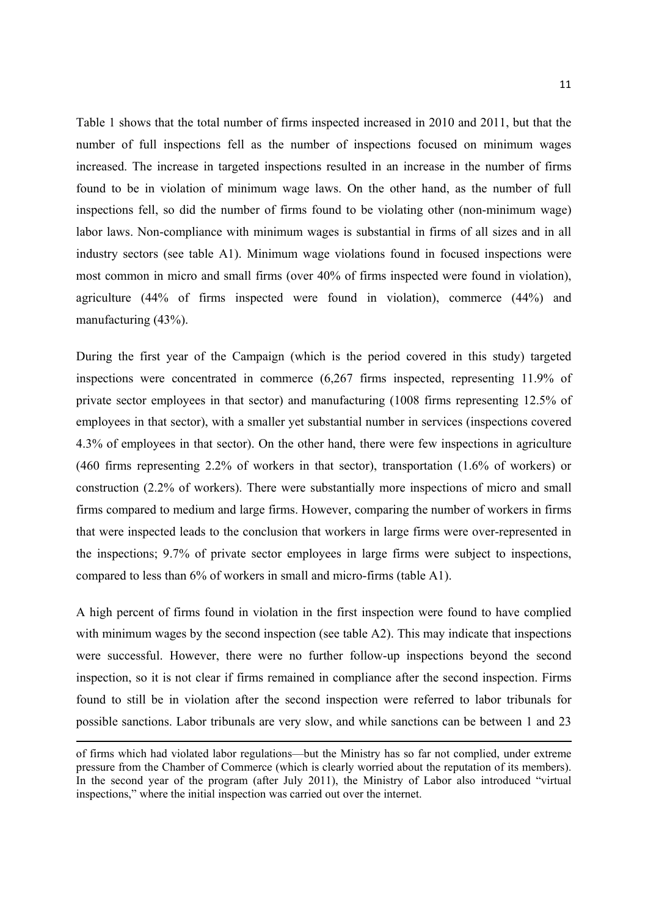Table 1 shows that the total number of firms inspected increased in 2010 and 2011, but that the number of full inspections fell as the number of inspections focused on minimum wages increased. The increase in targeted inspections resulted in an increase in the number of firms found to be in violation of minimum wage laws. On the other hand, as the number of full inspections fell, so did the number of firms found to be violating other (non-minimum wage) labor laws. Non-compliance with minimum wages is substantial in firms of all sizes and in all industry sectors (see table A1). Minimum wage violations found in focused inspections were most common in micro and small firms (over 40% of firms inspected were found in violation), agriculture (44% of firms inspected were found in violation), commerce (44%) and manufacturing (43%).

During the first year of the Campaign (which is the period covered in this study) targeted inspections were concentrated in commerce (6,267 firms inspected, representing 11.9% of private sector employees in that sector) and manufacturing (1008 firms representing 12.5% of employees in that sector), with a smaller yet substantial number in services (inspections covered 4.3% of employees in that sector). On the other hand, there were few inspections in agriculture (460 firms representing 2.2% of workers in that sector), transportation (1.6% of workers) or construction (2.2% of workers). There were substantially more inspections of micro and small firms compared to medium and large firms. However, comparing the number of workers in firms that were inspected leads to the conclusion that workers in large firms were over-represented in the inspections; 9.7% of private sector employees in large firms were subject to inspections, compared to less than 6% of workers in small and micro-firms (table A1).

A high percent of firms found in violation in the first inspection were found to have complied with minimum wages by the second inspection (see table A2). This may indicate that inspections were successful. However, there were no further follow-up inspections beyond the second inspection, so it is not clear if firms remained in compliance after the second inspection. Firms found to still be in violation after the second inspection were referred to labor tribunals for possible sanctions. Labor tribunals are very slow, and while sanctions can be between 1 and 23

<u> 1989 - Johann Stein, marwolaethau a bhann an chomhair an t-an chomhair an chomhair an chomhair an chomhair a</u>

of firms which had violated labor regulations—but the Ministry has so far not complied, under extreme pressure from the Chamber of Commerce (which is clearly worried about the reputation of its members). In the second year of the program (after July 2011), the Ministry of Labor also introduced "virtual inspections," where the initial inspection was carried out over the internet.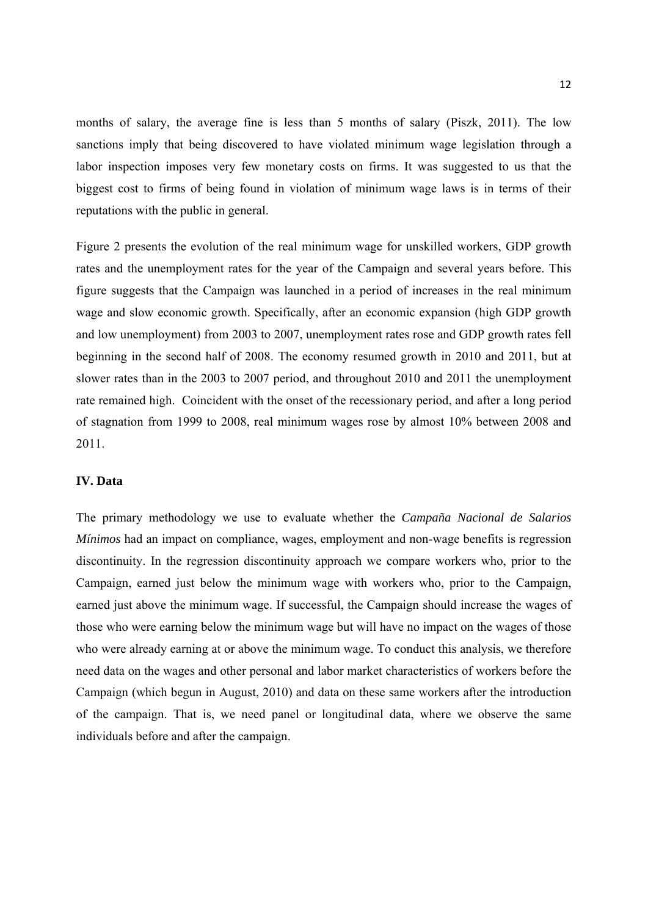months of salary, the average fine is less than 5 months of salary (Piszk, 2011). The low sanctions imply that being discovered to have violated minimum wage legislation through a labor inspection imposes very few monetary costs on firms. It was suggested to us that the biggest cost to firms of being found in violation of minimum wage laws is in terms of their reputations with the public in general.

Figure 2 presents the evolution of the real minimum wage for unskilled workers, GDP growth rates and the unemployment rates for the year of the Campaign and several years before. This figure suggests that the Campaign was launched in a period of increases in the real minimum wage and slow economic growth. Specifically, after an economic expansion (high GDP growth and low unemployment) from 2003 to 2007, unemployment rates rose and GDP growth rates fell beginning in the second half of 2008. The economy resumed growth in 2010 and 2011, but at slower rates than in the 2003 to 2007 period, and throughout 2010 and 2011 the unemployment rate remained high. Coincident with the onset of the recessionary period, and after a long period of stagnation from 1999 to 2008, real minimum wages rose by almost 10% between 2008 and 2011.

#### **IV. Data**

The primary methodology we use to evaluate whether the *Campaña Nacional de Salarios Mínimos* had an impact on compliance, wages, employment and non-wage benefits is regression discontinuity. In the regression discontinuity approach we compare workers who, prior to the Campaign, earned just below the minimum wage with workers who, prior to the Campaign, earned just above the minimum wage. If successful, the Campaign should increase the wages of those who were earning below the minimum wage but will have no impact on the wages of those who were already earning at or above the minimum wage. To conduct this analysis, we therefore need data on the wages and other personal and labor market characteristics of workers before the Campaign (which begun in August, 2010) and data on these same workers after the introduction of the campaign. That is, we need panel or longitudinal data, where we observe the same individuals before and after the campaign.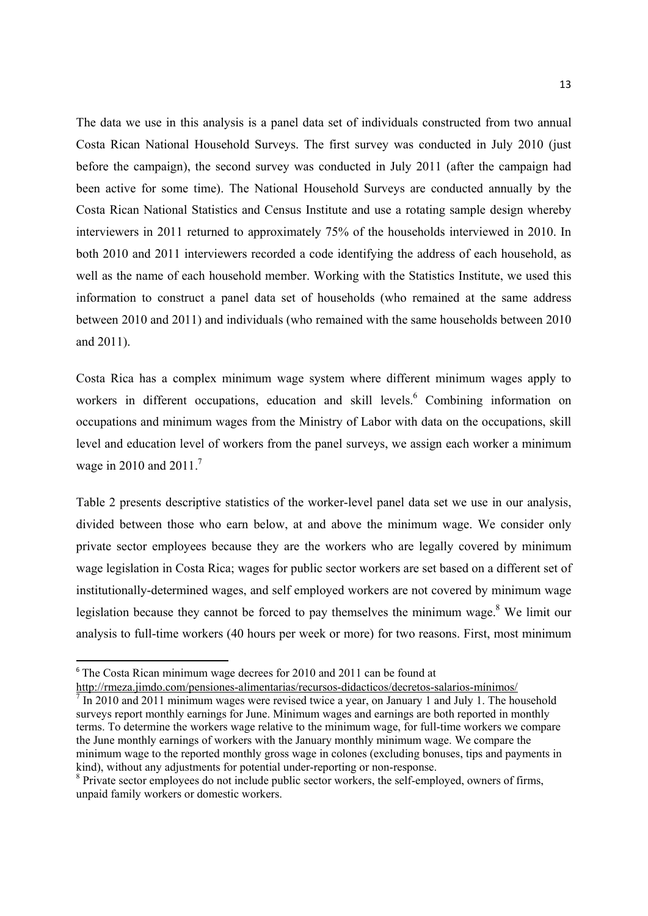The data we use in this analysis is a panel data set of individuals constructed from two annual Costa Rican National Household Surveys. The first survey was conducted in July 2010 (just before the campaign), the second survey was conducted in July 2011 (after the campaign had been active for some time). The National Household Surveys are conducted annually by the Costa Rican National Statistics and Census Institute and use a rotating sample design whereby interviewers in 2011 returned to approximately 75% of the households interviewed in 2010. In both 2010 and 2011 interviewers recorded a code identifying the address of each household, as well as the name of each household member. Working with the Statistics Institute, we used this information to construct a panel data set of households (who remained at the same address between 2010 and 2011) and individuals (who remained with the same households between 2010 and 2011).

Costa Rica has a complex minimum wage system where different minimum wages apply to workers in different occupations, education and skill levels.<sup>6</sup> Combining information on occupations and minimum wages from the Ministry of Labor with data on the occupations, skill level and education level of workers from the panel surveys, we assign each worker a minimum wage in 2010 and 2011.<sup>7</sup>

Table 2 presents descriptive statistics of the worker-level panel data set we use in our analysis, divided between those who earn below, at and above the minimum wage. We consider only private sector employees because they are the workers who are legally covered by minimum wage legislation in Costa Rica; wages for public sector workers are set based on a different set of institutionally-determined wages, and self employed workers are not covered by minimum wage legislation because they cannot be forced to pay themselves the minimum wage. $8$  We limit our analysis to full-time workers (40 hours per week or more) for two reasons. First, most minimum

<sup>&</sup>lt;sup>6</sup> The Costa Rican minimum wage decrees for 2010 and 2011 can be found at

http://rmeza.jimdo.com/pensiones-alimentarias/recursos-didacticos/decretos-salarios-mínimos/

 $\frac{7}{1}$  In 2010 and 2011 minimum wages were revised twice a year, on January 1 and July 1. The household surveys report monthly earnings for June. Minimum wages and earnings are both reported in monthly terms. To determine the workers wage relative to the minimum wage, for full-time workers we compare the June monthly earnings of workers with the January monthly minimum wage. We compare the minimum wage to the reported monthly gross wage in colones (excluding bonuses, tips and payments in kind), without any adjustments for potential under-reporting or non-response.

<sup>&</sup>lt;sup>8</sup> Private sector employees do not include public sector workers, the self-employed, owners of firms, unpaid family workers or domestic workers.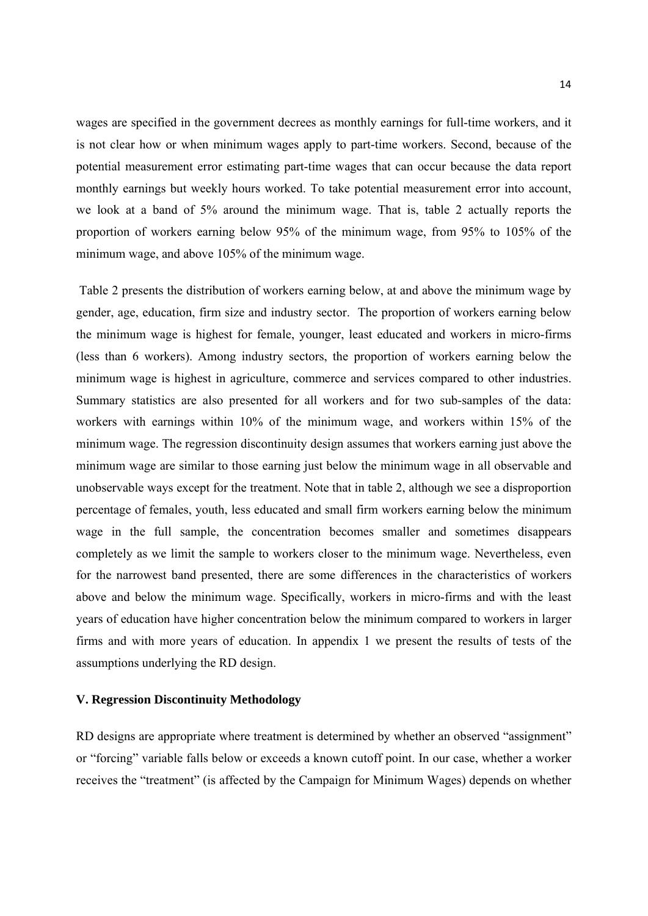wages are specified in the government decrees as monthly earnings for full-time workers, and it is not clear how or when minimum wages apply to part-time workers. Second, because of the potential measurement error estimating part-time wages that can occur because the data report monthly earnings but weekly hours worked. To take potential measurement error into account, we look at a band of 5% around the minimum wage. That is, table 2 actually reports the proportion of workers earning below 95% of the minimum wage, from 95% to 105% of the minimum wage, and above 105% of the minimum wage.

 Table 2 presents the distribution of workers earning below, at and above the minimum wage by gender, age, education, firm size and industry sector. The proportion of workers earning below the minimum wage is highest for female, younger, least educated and workers in micro-firms (less than 6 workers). Among industry sectors, the proportion of workers earning below the minimum wage is highest in agriculture, commerce and services compared to other industries. Summary statistics are also presented for all workers and for two sub-samples of the data: workers with earnings within 10% of the minimum wage, and workers within 15% of the minimum wage. The regression discontinuity design assumes that workers earning just above the minimum wage are similar to those earning just below the minimum wage in all observable and unobservable ways except for the treatment. Note that in table 2, although we see a disproportion percentage of females, youth, less educated and small firm workers earning below the minimum wage in the full sample, the concentration becomes smaller and sometimes disappears completely as we limit the sample to workers closer to the minimum wage. Nevertheless, even for the narrowest band presented, there are some differences in the characteristics of workers above and below the minimum wage. Specifically, workers in micro-firms and with the least years of education have higher concentration below the minimum compared to workers in larger firms and with more years of education. In appendix 1 we present the results of tests of the assumptions underlying the RD design.

#### **V. Regression Discontinuity Methodology**

RD designs are appropriate where treatment is determined by whether an observed "assignment" or "forcing" variable falls below or exceeds a known cutoff point. In our case, whether a worker receives the "treatment" (is affected by the Campaign for Minimum Wages) depends on whether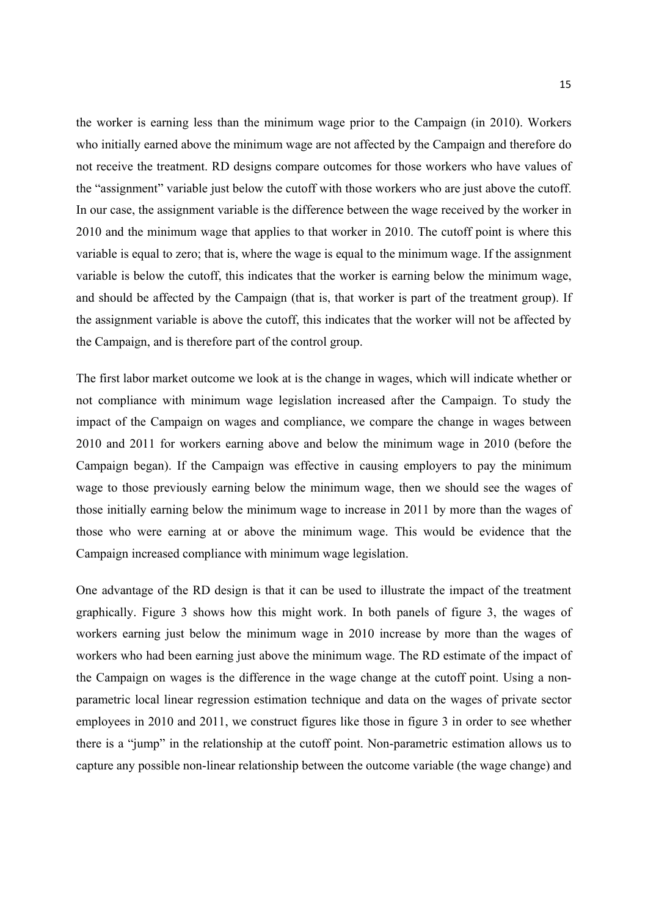the worker is earning less than the minimum wage prior to the Campaign (in 2010). Workers who initially earned above the minimum wage are not affected by the Campaign and therefore do not receive the treatment. RD designs compare outcomes for those workers who have values of the "assignment" variable just below the cutoff with those workers who are just above the cutoff. In our case, the assignment variable is the difference between the wage received by the worker in 2010 and the minimum wage that applies to that worker in 2010. The cutoff point is where this variable is equal to zero; that is, where the wage is equal to the minimum wage. If the assignment variable is below the cutoff, this indicates that the worker is earning below the minimum wage, and should be affected by the Campaign (that is, that worker is part of the treatment group). If the assignment variable is above the cutoff, this indicates that the worker will not be affected by the Campaign, and is therefore part of the control group.

The first labor market outcome we look at is the change in wages, which will indicate whether or not compliance with minimum wage legislation increased after the Campaign. To study the impact of the Campaign on wages and compliance, we compare the change in wages between 2010 and 2011 for workers earning above and below the minimum wage in 2010 (before the Campaign began). If the Campaign was effective in causing employers to pay the minimum wage to those previously earning below the minimum wage, then we should see the wages of those initially earning below the minimum wage to increase in 2011 by more than the wages of those who were earning at or above the minimum wage. This would be evidence that the Campaign increased compliance with minimum wage legislation.

One advantage of the RD design is that it can be used to illustrate the impact of the treatment graphically. Figure 3 shows how this might work. In both panels of figure 3, the wages of workers earning just below the minimum wage in 2010 increase by more than the wages of workers who had been earning just above the minimum wage. The RD estimate of the impact of the Campaign on wages is the difference in the wage change at the cutoff point. Using a nonparametric local linear regression estimation technique and data on the wages of private sector employees in 2010 and 2011, we construct figures like those in figure 3 in order to see whether there is a "jump" in the relationship at the cutoff point. Non-parametric estimation allows us to capture any possible non-linear relationship between the outcome variable (the wage change) and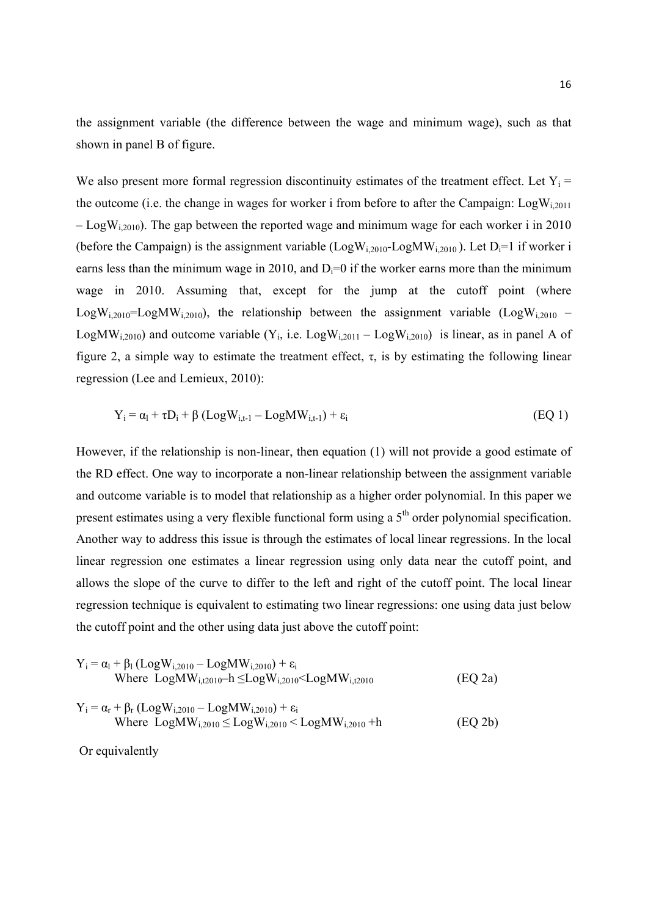the assignment variable (the difference between the wage and minimum wage), such as that shown in panel B of figure.

We also present more formal regression discontinuity estimates of the treatment effect. Let  $Y_i$  = the outcome (i.e. the change in wages for worker i from before to after the Campaign:  $LogW_{i,2011}$  $-$  LogW<sub>i 2010</sub>). The gap between the reported wage and minimum wage for each worker i in 2010 (before the Campaign) is the assignment variable  $(LogW_{i,2010}-LogMW_{i,2010})$ . Let  $D_i=1$  if worker i earns less than the minimum wage in 2010, and  $D_i=0$  if the worker earns more than the minimum wage in 2010. Assuming that, except for the jump at the cutoff point (where LogW<sub>i,2010</sub>=LogMW<sub>i,2010</sub>), the relationship between the assignment variable (LogW<sub>i,2010</sub> – LogMW<sub>i,2010</sub>) and outcome variable (Y<sub>i</sub>, i.e. LogW<sub>i,2011</sub> – LogW<sub>i,2010</sub>) is linear, as in panel A of figure 2, a simple way to estimate the treatment effect,  $\tau$ , is by estimating the following linear regression (Lee and Lemieux, 2010):

$$
Y_i = \alpha_l + \tau D_i + \beta (Log W_{i,t-1} - Log MW_{i,t-1}) + \varepsilon_i
$$
 (EQ1)

However, if the relationship is non-linear, then equation (1) will not provide a good estimate of the RD effect. One way to incorporate a non-linear relationship between the assignment variable and outcome variable is to model that relationship as a higher order polynomial. In this paper we present estimates using a very flexible functional form using a 5<sup>th</sup> order polynomial specification. Another way to address this issue is through the estimates of local linear regressions. In the local linear regression one estimates a linear regression using only data near the cutoff point, and allows the slope of the curve to differ to the left and right of the cutoff point. The local linear regression technique is equivalent to estimating two linear regressions: one using data just below the cutoff point and the other using data just above the cutoff point:

$$
Y_{i} = \alpha_{l} + \beta_{l} (Log W_{i,2010} - LogMW_{i,2010}) + \epsilon_{i}
$$
  
Where LogMW<sub>i,12010</sub> -h  $\leq LogW_{i,2010}$  $<$  LogMW<sub>i,12010</sub> (EQ 2a)

$$
Y_i = \alpha_r + \beta_r (Log W_{i,2010} - Log MW_{i,2010}) + \epsilon_i
$$
  
Where LogMW<sub>i,2010</sub> \le LogW<sub>i,2010</sub> < LogMW<sub>i,2010</sub> + h (EQ 2b)

Or equivalently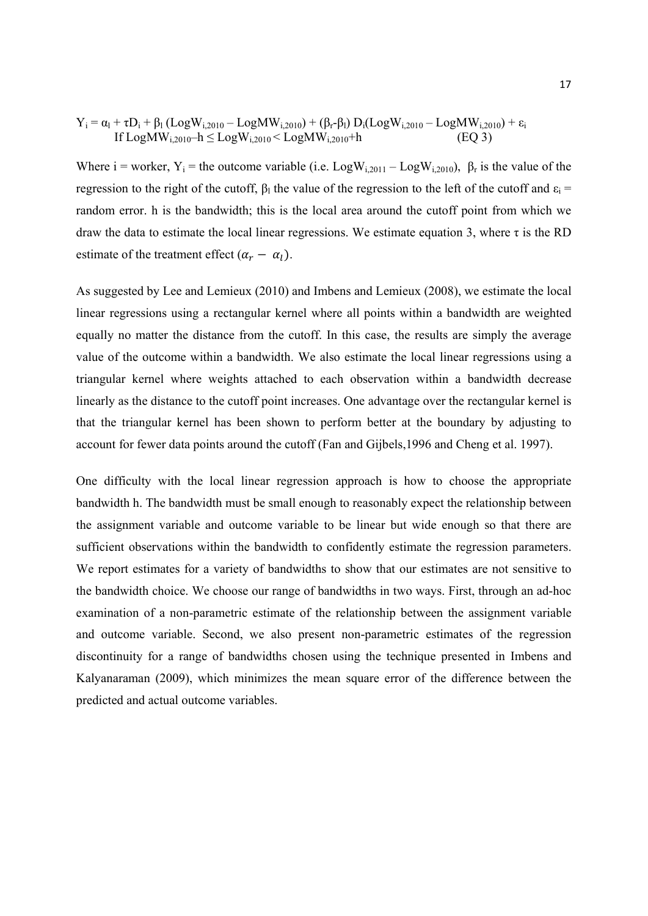$$
Y_i = \alpha_l + \tau D_i + \beta_l \left( Log W_{i,2010} - Log MW_{i,2010} \right) + \left( \beta_r - \beta_l \right) D_i (Log W_{i,2010} - Log MW_{i,2010}) + \epsilon_i \\ \quad \ \ If \ Log MW_{i,2010} - h \le Log W_{i,2010} < Log MW_{i,2010} + h \qquad \qquad (EQ3)
$$

Where i = worker, Y<sub>i</sub> = the outcome variable (i.e. Log $W_{i,2011} - Log W_{i,2010}$ ),  $\beta_r$  is the value of the regression to the right of the cutoff,  $β_1$  the value of the regression to the left of the cutoff and  $ε_1$  = random error. h is the bandwidth; this is the local area around the cutoff point from which we draw the data to estimate the local linear regressions. We estimate equation 3, where τ is the RD estimate of the treatment effect  $(\alpha_r - \alpha_l)$ .

As suggested by Lee and Lemieux (2010) and Imbens and Lemieux (2008), we estimate the local linear regressions using a rectangular kernel where all points within a bandwidth are weighted equally no matter the distance from the cutoff. In this case, the results are simply the average value of the outcome within a bandwidth. We also estimate the local linear regressions using a triangular kernel where weights attached to each observation within a bandwidth decrease linearly as the distance to the cutoff point increases. One advantage over the rectangular kernel is that the triangular kernel has been shown to perform better at the boundary by adjusting to account for fewer data points around the cutoff (Fan and Gijbels,1996 and Cheng et al. 1997).

One difficulty with the local linear regression approach is how to choose the appropriate bandwidth h. The bandwidth must be small enough to reasonably expect the relationship between the assignment variable and outcome variable to be linear but wide enough so that there are sufficient observations within the bandwidth to confidently estimate the regression parameters. We report estimates for a variety of bandwidths to show that our estimates are not sensitive to the bandwidth choice. We choose our range of bandwidths in two ways. First, through an ad-hoc examination of a non-parametric estimate of the relationship between the assignment variable and outcome variable. Second, we also present non-parametric estimates of the regression discontinuity for a range of bandwidths chosen using the technique presented in Imbens and Kalyanaraman (2009), which minimizes the mean square error of the difference between the predicted and actual outcome variables.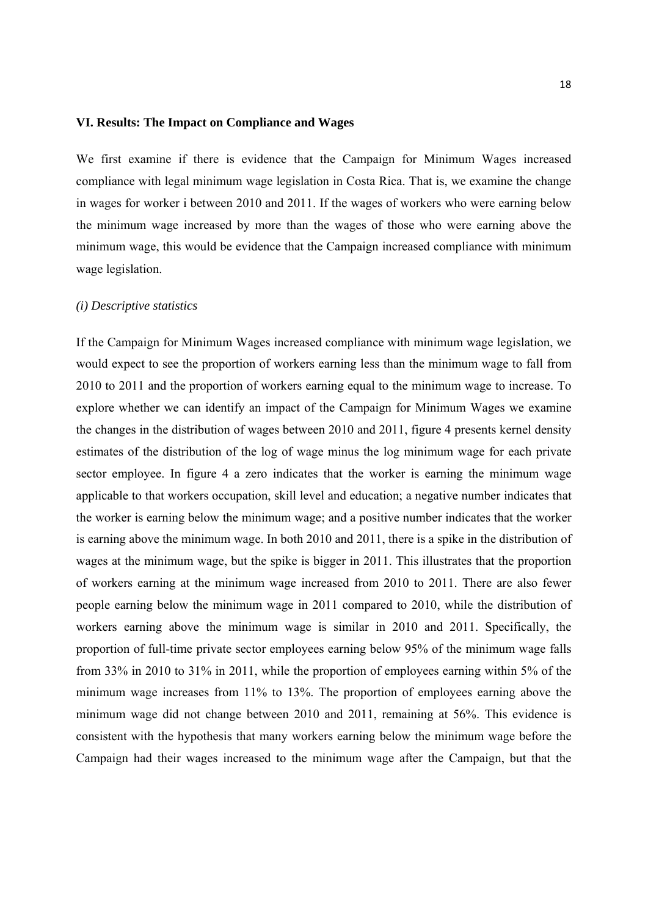#### **VI. Results: The Impact on Compliance and Wages**

We first examine if there is evidence that the Campaign for Minimum Wages increased compliance with legal minimum wage legislation in Costa Rica. That is, we examine the change in wages for worker i between 2010 and 2011. If the wages of workers who were earning below the minimum wage increased by more than the wages of those who were earning above the minimum wage, this would be evidence that the Campaign increased compliance with minimum wage legislation.

#### *(i) Descriptive statistics*

If the Campaign for Minimum Wages increased compliance with minimum wage legislation, we would expect to see the proportion of workers earning less than the minimum wage to fall from 2010 to 2011 and the proportion of workers earning equal to the minimum wage to increase. To explore whether we can identify an impact of the Campaign for Minimum Wages we examine the changes in the distribution of wages between 2010 and 2011, figure 4 presents kernel density estimates of the distribution of the log of wage minus the log minimum wage for each private sector employee. In figure 4 a zero indicates that the worker is earning the minimum wage applicable to that workers occupation, skill level and education; a negative number indicates that the worker is earning below the minimum wage; and a positive number indicates that the worker is earning above the minimum wage. In both 2010 and 2011, there is a spike in the distribution of wages at the minimum wage, but the spike is bigger in 2011. This illustrates that the proportion of workers earning at the minimum wage increased from 2010 to 2011. There are also fewer people earning below the minimum wage in 2011 compared to 2010, while the distribution of workers earning above the minimum wage is similar in 2010 and 2011. Specifically, the proportion of full-time private sector employees earning below 95% of the minimum wage falls from 33% in 2010 to 31% in 2011, while the proportion of employees earning within 5% of the minimum wage increases from 11% to 13%. The proportion of employees earning above the minimum wage did not change between 2010 and 2011, remaining at 56%. This evidence is consistent with the hypothesis that many workers earning below the minimum wage before the Campaign had their wages increased to the minimum wage after the Campaign, but that the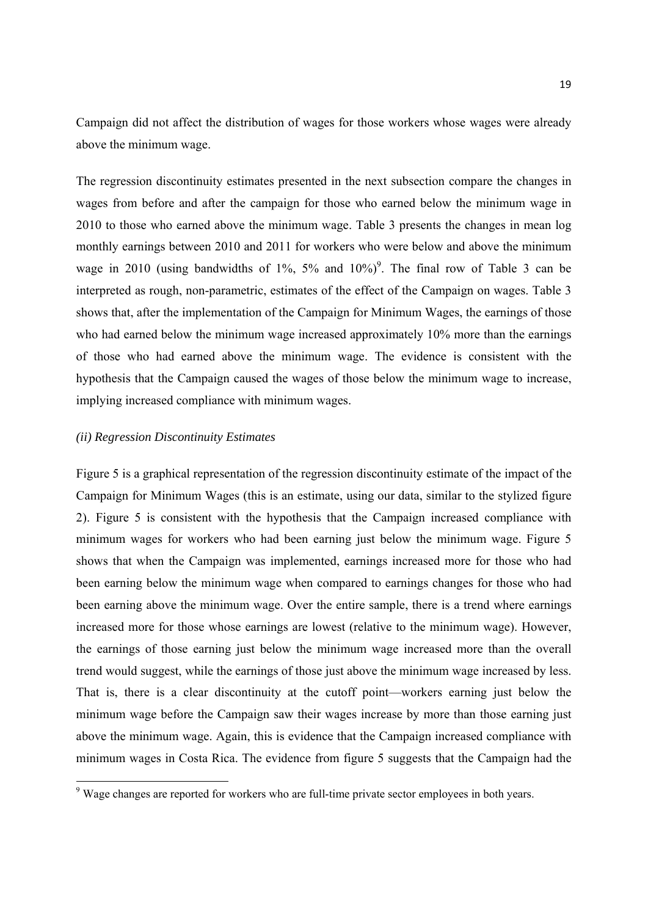Campaign did not affect the distribution of wages for those workers whose wages were already above the minimum wage.

The regression discontinuity estimates presented in the next subsection compare the changes in wages from before and after the campaign for those who earned below the minimum wage in 2010 to those who earned above the minimum wage. Table 3 presents the changes in mean log monthly earnings between 2010 and 2011 for workers who were below and above the minimum wage in 2010 (using bandwidths of  $1\%$ ,  $5\%$  and  $10\%)$ <sup>9</sup>. The final row of Table 3 can be interpreted as rough, non-parametric, estimates of the effect of the Campaign on wages. Table 3 shows that, after the implementation of the Campaign for Minimum Wages, the earnings of those who had earned below the minimum wage increased approximately 10% more than the earnings of those who had earned above the minimum wage. The evidence is consistent with the hypothesis that the Campaign caused the wages of those below the minimum wage to increase, implying increased compliance with minimum wages.

#### *(ii) Regression Discontinuity Estimates*

Figure 5 is a graphical representation of the regression discontinuity estimate of the impact of the Campaign for Minimum Wages (this is an estimate, using our data, similar to the stylized figure 2). Figure 5 is consistent with the hypothesis that the Campaign increased compliance with minimum wages for workers who had been earning just below the minimum wage. Figure 5 shows that when the Campaign was implemented, earnings increased more for those who had been earning below the minimum wage when compared to earnings changes for those who had been earning above the minimum wage. Over the entire sample, there is a trend where earnings increased more for those whose earnings are lowest (relative to the minimum wage). However, the earnings of those earning just below the minimum wage increased more than the overall trend would suggest, while the earnings of those just above the minimum wage increased by less. That is, there is a clear discontinuity at the cutoff point—workers earning just below the minimum wage before the Campaign saw their wages increase by more than those earning just above the minimum wage. Again, this is evidence that the Campaign increased compliance with minimum wages in Costa Rica. The evidence from figure 5 suggests that the Campaign had the

Wage changes are reported for workers who are full-time private sector employees in both years.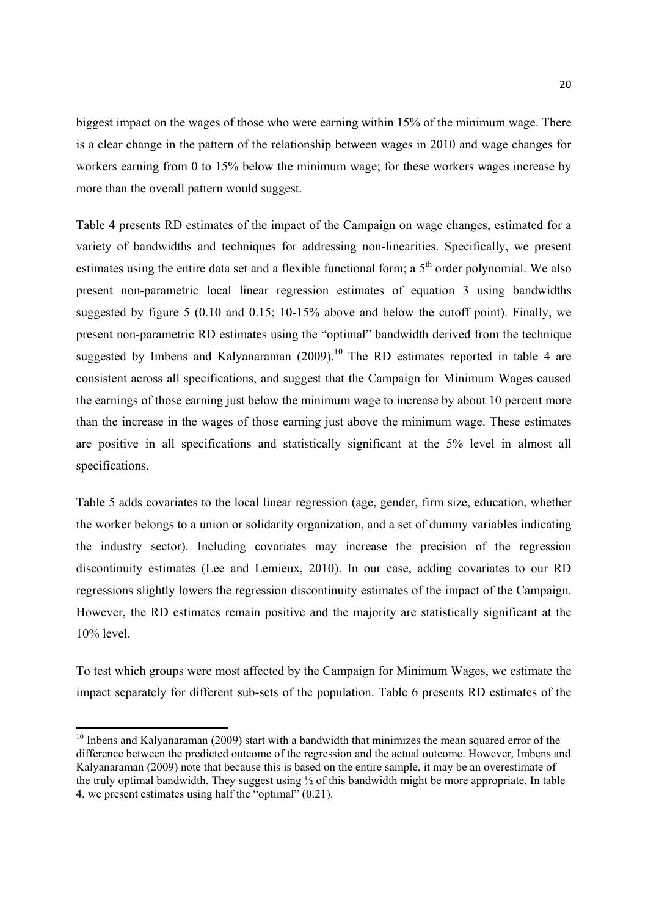biggest impact on the wages of those who were earning within 15% of the minimum wage. There is a clear change in the pattern of the relationship between wages in 2010 and wage changes for workers earning from 0 to 15% below the minimum wage; for these workers wages increase by more than the overall pattern would suggest.

Table 4 presents RD estimates of the impact of the Campaign on wage changes, estimated for a variety of bandwidths and techniques for addressing non-linearities. Specifically, we present estimates using the entire data set and a flexible functional form; a  $5<sup>th</sup>$  order polynomial. We also present non-parametric local linear regression estimates of equation 3 using bandwidths suggested by figure 5 (0.10 and 0.15; 10-15% above and below the cutoff point). Finally, we present non-parametric RD estimates using the "optimal" bandwidth derived from the technique suggested by Imbens and Kalyanaraman  $(2009)$ <sup>10</sup>. The RD estimates reported in table 4 are consistent across all specifications, and suggest that the Campaign for Minimum Wages caused the earnings of those earning just below the minimum wage to increase by about 10 percent more than the increase in the wages of those earning just above the minimum wage. These estimates are positive in all specifications and statistically significant at the 5% level in almost all specifications.

Table 5 adds covariates to the local linear regression (age, gender, firm size, education, whether the worker belongs to a union or solidarity organization, and a set of dummy variables indicating the industry sector). Including covariates may increase the precision of the regression discontinuity estimates (Lee and Lemieux, 2010). In our case, adding covariates to our RD regressions slightly lowers the regression discontinuity estimates of the impact of the Campaign. However, the RD estimates remain positive and the majority are statistically significant at the 10% level.

To test which groups were most affected by the Campaign for Minimum Wages, we estimate the impact separately for different sub-sets of the population. Table 6 presents RD estimates of the

 $10$  Inbens and Kalyanaraman (2009) start with a bandwidth that minimizes the mean squared error of the difference between the predicted outcome of the regression and the actual outcome. However, Imbens and Kalyanaraman (2009) note that because this is based on the entire sample, it may be an overestimate of the truly optimal bandwidth. They suggest using ½ of this bandwidth might be more appropriate. In table 4, we present estimates using half the "optimal" (0.21).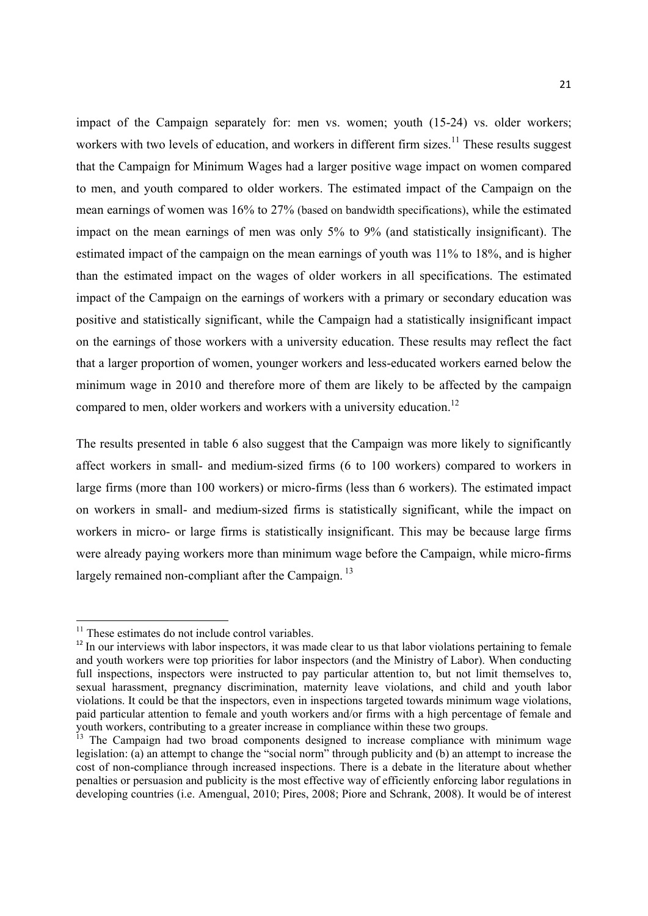impact of the Campaign separately for: men vs. women; youth (15-24) vs. older workers; workers with two levels of education, and workers in different firm sizes.<sup>11</sup> These results suggest that the Campaign for Minimum Wages had a larger positive wage impact on women compared to men, and youth compared to older workers. The estimated impact of the Campaign on the mean earnings of women was 16% to 27% (based on bandwidth specifications), while the estimated impact on the mean earnings of men was only 5% to 9% (and statistically insignificant). The estimated impact of the campaign on the mean earnings of youth was 11% to 18%, and is higher than the estimated impact on the wages of older workers in all specifications. The estimated impact of the Campaign on the earnings of workers with a primary or secondary education was positive and statistically significant, while the Campaign had a statistically insignificant impact on the earnings of those workers with a university education. These results may reflect the fact that a larger proportion of women, younger workers and less-educated workers earned below the minimum wage in 2010 and therefore more of them are likely to be affected by the campaign compared to men, older workers and workers with a university education.<sup>12</sup>

The results presented in table 6 also suggest that the Campaign was more likely to significantly affect workers in small- and medium-sized firms (6 to 100 workers) compared to workers in large firms (more than 100 workers) or micro-firms (less than 6 workers). The estimated impact on workers in small- and medium-sized firms is statistically significant, while the impact on workers in micro- or large firms is statistically insignificant. This may be because large firms were already paying workers more than minimum wage before the Campaign, while micro-firms largely remained non-compliant after the Campaign.<sup>13</sup>

 $11$  These estimates do not include control variables.

<sup>&</sup>lt;sup>12</sup> In our interviews with labor inspectors, it was made clear to us that labor violations pertaining to female and youth workers were top priorities for labor inspectors (and the Ministry of Labor). When conducting full inspections, inspectors were instructed to pay particular attention to, but not limit themselves to, sexual harassment, pregnancy discrimination, maternity leave violations, and child and youth labor violations. It could be that the inspectors, even in inspections targeted towards minimum wage violations, paid particular attention to female and youth workers and/or firms with a high percentage of female and youth workers, contributing to a greater increase in compliance within these two groups.

<sup>&</sup>lt;sup>13</sup> The Campaign had two broad components designed to increase compliance with minimum wage legislation: (a) an attempt to change the "social norm" through publicity and (b) an attempt to increase the cost of non-compliance through increased inspections. There is a debate in the literature about whether penalties or persuasion and publicity is the most effective way of efficiently enforcing labor regulations in developing countries (i.e. Amengual, 2010; Pires, 2008; Piore and Schrank, 2008). It would be of interest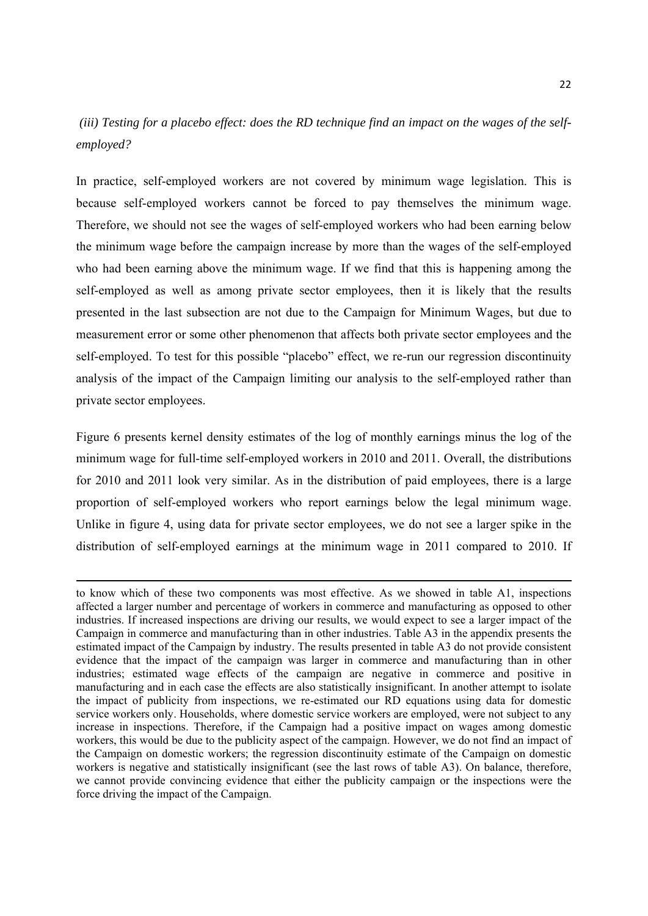## *(iii) Testing for a placebo effect: does the RD technique find an impact on the wages of the selfemployed?*

In practice, self-employed workers are not covered by minimum wage legislation. This is because self-employed workers cannot be forced to pay themselves the minimum wage. Therefore, we should not see the wages of self-employed workers who had been earning below the minimum wage before the campaign increase by more than the wages of the self-employed who had been earning above the minimum wage. If we find that this is happening among the self-employed as well as among private sector employees, then it is likely that the results presented in the last subsection are not due to the Campaign for Minimum Wages, but due to measurement error or some other phenomenon that affects both private sector employees and the self-employed. To test for this possible "placebo" effect, we re-run our regression discontinuity analysis of the impact of the Campaign limiting our analysis to the self-employed rather than private sector employees.

Figure 6 presents kernel density estimates of the log of monthly earnings minus the log of the minimum wage for full-time self-employed workers in 2010 and 2011. Overall, the distributions for 2010 and 2011 look very similar. As in the distribution of paid employees, there is a large proportion of self-employed workers who report earnings below the legal minimum wage. Unlike in figure 4, using data for private sector employees, we do not see a larger spike in the distribution of self-employed earnings at the minimum wage in 2011 compared to 2010. If

<u> 1989 - Johann Stein, marwolaethau a bhann an chomhair an t-an chomhair an chomhair an chomhair an chomhair a</u>

to know which of these two components was most effective. As we showed in table A1, inspections affected a larger number and percentage of workers in commerce and manufacturing as opposed to other industries. If increased inspections are driving our results, we would expect to see a larger impact of the Campaign in commerce and manufacturing than in other industries. Table A3 in the appendix presents the estimated impact of the Campaign by industry. The results presented in table A3 do not provide consistent evidence that the impact of the campaign was larger in commerce and manufacturing than in other industries; estimated wage effects of the campaign are negative in commerce and positive in manufacturing and in each case the effects are also statistically insignificant. In another attempt to isolate the impact of publicity from inspections, we re-estimated our RD equations using data for domestic service workers only. Households, where domestic service workers are employed, were not subject to any increase in inspections. Therefore, if the Campaign had a positive impact on wages among domestic workers, this would be due to the publicity aspect of the campaign. However, we do not find an impact of the Campaign on domestic workers; the regression discontinuity estimate of the Campaign on domestic workers is negative and statistically insignificant (see the last rows of table A3). On balance, therefore, we cannot provide convincing evidence that either the publicity campaign or the inspections were the force driving the impact of the Campaign.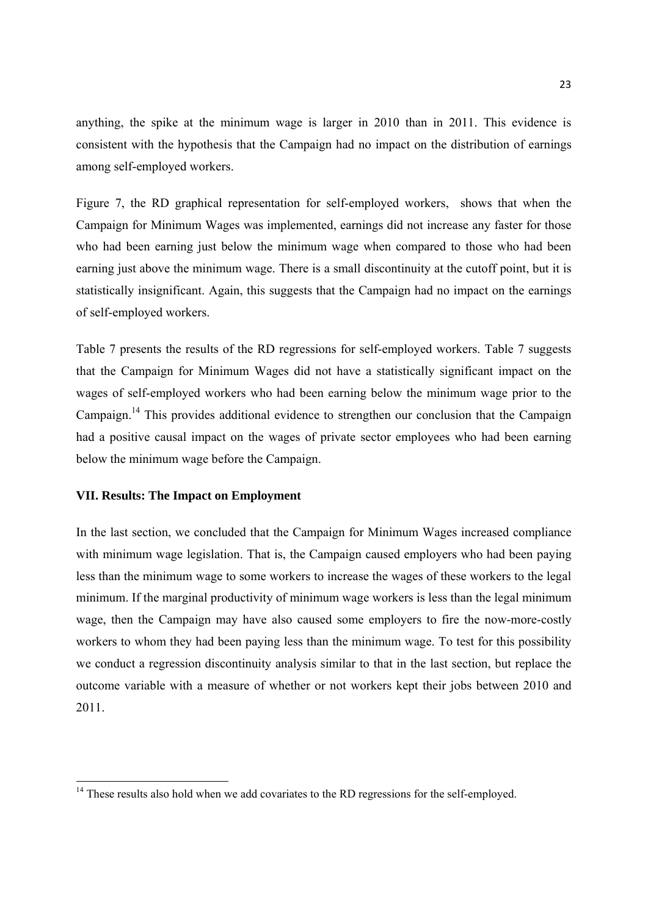anything, the spike at the minimum wage is larger in 2010 than in 2011. This evidence is consistent with the hypothesis that the Campaign had no impact on the distribution of earnings among self-employed workers.

Figure 7, the RD graphical representation for self-employed workers, shows that when the Campaign for Minimum Wages was implemented, earnings did not increase any faster for those who had been earning just below the minimum wage when compared to those who had been earning just above the minimum wage. There is a small discontinuity at the cutoff point, but it is statistically insignificant. Again, this suggests that the Campaign had no impact on the earnings of self-employed workers.

Table 7 presents the results of the RD regressions for self-employed workers. Table 7 suggests that the Campaign for Minimum Wages did not have a statistically significant impact on the wages of self-employed workers who had been earning below the minimum wage prior to the Campaign.14 This provides additional evidence to strengthen our conclusion that the Campaign had a positive causal impact on the wages of private sector employees who had been earning below the minimum wage before the Campaign.

#### **VII. Results: The Impact on Employment**

In the last section, we concluded that the Campaign for Minimum Wages increased compliance with minimum wage legislation. That is, the Campaign caused employers who had been paying less than the minimum wage to some workers to increase the wages of these workers to the legal minimum. If the marginal productivity of minimum wage workers is less than the legal minimum wage, then the Campaign may have also caused some employers to fire the now-more-costly workers to whom they had been paying less than the minimum wage. To test for this possibility we conduct a regression discontinuity analysis similar to that in the last section, but replace the outcome variable with a measure of whether or not workers kept their jobs between 2010 and 2011.

 $14$  These results also hold when we add covariates to the RD regressions for the self-employed.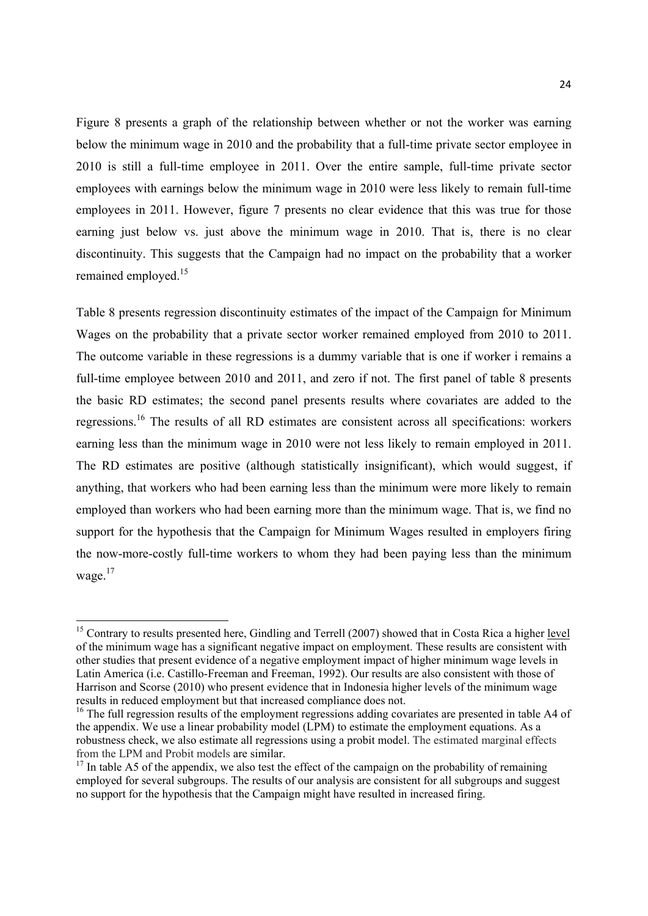Figure 8 presents a graph of the relationship between whether or not the worker was earning below the minimum wage in 2010 and the probability that a full-time private sector employee in 2010 is still a full-time employee in 2011. Over the entire sample, full-time private sector employees with earnings below the minimum wage in 2010 were less likely to remain full-time employees in 2011. However, figure 7 presents no clear evidence that this was true for those earning just below vs. just above the minimum wage in 2010. That is, there is no clear discontinuity. This suggests that the Campaign had no impact on the probability that a worker remained employed <sup>15</sup>

Table 8 presents regression discontinuity estimates of the impact of the Campaign for Minimum Wages on the probability that a private sector worker remained employed from 2010 to 2011. The outcome variable in these regressions is a dummy variable that is one if worker i remains a full-time employee between 2010 and 2011, and zero if not. The first panel of table 8 presents the basic RD estimates; the second panel presents results where covariates are added to the regressions.16 The results of all RD estimates are consistent across all specifications: workers earning less than the minimum wage in 2010 were not less likely to remain employed in 2011. The RD estimates are positive (although statistically insignificant), which would suggest, if anything, that workers who had been earning less than the minimum were more likely to remain employed than workers who had been earning more than the minimum wage. That is, we find no support for the hypothesis that the Campaign for Minimum Wages resulted in employers firing the now-more-costly full-time workers to whom they had been paying less than the minimum wage.17

 $15$  Contrary to results presented here. Gindling and Terrell (2007) showed that in Costa Rica a higher level of the minimum wage has a significant negative impact on employment. These results are consistent with other studies that present evidence of a negative employment impact of higher minimum wage levels in Latin America (i.e. Castillo-Freeman and Freeman, 1992). Our results are also consistent with those of Harrison and Scorse (2010) who present evidence that in Indonesia higher levels of the minimum wage results in reduced employment but that increased compliance does not.

<sup>&</sup>lt;sup>16</sup> The full regression results of the employment regressions adding covariates are presented in table A4 of the appendix. We use a linear probability model (LPM) to estimate the employment equations. As a robustness check, we also estimate all regressions using a probit model. The estimated marginal effects from the LPM and Probit models are similar.

 $17$  In table A5 of the appendix, we also test the effect of the campaign on the probability of remaining employed for several subgroups. The results of our analysis are consistent for all subgroups and suggest no support for the hypothesis that the Campaign might have resulted in increased firing.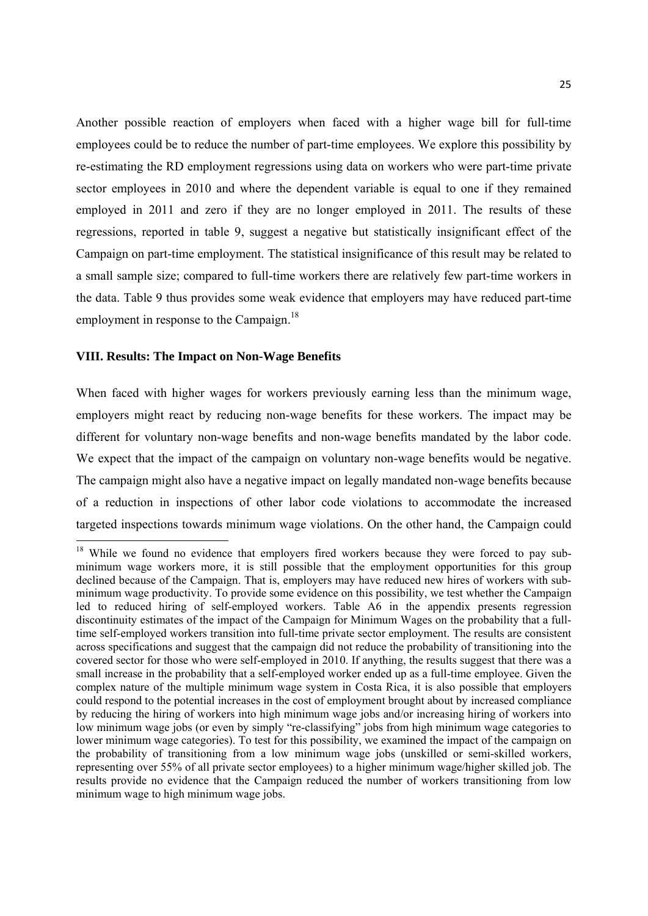Another possible reaction of employers when faced with a higher wage bill for full-time employees could be to reduce the number of part-time employees. We explore this possibility by re-estimating the RD employment regressions using data on workers who were part-time private sector employees in 2010 and where the dependent variable is equal to one if they remained employed in 2011 and zero if they are no longer employed in 2011. The results of these regressions, reported in table 9, suggest a negative but statistically insignificant effect of the Campaign on part-time employment. The statistical insignificance of this result may be related to a small sample size; compared to full-time workers there are relatively few part-time workers in the data. Table 9 thus provides some weak evidence that employers may have reduced part-time employment in response to the Campaign.<sup>18</sup>

#### **VIII. Results: The Impact on Non-Wage Benefits**

When faced with higher wages for workers previously earning less than the minimum wage, employers might react by reducing non-wage benefits for these workers. The impact may be different for voluntary non-wage benefits and non-wage benefits mandated by the labor code. We expect that the impact of the campaign on voluntary non-wage benefits would be negative. The campaign might also have a negative impact on legally mandated non-wage benefits because of a reduction in inspections of other labor code violations to accommodate the increased targeted inspections towards minimum wage violations. On the other hand, the Campaign could

 $18$  While we found no evidence that employers fired workers because they were forced to pay subminimum wage workers more, it is still possible that the employment opportunities for this group declined because of the Campaign. That is, employers may have reduced new hires of workers with subminimum wage productivity. To provide some evidence on this possibility, we test whether the Campaign led to reduced hiring of self-employed workers. Table A6 in the appendix presents regression discontinuity estimates of the impact of the Campaign for Minimum Wages on the probability that a fulltime self-employed workers transition into full-time private sector employment. The results are consistent across specifications and suggest that the campaign did not reduce the probability of transitioning into the covered sector for those who were self-employed in 2010. If anything, the results suggest that there was a small increase in the probability that a self-employed worker ended up as a full-time employee. Given the complex nature of the multiple minimum wage system in Costa Rica, it is also possible that employers could respond to the potential increases in the cost of employment brought about by increased compliance by reducing the hiring of workers into high minimum wage jobs and/or increasing hiring of workers into low minimum wage jobs (or even by simply "re-classifying" jobs from high minimum wage categories to lower minimum wage categories). To test for this possibility, we examined the impact of the campaign on the probability of transitioning from a low minimum wage jobs (unskilled or semi-skilled workers, representing over 55% of all private sector employees) to a higher minimum wage/higher skilled job. The results provide no evidence that the Campaign reduced the number of workers transitioning from low minimum wage to high minimum wage jobs.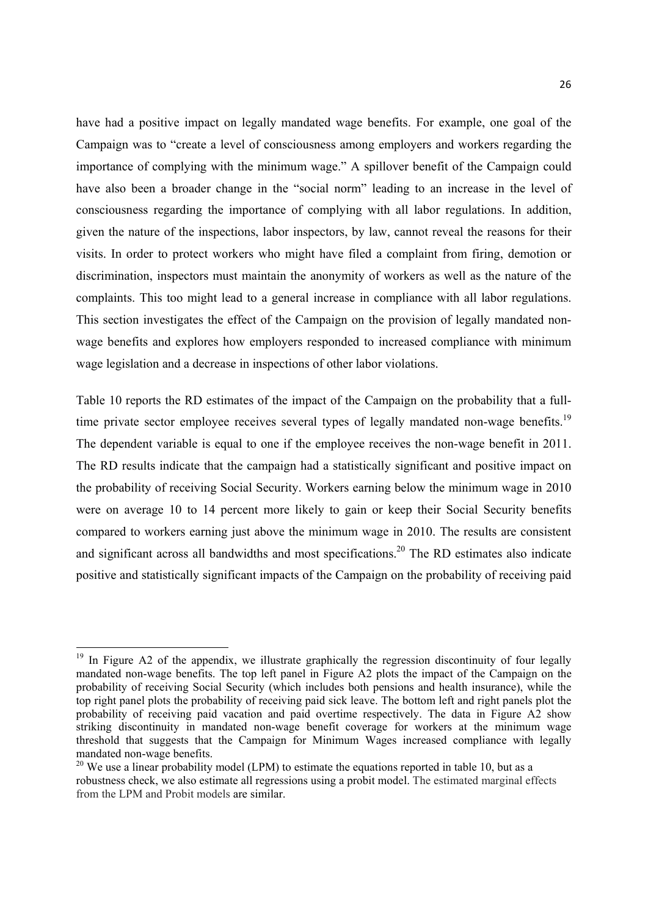have had a positive impact on legally mandated wage benefits. For example, one goal of the Campaign was to "create a level of consciousness among employers and workers regarding the importance of complying with the minimum wage." A spillover benefit of the Campaign could have also been a broader change in the "social norm" leading to an increase in the level of consciousness regarding the importance of complying with all labor regulations. In addition, given the nature of the inspections, labor inspectors, by law, cannot reveal the reasons for their visits. In order to protect workers who might have filed a complaint from firing, demotion or discrimination, inspectors must maintain the anonymity of workers as well as the nature of the complaints. This too might lead to a general increase in compliance with all labor regulations. This section investigates the effect of the Campaign on the provision of legally mandated nonwage benefits and explores how employers responded to increased compliance with minimum wage legislation and a decrease in inspections of other labor violations.

Table 10 reports the RD estimates of the impact of the Campaign on the probability that a fulltime private sector employee receives several types of legally mandated non-wage benefits.<sup>19</sup> The dependent variable is equal to one if the employee receives the non-wage benefit in 2011. The RD results indicate that the campaign had a statistically significant and positive impact on the probability of receiving Social Security. Workers earning below the minimum wage in 2010 were on average 10 to 14 percent more likely to gain or keep their Social Security benefits compared to workers earning just above the minimum wage in 2010. The results are consistent and significant across all bandwidths and most specifications.<sup>20</sup> The RD estimates also indicate positive and statistically significant impacts of the Campaign on the probability of receiving paid

 $19$  In Figure A2 of the appendix, we illustrate graphically the regression discontinuity of four legally mandated non-wage benefits. The top left panel in Figure A2 plots the impact of the Campaign on the probability of receiving Social Security (which includes both pensions and health insurance), while the top right panel plots the probability of receiving paid sick leave. The bottom left and right panels plot the probability of receiving paid vacation and paid overtime respectively. The data in Figure A2 show striking discontinuity in mandated non-wage benefit coverage for workers at the minimum wage threshold that suggests that the Campaign for Minimum Wages increased compliance with legally mandated non-wage benefits.

<sup>&</sup>lt;sup>20</sup> We use a linear probability model (LPM) to estimate the equations reported in table 10, but as a robustness check, we also estimate all regressions using a probit model. The estimated marginal effects from the LPM and Probit models are similar.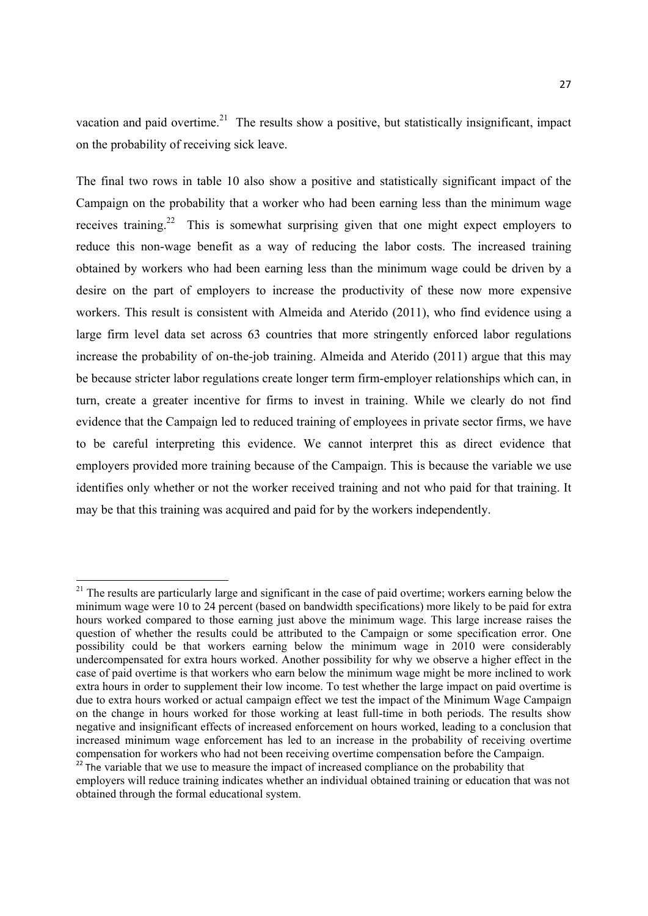vacation and paid overtime.<sup>21</sup> The results show a positive, but statistically insignificant, impact on the probability of receiving sick leave.

The final two rows in table 10 also show a positive and statistically significant impact of the Campaign on the probability that a worker who had been earning less than the minimum wage receives training.22 This is somewhat surprising given that one might expect employers to reduce this non-wage benefit as a way of reducing the labor costs. The increased training obtained by workers who had been earning less than the minimum wage could be driven by a desire on the part of employers to increase the productivity of these now more expensive workers. This result is consistent with Almeida and Aterido (2011), who find evidence using a large firm level data set across 63 countries that more stringently enforced labor regulations increase the probability of on-the-job training. Almeida and Aterido (2011) argue that this may be because stricter labor regulations create longer term firm-employer relationships which can, in turn, create a greater incentive for firms to invest in training. While we clearly do not find evidence that the Campaign led to reduced training of employees in private sector firms, we have to be careful interpreting this evidence. We cannot interpret this as direct evidence that employers provided more training because of the Campaign. This is because the variable we use identifies only whether or not the worker received training and not who paid for that training. It may be that this training was acquired and paid for by the workers independently.

<sup>&</sup>lt;sup>21</sup> The results are particularly large and significant in the case of paid overtime; workers earning below the minimum wage were 10 to 24 percent (based on bandwidth specifications) more likely to be paid for extra hours worked compared to those earning just above the minimum wage. This large increase raises the question of whether the results could be attributed to the Campaign or some specification error. One possibility could be that workers earning below the minimum wage in 2010 were considerably undercompensated for extra hours worked. Another possibility for why we observe a higher effect in the case of paid overtime is that workers who earn below the minimum wage might be more inclined to work extra hours in order to supplement their low income. To test whether the large impact on paid overtime is due to extra hours worked or actual campaign effect we test the impact of the Minimum Wage Campaign on the change in hours worked for those working at least full-time in both periods. The results show negative and insignificant effects of increased enforcement on hours worked, leading to a conclusion that increased minimum wage enforcement has led to an increase in the probability of receiving overtime compensation for workers who had not been receiving overtime compensation before the Campaign. <sup>22</sup> The variable that we use to measure the impact of increased compliance on the probability that

employers will reduce training indicates whether an individual obtained training or education that was not obtained through the formal educational system.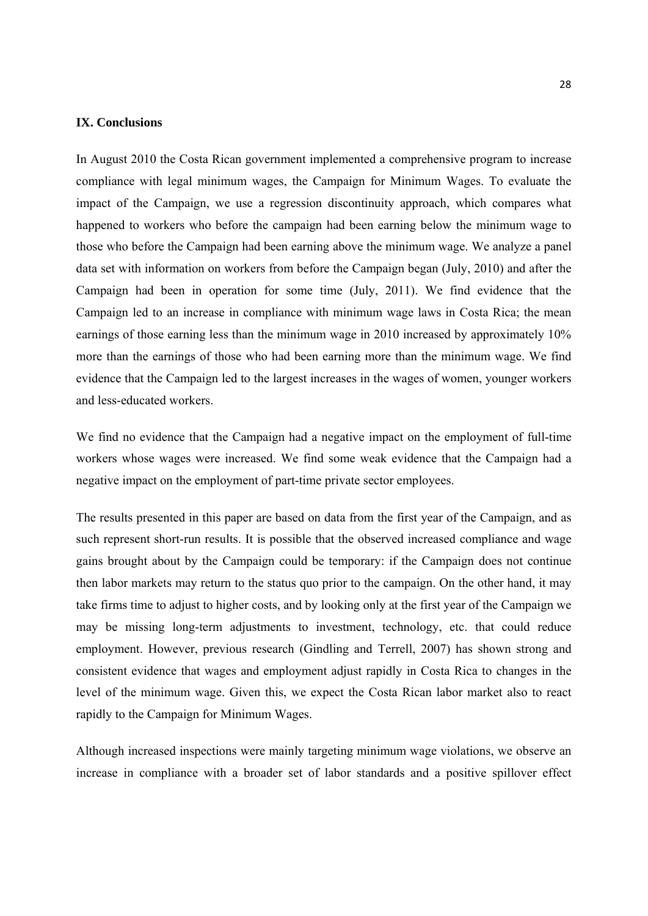#### **IX. Conclusions**

In August 2010 the Costa Rican government implemented a comprehensive program to increase compliance with legal minimum wages, the Campaign for Minimum Wages. To evaluate the impact of the Campaign, we use a regression discontinuity approach, which compares what happened to workers who before the campaign had been earning below the minimum wage to those who before the Campaign had been earning above the minimum wage. We analyze a panel data set with information on workers from before the Campaign began (July, 2010) and after the Campaign had been in operation for some time (July, 2011). We find evidence that the Campaign led to an increase in compliance with minimum wage laws in Costa Rica; the mean earnings of those earning less than the minimum wage in 2010 increased by approximately 10% more than the earnings of those who had been earning more than the minimum wage. We find evidence that the Campaign led to the largest increases in the wages of women, younger workers and less-educated workers.

We find no evidence that the Campaign had a negative impact on the employment of full-time workers whose wages were increased. We find some weak evidence that the Campaign had a negative impact on the employment of part-time private sector employees.

The results presented in this paper are based on data from the first year of the Campaign, and as such represent short-run results. It is possible that the observed increased compliance and wage gains brought about by the Campaign could be temporary: if the Campaign does not continue then labor markets may return to the status quo prior to the campaign. On the other hand, it may take firms time to adjust to higher costs, and by looking only at the first year of the Campaign we may be missing long-term adjustments to investment, technology, etc. that could reduce employment. However, previous research (Gindling and Terrell, 2007) has shown strong and consistent evidence that wages and employment adjust rapidly in Costa Rica to changes in the level of the minimum wage. Given this, we expect the Costa Rican labor market also to react rapidly to the Campaign for Minimum Wages.

Although increased inspections were mainly targeting minimum wage violations, we observe an increase in compliance with a broader set of labor standards and a positive spillover effect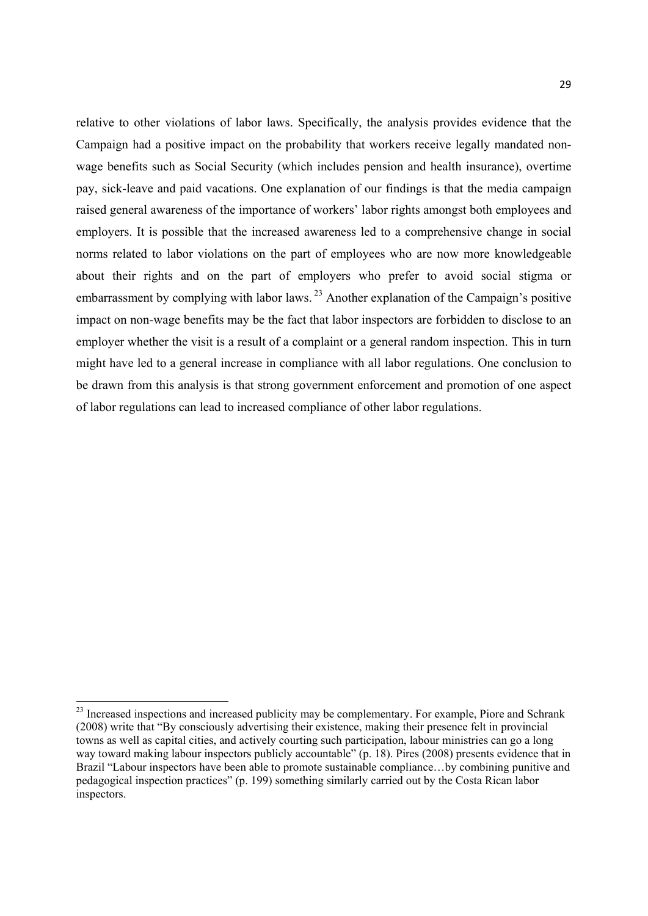relative to other violations of labor laws. Specifically, the analysis provides evidence that the Campaign had a positive impact on the probability that workers receive legally mandated nonwage benefits such as Social Security (which includes pension and health insurance), overtime pay, sick-leave and paid vacations. One explanation of our findings is that the media campaign raised general awareness of the importance of workers' labor rights amongst both employees and employers. It is possible that the increased awareness led to a comprehensive change in social norms related to labor violations on the part of employees who are now more knowledgeable about their rights and on the part of employers who prefer to avoid social stigma or embarrassment by complying with labor laws.  $^{23}$  Another explanation of the Campaign's positive impact on non-wage benefits may be the fact that labor inspectors are forbidden to disclose to an employer whether the visit is a result of a complaint or a general random inspection. This in turn might have led to a general increase in compliance with all labor regulations. One conclusion to be drawn from this analysis is that strong government enforcement and promotion of one aspect of labor regulations can lead to increased compliance of other labor regulations.

<sup>&</sup>lt;sup>23</sup> Increased inspections and increased publicity may be complementary. For example, Piore and Schrank (2008) write that "By consciously advertising their existence, making their presence felt in provincial towns as well as capital cities, and actively courting such participation, labour ministries can go a long way toward making labour inspectors publicly accountable" (p. 18). Pires (2008) presents evidence that in Brazil "Labour inspectors have been able to promote sustainable compliance…by combining punitive and pedagogical inspection practices" (p. 199) something similarly carried out by the Costa Rican labor inspectors.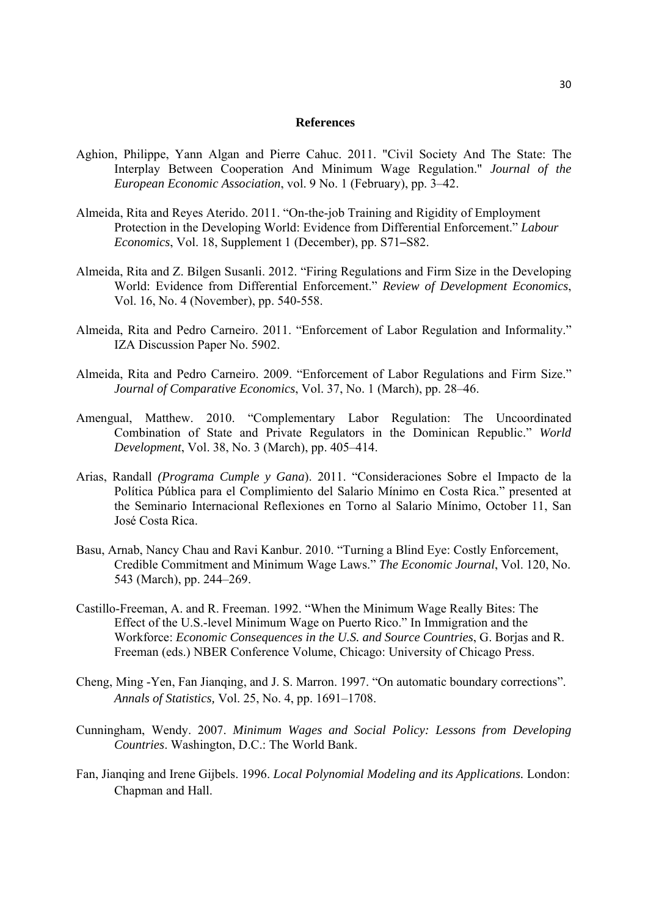#### **References**

- Aghion, Philippe, Yann Algan and Pierre Cahuc. 2011. "Civil Society And The State: The Interplay Between Cooperation And Minimum Wage Regulation." *Journal of the European Economic Association*, vol. 9 No. 1 (February), pp. 3–42.
- Almeida, Rita and Reyes Aterido. 2011. "On-the-job Training and Rigidity of Employment Protection in the Developing World: Evidence from Differential Enforcement." *Labour Economics*, Vol. 18, Supplement 1 (December), pp. S71**–**S82.
- Almeida, Rita and Z. Bilgen Susanli. 2012. "Firing Regulations and Firm Size in the Developing World: Evidence from Differential Enforcement." *Review of Development Economics*, Vol. 16, No. 4 (November), pp. 540-558.
- Almeida, Rita and Pedro Carneiro. 2011. "Enforcement of Labor Regulation and Informality." IZA Discussion Paper No. 5902.
- Almeida, Rita and Pedro Carneiro. 2009. "Enforcement of Labor Regulations and Firm Size." *Journal of Comparative Economics*, Vol. 37, No. 1 (March), pp. 28–46.
- Amengual, Matthew. 2010. "Complementary Labor Regulation: The Uncoordinated Combination of State and Private Regulators in the Dominican Republic." *World Development*, Vol. 38, No. 3 (March), pp. 405–414.
- Arias, Randall *(Programa Cumple y Gana*). 2011. "Consideraciones Sobre el Impacto de la Política Pública para el Complimiento del Salario Mínimo en Costa Rica." presented at the Seminario Internacional Reflexiones en Torno al Salario Mínimo, October 11, San José Costa Rica.
- Basu, Arnab, Nancy Chau and Ravi Kanbur. 2010. "Turning a Blind Eye: Costly Enforcement, Credible Commitment and Minimum Wage Laws." *The Economic Journal*, Vol. 120, No. 543 (March), pp. 244–269.
- Castillo-Freeman, A. and R. Freeman. 1992. "When the Minimum Wage Really Bites: The Effect of the U.S.-level Minimum Wage on Puerto Rico." In Immigration and the Workforce: *Economic Consequences in the U.S. and Source Countries*, G. Borjas and R. Freeman (eds.) NBER Conference Volume, Chicago: University of Chicago Press.
- Cheng, Ming -Yen, Fan Jianqing, and J. S. Marron. 1997. "On automatic boundary corrections". *Annals of Statistics,* Vol. 25, No. 4, pp. 1691–1708.
- Cunningham, Wendy. 2007. *Minimum Wages and Social Policy: Lessons from Developing Countries*. Washington, D.C.: The World Bank.
- Fan, Jianqing and Irene Gijbels. 1996. *Local Polynomial Modeling and its Applications.* London: Chapman and Hall.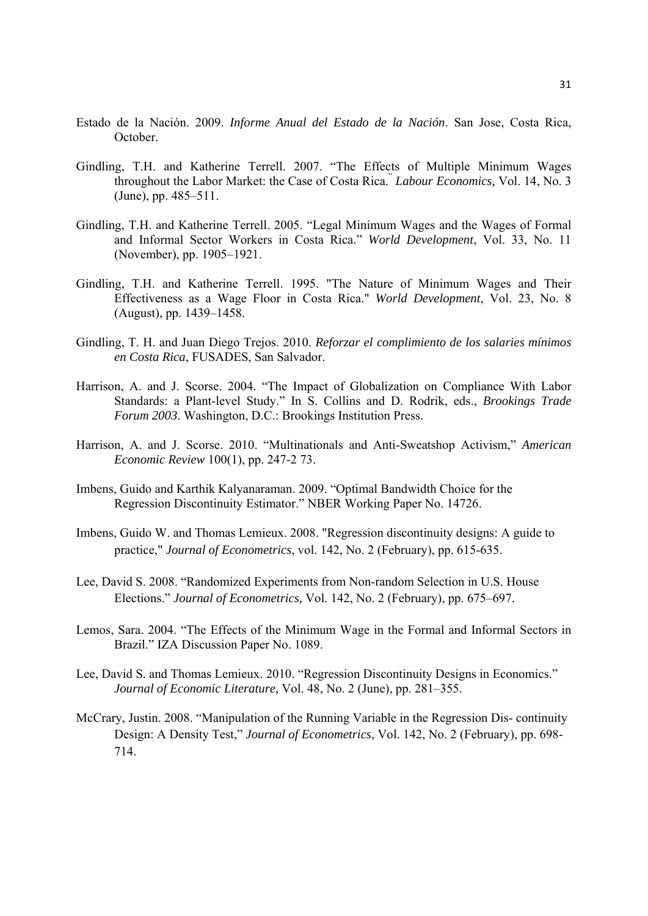- Estado de la Nación. 2009. *Informe Anual del Estado de la Nación*. San Jose, Costa Rica, October.
- Gindling, T.H. and Katherine Terrell. 2007. "The Effects of Multiple Minimum Wages throughout the Labor Market: the Case of Costa Rica." *Labour Economics,* Vol. 14, No. 3 (June), pp. 485–511.
- Gindling, T.H. and Katherine Terrell. 2005. "Legal Minimum Wages and the Wages of Formal and Informal Sector Workers in Costa Rica." *World Development*, Vol. 33, No. 11 (November), pp. 1905–1921.
- Gindling, T.H. and Katherine Terrell. 1995. "The Nature of Minimum Wages and Their Effectiveness as a Wage Floor in Costa Rica." *World Development*, Vol. 23, No. 8 (August), pp. 1439–1458.
- Gindling, T. H. and Juan Diego Trejos. 2010. *Reforzar el complimiento de los salaries mínimos en Costa Rica*, FUSADES, San Salvador.
- Harrison, A. and J. Scorse. 2004. "The Impact of Globalization on Compliance With Labor Standards: a Plant-level Study." In S. Collins and D. Rodrik, eds., *Brookings Trade Forum 2003*. Washington, D.C.: Brookings Institution Press.
- Harrison, A. and J. Scorse. 2010. "Multinationals and Anti-Sweatshop Activism," *American Economic Review* 100(1), pp. 247-2 73.
- Imbens, Guido and Karthik Kalyanaraman. 2009. "Optimal Bandwidth Choice for the Regression Discontinuity Estimator." NBER Working Paper No. 14726.
- Imbens, Guido W. and Thomas Lemieux. 2008. "Regression discontinuity designs: A guide to practice," *Journal of Econometrics*, vol. 142, No. 2 (February), pp. 615-635.
- Lee, David S. 2008. "Randomized Experiments from Non-random Selection in U.S. House Elections." *Journal of Econometrics,* Vol. 142, No. 2 (February), pp. 675–697.
- Lemos, Sara. 2004. "The Effects of the Minimum Wage in the Formal and Informal Sectors in Brazil." IZA Discussion Paper No. 1089.
- Lee, David S. and Thomas Lemieux. 2010. "Regression Discontinuity Designs in Economics." *Journal of Economic Literature,* Vol. 48, No. 2 (June), pp. 281–355.
- McCrary, Justin. 2008. "Manipulation of the Running Variable in the Regression Dis- continuity Design: A Density Test," *Journal of Econometrics*, Vol. 142, No. 2 (February), pp. 698- 714.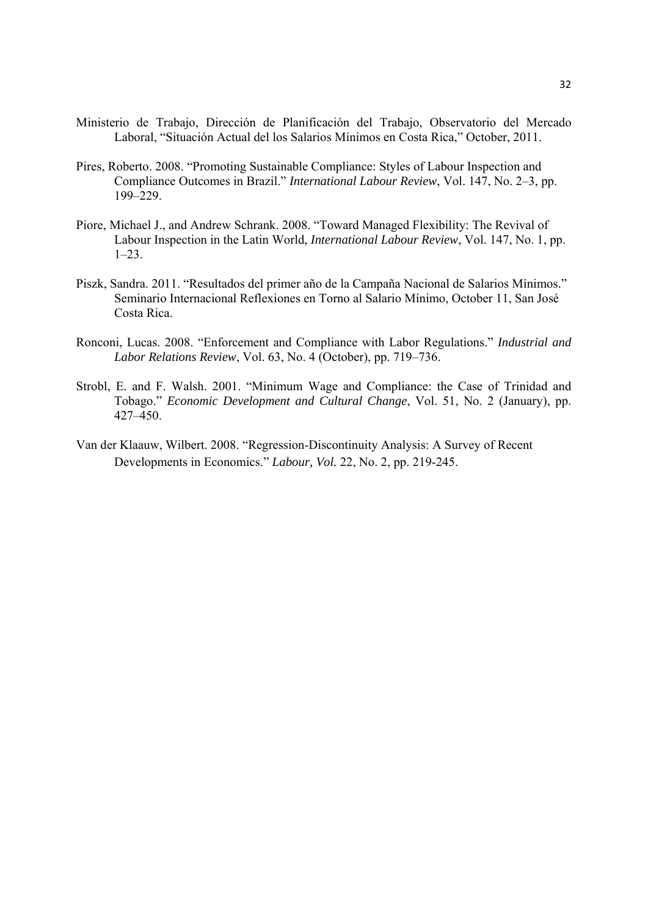- Ministerio de Trabajo, Dirección de Planificación del Trabajo, Observatorio del Mercado Laboral, "Situación Actual del los Salarios Mínimos en Costa Rica," October, 2011.
- Pires, Roberto. 2008. "Promoting Sustainable Compliance: Styles of Labour Inspection and Compliance Outcomes in Brazil." *International Labour Review*, Vol. 147, No. 2–3, pp. 199–229.
- Piore, Michael J., and Andrew Schrank. 2008. "Toward Managed Flexibility: The Revival of Labour Inspection in the Latin World, *International Labour Review*, Vol. 147, No. 1, pp. 1–23.
- Piszk, Sandra. 2011. "Resultados del primer año de la Campaña Nacional de Salarios Mínimos." Seminario Internacional Reflexiones en Torno al Salario Mínimo, October 11, San José Costa Rica.
- Ronconi, Lucas. 2008. "Enforcement and Compliance with Labor Regulations." *Industrial and Labor Relations Review*, Vol. 63, No. 4 (October), pp. 719–736.
- Strobl, E. and F. Walsh. 2001. "Minimum Wage and Compliance: the Case of Trinidad and Tobago." *Economic Development and Cultural Change*, Vol. 51, No. 2 (January), pp. 427–450.
- Van der Klaauw, Wilbert. 2008. "Regression-Discontinuity Analysis: A Survey of Recent Developments in Economics." *Labour, Vol.* 22, No. 2, pp. 219-245.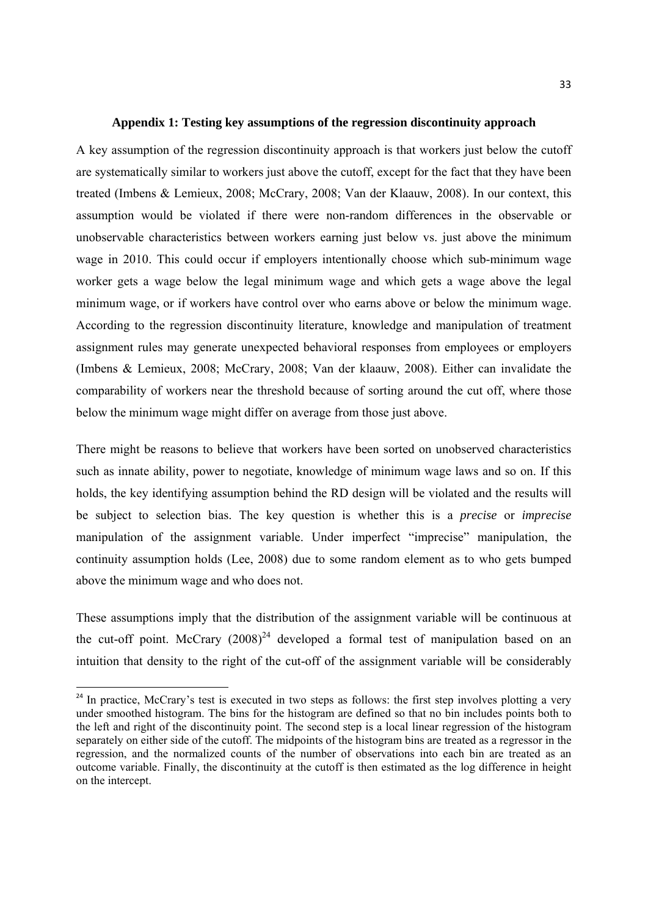#### **Appendix 1: Testing key assumptions of the regression discontinuity approach**

A key assumption of the regression discontinuity approach is that workers just below the cutoff are systematically similar to workers just above the cutoff, except for the fact that they have been treated (Imbens & Lemieux, 2008; McCrary, 2008; Van der Klaauw, 2008). In our context, this assumption would be violated if there were non-random differences in the observable or unobservable characteristics between workers earning just below vs. just above the minimum wage in 2010. This could occur if employers intentionally choose which sub-minimum wage worker gets a wage below the legal minimum wage and which gets a wage above the legal minimum wage, or if workers have control over who earns above or below the minimum wage. According to the regression discontinuity literature, knowledge and manipulation of treatment assignment rules may generate unexpected behavioral responses from employees or employers (Imbens & Lemieux, 2008; McCrary, 2008; Van der klaauw, 2008). Either can invalidate the comparability of workers near the threshold because of sorting around the cut off, where those below the minimum wage might differ on average from those just above.

There might be reasons to believe that workers have been sorted on unobserved characteristics such as innate ability, power to negotiate, knowledge of minimum wage laws and so on. If this holds, the key identifying assumption behind the RD design will be violated and the results will be subject to selection bias. The key question is whether this is a *precise* or *imprecise* manipulation of the assignment variable. Under imperfect "imprecise" manipulation, the continuity assumption holds (Lee, 2008) due to some random element as to who gets bumped above the minimum wage and who does not.

These assumptions imply that the distribution of the assignment variable will be continuous at the cut-off point. McCrary  $(2008)^{24}$  developed a formal test of manipulation based on an intuition that density to the right of the cut-off of the assignment variable will be considerably

<sup>&</sup>lt;sup>24</sup> In practice, McCrary's test is executed in two steps as follows: the first step involves plotting a very under smoothed histogram. The bins for the histogram are defined so that no bin includes points both to the left and right of the discontinuity point. The second step is a local linear regression of the histogram separately on either side of the cutoff. The midpoints of the histogram bins are treated as a regressor in the regression, and the normalized counts of the number of observations into each bin are treated as an outcome variable. Finally, the discontinuity at the cutoff is then estimated as the log difference in height on the intercept.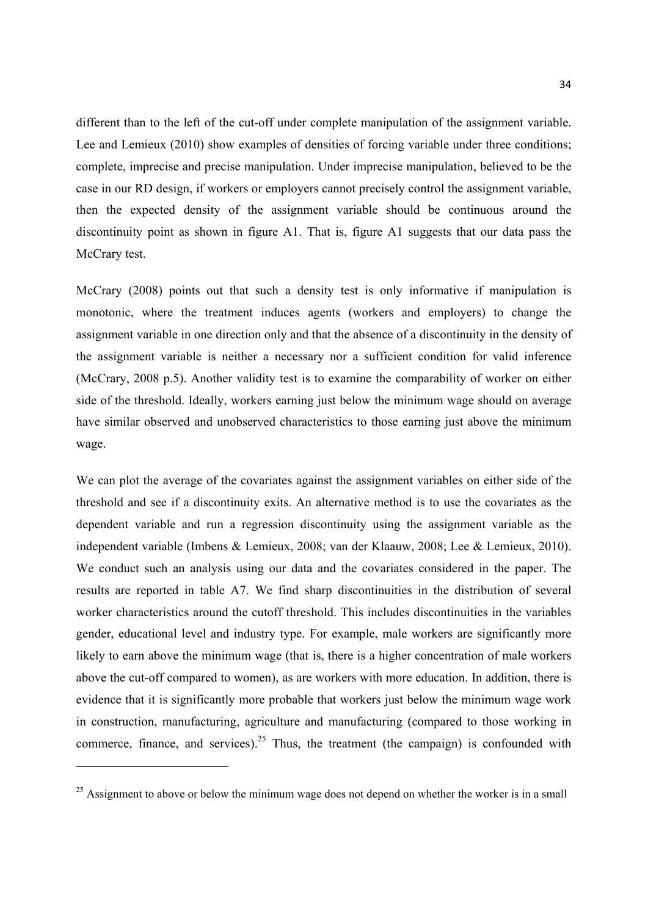different than to the left of the cut-off under complete manipulation of the assignment variable. Lee and Lemieux (2010) show examples of densities of forcing variable under three conditions; complete, imprecise and precise manipulation. Under imprecise manipulation, believed to be the case in our RD design, if workers or employers cannot precisely control the assignment variable, then the expected density of the assignment variable should be continuous around the discontinuity point as shown in figure A1. That is, figure A1 suggests that our data pass the McCrary test.

McCrary (2008) points out that such a density test is only informative if manipulation is monotonic, where the treatment induces agents (workers and employers) to change the assignment variable in one direction only and that the absence of a discontinuity in the density of the assignment variable is neither a necessary nor a sufficient condition for valid inference (McCrary, 2008 p.5). Another validity test is to examine the comparability of worker on either side of the threshold. Ideally, workers earning just below the minimum wage should on average have similar observed and unobserved characteristics to those earning just above the minimum wage.

We can plot the average of the covariates against the assignment variables on either side of the threshold and see if a discontinuity exits. An alternative method is to use the covariates as the dependent variable and run a regression discontinuity using the assignment variable as the independent variable (Imbens & Lemieux, 2008; van der Klaauw, 2008; Lee & Lemieux, 2010). We conduct such an analysis using our data and the covariates considered in the paper. The results are reported in table A7. We find sharp discontinuities in the distribution of several worker characteristics around the cutoff threshold. This includes discontinuities in the variables gender, educational level and industry type. For example, male workers are significantly more likely to earn above the minimum wage (that is, there is a higher concentration of male workers above the cut-off compared to women), as are workers with more education. In addition, there is evidence that it is significantly more probable that workers just below the minimum wage work in construction, manufacturing, agriculture and manufacturing (compared to those working in commerce, finance, and services).<sup>25</sup> Thus, the treatment (the campaign) is confounded with

 $25$  Assignment to above or below the minimum wage does not depend on whether the worker is in a small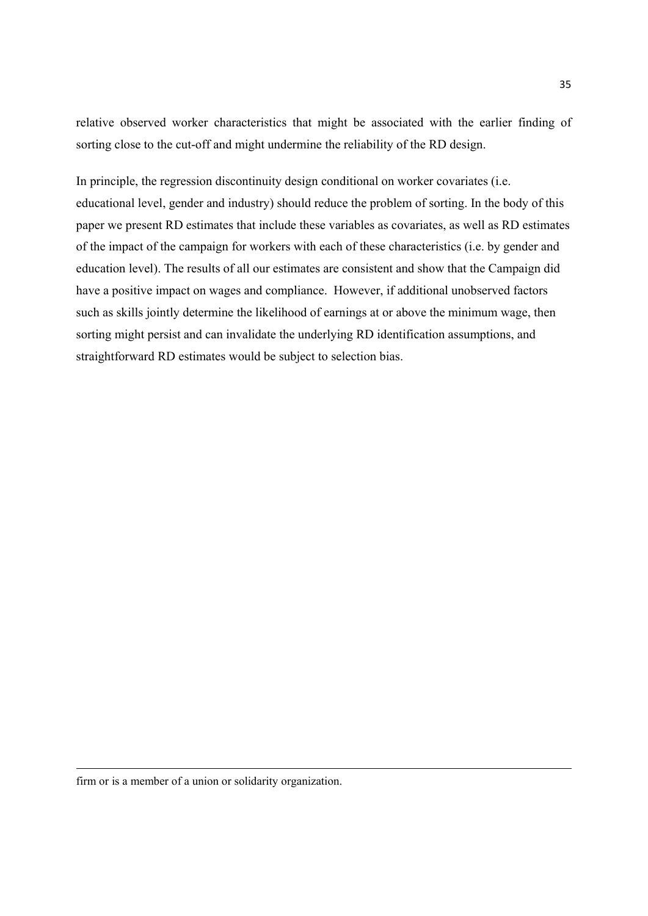relative observed worker characteristics that might be associated with the earlier finding of sorting close to the cut-off and might undermine the reliability of the RD design.

In principle, the regression discontinuity design conditional on worker covariates (i.e. educational level, gender and industry) should reduce the problem of sorting. In the body of this paper we present RD estimates that include these variables as covariates, as well as RD estimates of the impact of the campaign for workers with each of these characteristics (i.e. by gender and education level). The results of all our estimates are consistent and show that the Campaign did have a positive impact on wages and compliance. However, if additional unobserved factors such as skills jointly determine the likelihood of earnings at or above the minimum wage, then sorting might persist and can invalidate the underlying RD identification assumptions, and straightforward RD estimates would be subject to selection bias.

<u> 1989 - Johann Stoff, fransk politik (f. 1989)</u>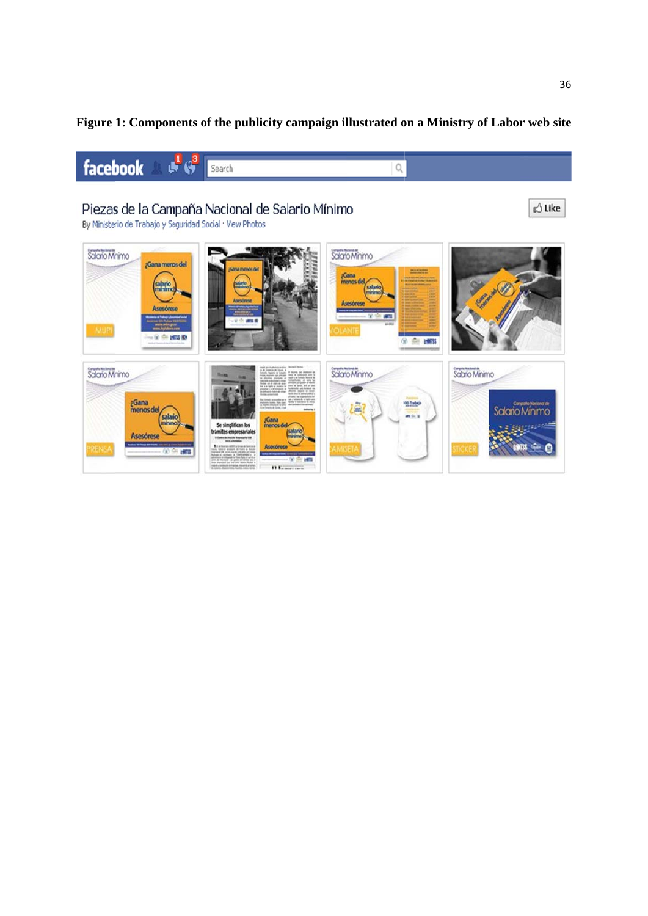### Figure 1: Components of the publicity campaign illustrated on a Ministry of Labor web site

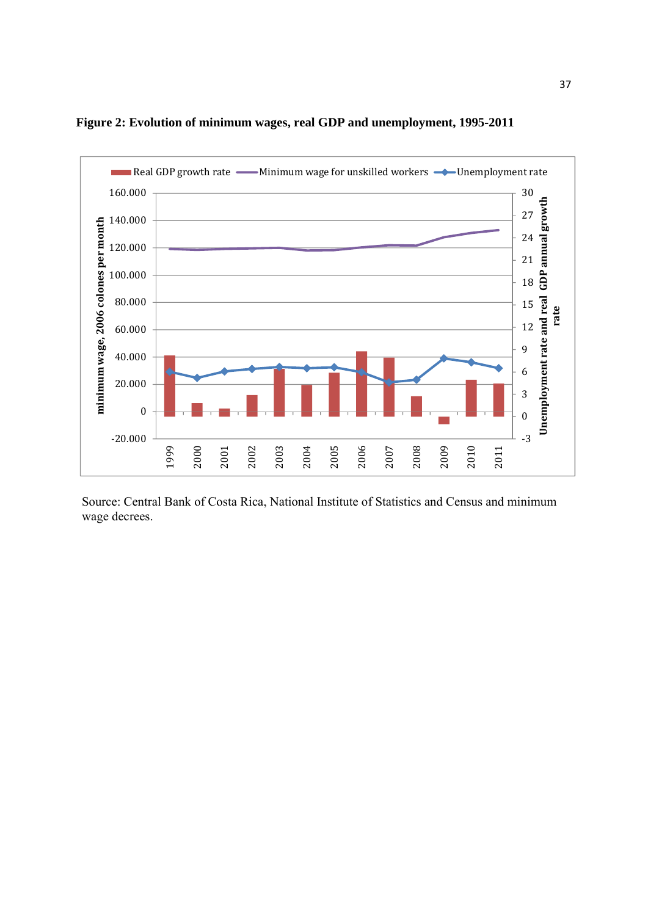

#### **Figure 2: Evolution of minimum wages, real GDP and unemployment, 1995-2011**

Source: Central Bank of Costa Rica, National Institute of Statistics and Census and minimum wage decrees.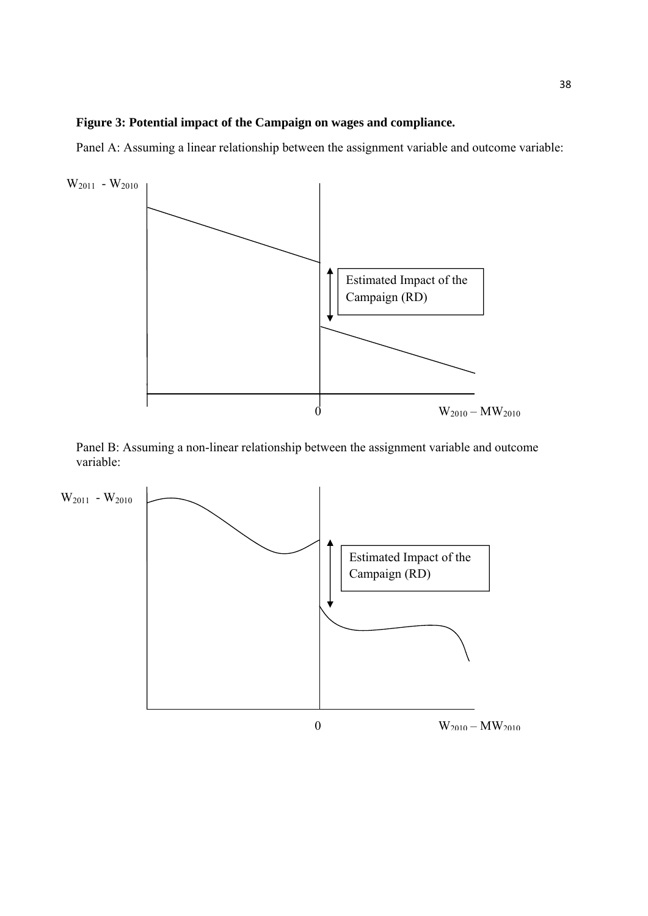#### **Figure 3: Potential impact of the Campaign on wages and compliance.**

Panel A: Assuming a linear relationship between the assignment variable and outcome variable:



Panel B: Assuming a non-linear relationship between the assignment variable and outcome variable:

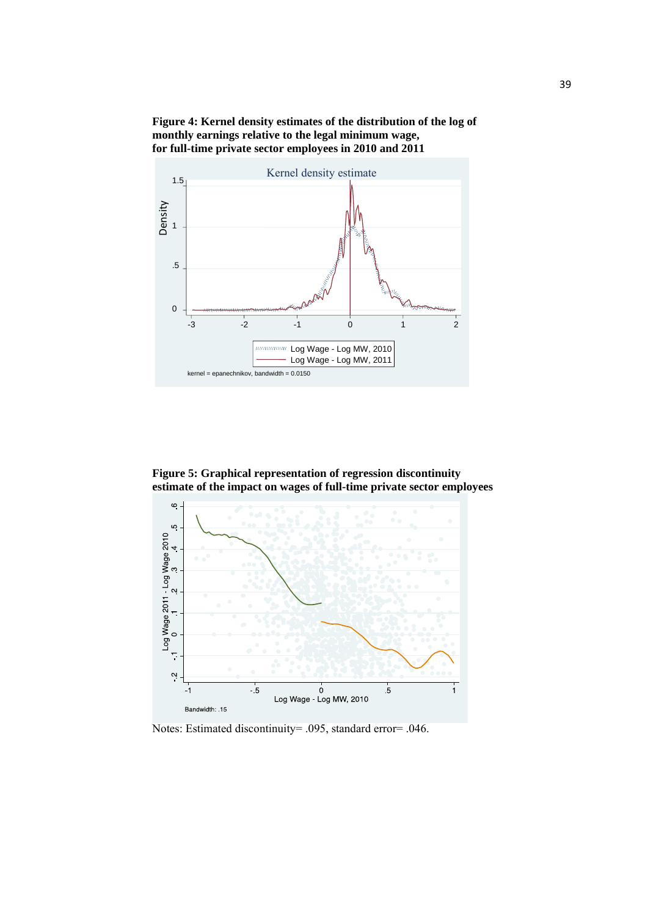**Figure 4: Kernel density estimates of the distribution of the log of monthly earnings relative to the legal minimum wage, for full-time private sector employees in 2010 and 2011** 



**Figure 5: Graphical representation of regression discontinuity estimate of the impact on wages of full-time private sector employees** 



Notes: Estimated discontinuity= .095, standard error= .046.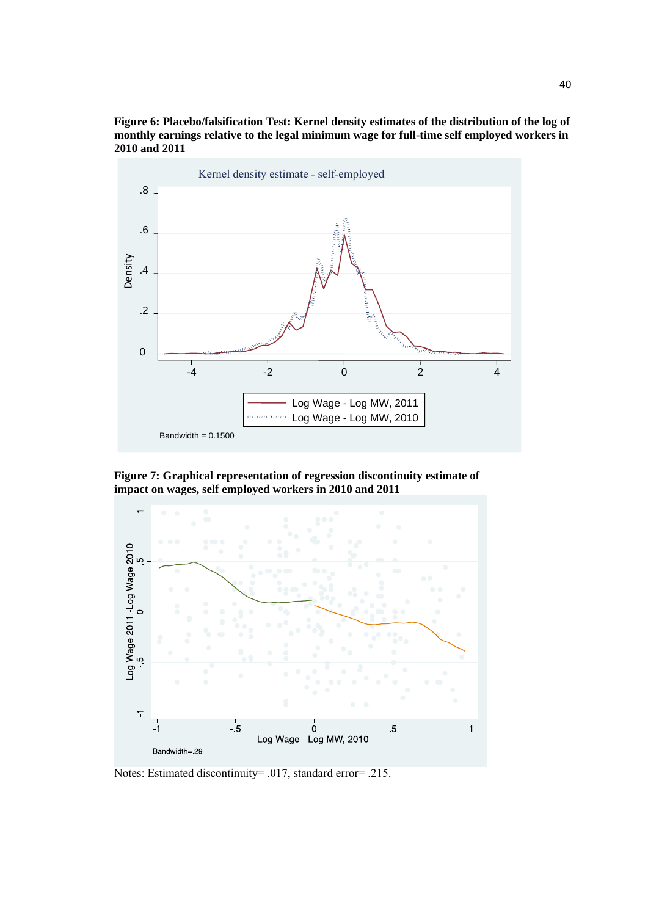



**Figure 7: Graphical representation of regression discontinuity estimate of impact on wages, self employed workers in 2010 and 2011** 



Notes: Estimated discontinuity= .017, standard error= .215.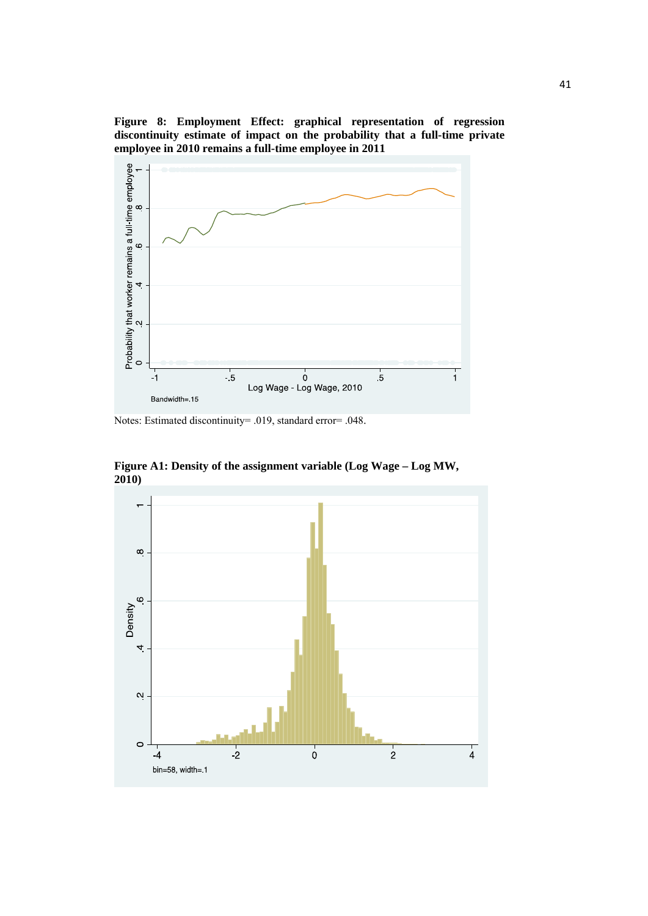**Figure 8: Employment Effect: graphical representation of regression discontinuity estimate of impact on the probability that a full-time private employee in 2010 remains a full-time employee in 2011** 



Notes: Estimated discontinuity= .019, standard error= .048.



**Figure A1: Density of the assignment variable (Log Wage – Log MW, 2010)**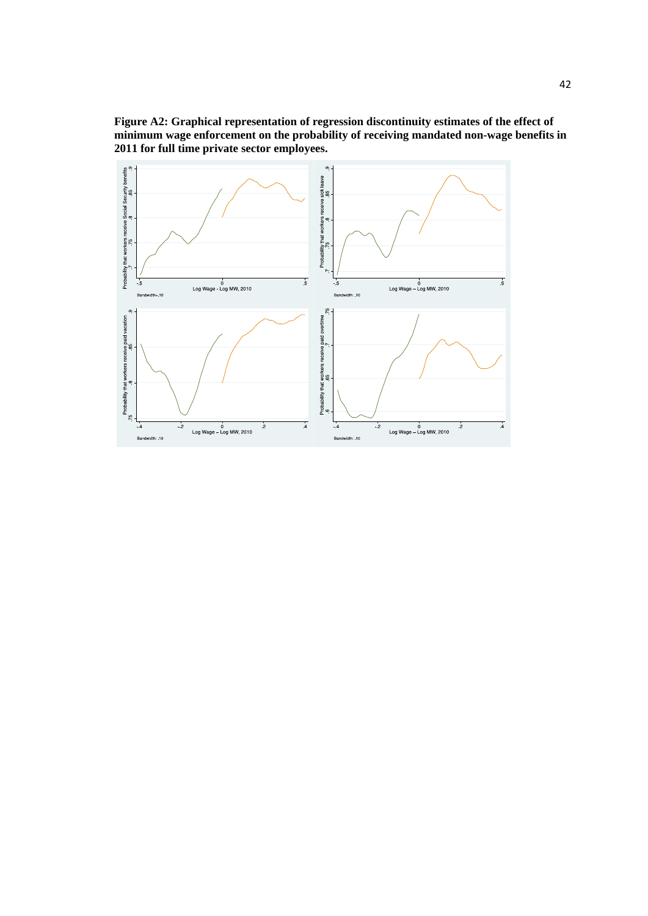

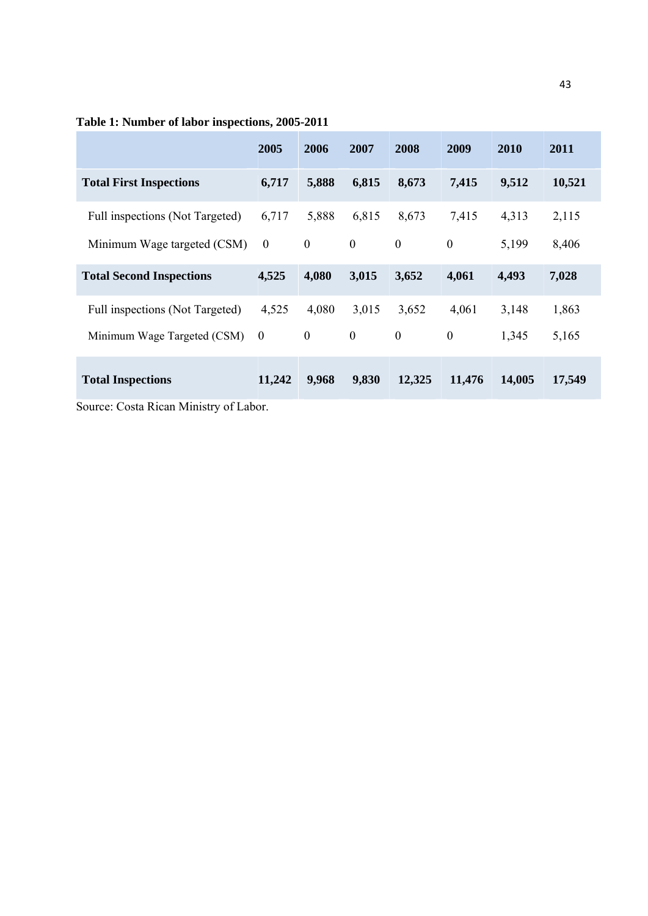|                                 | 2005           | 2006             | 2007             | 2008             | 2009             | 2010   | 2011   |
|---------------------------------|----------------|------------------|------------------|------------------|------------------|--------|--------|
| <b>Total First Inspections</b>  | 6,717          | 5,888            | 6,815            | 8,673            | 7,415            | 9,512  | 10,521 |
| Full inspections (Not Targeted) | 6,717          | 5,888            | 6,815            | 8,673            | 7,415            | 4,313  | 2,115  |
| Minimum Wage targeted (CSM)     | $\mathbf{0}$   | $\boldsymbol{0}$ | $\boldsymbol{0}$ | $\boldsymbol{0}$ | $\overline{0}$   | 5,199  | 8,406  |
| <b>Total Second Inspections</b> | 4,525          | 4,080            | 3,015            | 3,652            | 4,061            | 4,493  | 7,028  |
| Full inspections (Not Targeted) | 4,525          | 4,080            | 3,015            | 3,652            | 4,061            | 3,148  | 1,863  |
| Minimum Wage Targeted (CSM)     | $\overline{0}$ | $\boldsymbol{0}$ | $\boldsymbol{0}$ | $\mathbf{0}$     | $\boldsymbol{0}$ | 1,345  | 5,165  |
| <b>Total Inspections</b>        | 11,242         | 9,968            | 9,830            | 12,325           | 11,476           | 14,005 | 17,549 |

### **Table 1: Number of labor inspections, 2005-2011**

Source: Costa Rican Ministry of Labor.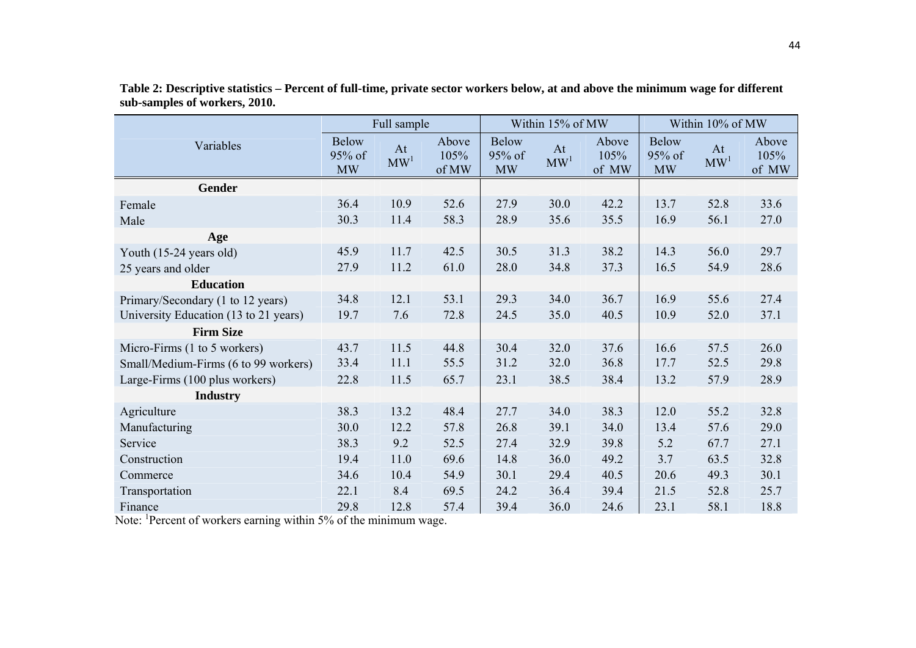|                                       | Full sample                         |                       |                        |                                     | Within 15% of MW      |                        | Within 10% of MW                    |                       |                        |
|---------------------------------------|-------------------------------------|-----------------------|------------------------|-------------------------------------|-----------------------|------------------------|-------------------------------------|-----------------------|------------------------|
| Variables                             | <b>Below</b><br>95% of<br><b>MW</b> | At<br>MW <sup>1</sup> | Above<br>105%<br>of MW | <b>Below</b><br>95% of<br><b>MW</b> | At<br>MW <sup>1</sup> | Above<br>105%<br>of MW | <b>Below</b><br>95% of<br><b>MW</b> | At<br>MW <sup>1</sup> | Above<br>105%<br>of MW |
| <b>Gender</b>                         |                                     |                       |                        |                                     |                       |                        |                                     |                       |                        |
| Female                                | 36.4                                | 10.9                  | 52.6                   | 27.9                                | 30.0                  | 42.2                   | 13.7                                | 52.8                  | 33.6                   |
| Male                                  | 30.3                                | 11.4                  | 58.3                   | 28.9                                | 35.6                  | 35.5                   | 16.9                                | 56.1                  | 27.0                   |
| Age                                   |                                     |                       |                        |                                     |                       |                        |                                     |                       |                        |
| Youth (15-24 years old)               | 45.9                                | 11.7                  | 42.5                   | 30.5                                | 31.3                  | 38.2                   | 14.3                                | 56.0                  | 29.7                   |
| 25 years and older                    | 27.9                                | 11.2                  | 61.0                   | 28.0                                | 34.8                  | 37.3                   | 16.5                                | 54.9                  | 28.6                   |
| <b>Education</b>                      |                                     |                       |                        |                                     |                       |                        |                                     |                       |                        |
| Primary/Secondary (1 to 12 years)     | 34.8                                | 12.1                  | 53.1                   | 29.3                                | 34.0                  | 36.7                   | 16.9                                | 55.6                  | 27.4                   |
| University Education (13 to 21 years) | 19.7                                | 7.6                   | 72.8                   | 24.5                                | 35.0                  | 40.5                   | 10.9                                | 52.0                  | 37.1                   |
| <b>Firm Size</b>                      |                                     |                       |                        |                                     |                       |                        |                                     |                       |                        |
| Micro-Firms (1 to 5 workers)          | 43.7                                | 11.5                  | 44.8                   | 30.4                                | 32.0                  | 37.6                   | 16.6                                | 57.5                  | 26.0                   |
| Small/Medium-Firms (6 to 99 workers)  | 33.4                                | 11.1                  | 55.5                   | 31.2                                | 32.0                  | 36.8                   | 17.7                                | 52.5                  | 29.8                   |
| Large-Firms (100 plus workers)        | 22.8                                | 11.5                  | 65.7                   | 23.1                                | 38.5                  | 38.4                   | 13.2                                | 57.9                  | 28.9                   |
| <b>Industry</b>                       |                                     |                       |                        |                                     |                       |                        |                                     |                       |                        |
| Agriculture                           | 38.3                                | 13.2                  | 48.4                   | 27.7                                | 34.0                  | 38.3                   | 12.0                                | 55.2                  | 32.8                   |
| Manufacturing                         | 30.0                                | 12.2                  | 57.8                   | 26.8                                | 39.1                  | 34.0                   | 13.4                                | 57.6                  | 29.0                   |
| Service                               | 38.3                                | 9.2                   | 52.5                   | 27.4                                | 32.9                  | 39.8                   | 5.2                                 | 67.7                  | 27.1                   |
| Construction                          | 19.4                                | 11.0                  | 69.6                   | 14.8                                | 36.0                  | 49.2                   | 3.7                                 | 63.5                  | 32.8                   |
| Commerce                              | 34.6                                | 10.4                  | 54.9                   | 30.1                                | 29.4                  | 40.5                   | 20.6                                | 49.3                  | 30.1                   |
| Transportation                        | 22.1                                | 8.4                   | 69.5                   | 24.2                                | 36.4                  | 39.4                   | 21.5                                | 52.8                  | 25.7                   |
| Finance                               | 29.8                                | 12.8                  | 57.4                   | 39.4                                | 36.0                  | 24.6                   | 23.1                                | 58.1                  | 18.8                   |

**Table 2: Descriptive statistics – Percent of full-time, private sector workers below, at and above the minimum wage for different sub-samples of workers, 2010.** 

Note: <sup>1</sup>Percent of workers earning within 5% of the minimum wage.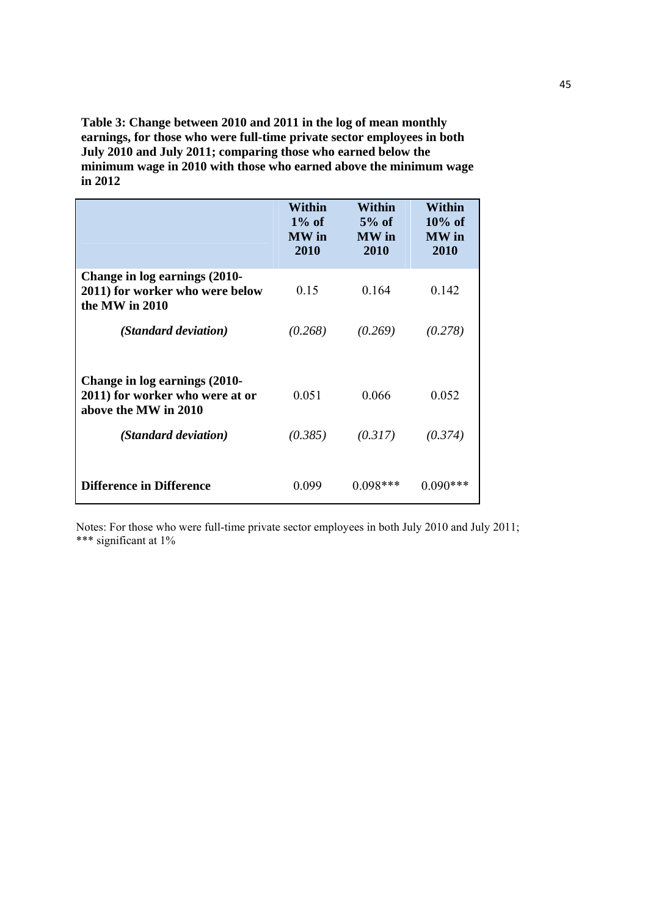**Table 3: Change between 2010 and 2011 in the log of mean monthly earnings, for those who were full-time private sector employees in both July 2010 and July 2011; comparing those who earned below the minimum wage in 2010 with those who earned above the minimum wage in 2012** 

|                                                                                          | Within<br>$1\%$ of<br>MW in<br>2010 | Within<br>$5%$ of<br><b>MW</b> in<br>2010 | Within<br>$10\%$ of<br><b>MW</b> in<br>2010 |
|------------------------------------------------------------------------------------------|-------------------------------------|-------------------------------------------|---------------------------------------------|
| Change in log earnings (2010-<br>2011) for worker who were below<br>the MW in 2010       | 0.15                                | 0 1 6 4                                   | 0.142                                       |
| (Standard deviation)                                                                     | (0.268)                             | (0.269)                                   | (0.278)                                     |
| Change in log earnings (2010-<br>2011) for worker who were at or<br>above the MW in 2010 | 0.051                               | 0.066                                     | 0.052                                       |
| (Standard deviation)                                                                     | (0.385)                             | (0.317)                                   | (0.374)                                     |
| <b>Difference in Difference</b>                                                          | 0.099                               | $(1098**$                                 | 0.090                                       |

Notes: For those who were full-time private sector employees in both July 2010 and July 2011; \*\*\* significant at 1%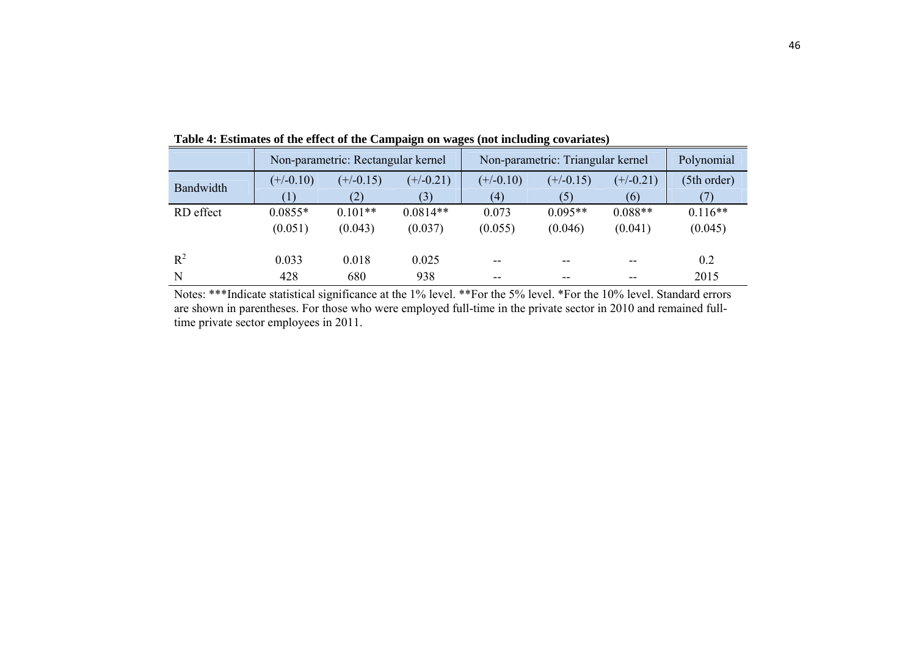|           |             | Non-parametric: Rectangular kernel |             | Non-parametric: Triangular kernel |             | Polynomial  |             |
|-----------|-------------|------------------------------------|-------------|-----------------------------------|-------------|-------------|-------------|
| Bandwidth | $(+/-0.10)$ | $(+/-0.15)$                        | $(+/-0.21)$ | $(+/-0.10)$                       | $(+/-0.15)$ | $(+/-0.21)$ | (5th order) |
|           |             | (2)                                | (3)         | (4)                               | (5)         | (6)         |             |
| RD effect | $0.0855*$   | $0.101**$                          | $0.0814**$  | 0.073                             | $0.095**$   | $0.088**$   | $0.116**$   |
|           | (0.051)     | (0.043)                            | (0.037)     | (0.055)                           | (0.046)     | (0.041)     | (0.045)     |
| $R^2$     | 0.033       | 0.018                              | 0.025       | $- -$                             | --          | --          | 0.2         |
| N         | 428         | 680                                | 938         | --                                | --          |             | 2015        |

**Table 4: Estimates of the effect of the Campaign on wages (not including covariates)** 

Notes: \*\*\*Indicate statistical significance at the 1% level. \*\*For the 5% level. \*For the 10% level. Standard errors are shown in parentheses. For those who were employed full-time in the private sector in 2010 and remained fulltime private sector employees in 2011.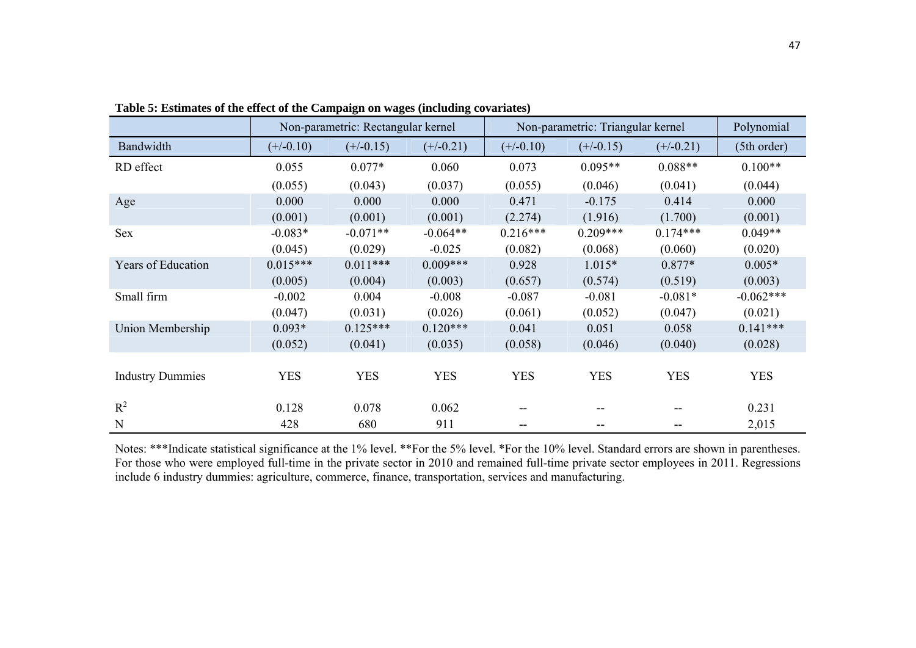|                           |             | Non-parametric: Rectangular kernel |             |             | Non-parametric: Triangular kernel |             | Polynomial  |
|---------------------------|-------------|------------------------------------|-------------|-------------|-----------------------------------|-------------|-------------|
| Bandwidth                 | $(+/-0.10)$ | $(+/-0.15)$                        | $(+/-0.21)$ | $(+/-0.10)$ | $(+/-0.15)$                       | $(+/-0.21)$ | (5th order) |
| RD effect                 | 0.055       | $0.077*$                           | 0.060       | 0.073       | $0.095**$                         | $0.088**$   | $0.100**$   |
|                           | (0.055)     | (0.043)                            | (0.037)     | (0.055)     | (0.046)                           | (0.041)     | (0.044)     |
| Age                       | 0.000       | 0.000                              | 0.000       | 0.471       | $-0.175$                          | 0.414       | 0.000       |
|                           | (0.001)     | (0.001)                            | (0.001)     | (2.274)     | (1.916)                           | (1.700)     | (0.001)     |
| Sex                       | $-0.083*$   | $-0.071**$                         | $-0.064**$  | $0.216***$  | $0.209***$                        | $0.174***$  | $0.049**$   |
|                           | (0.045)     | (0.029)                            | $-0.025$    | (0.082)     | (0.068)                           | (0.060)     | (0.020)     |
| <b>Years of Education</b> | $0.015***$  | $0.011***$                         | $0.009***$  | 0.928       | $1.015*$                          | $0.877*$    | $0.005*$    |
|                           | (0.005)     | (0.004)                            | (0.003)     | (0.657)     | (0.574)                           | (0.519)     | (0.003)     |
| Small firm                | $-0.002$    | 0.004                              | $-0.008$    | $-0.087$    | $-0.081$                          | $-0.081*$   | $-0.062***$ |
|                           | (0.047)     | (0.031)                            | (0.026)     | (0.061)     | (0.052)                           | (0.047)     | (0.021)     |
| Union Membership          | $0.093*$    | $0.125***$                         | $0.120***$  | 0.041       | 0.051                             | 0.058       | $0.141***$  |
|                           | (0.052)     | (0.041)                            | (0.035)     | (0.058)     | (0.046)                           | (0.040)     | (0.028)     |
|                           |             |                                    |             |             |                                   |             |             |
| <b>Industry Dummies</b>   | <b>YES</b>  | <b>YES</b>                         | <b>YES</b>  | <b>YES</b>  | <b>YES</b>                        | <b>YES</b>  | <b>YES</b>  |
|                           |             |                                    |             |             |                                   |             |             |
| $R^2$                     | 0.128       | 0.078                              | 0.062       | --          | --                                |             | 0.231       |
| N                         | 428         | 680                                | 911         | --          | --                                |             | 2,015       |

**Table 5: Estimates of the effect of the Campaign on wages (including covariates)** 

Notes: \*\*\*Indicate statistical significance at the 1% level. \*\*For the 5% level. \*For the 10% level. Standard errors are shown in parentheses. For those who were employed full-time in the private sector in 2010 and remained full-time private sector employees in 2011. Regressions include 6 industry dummies: agriculture, commerce, finance, transportation, services and manufacturing.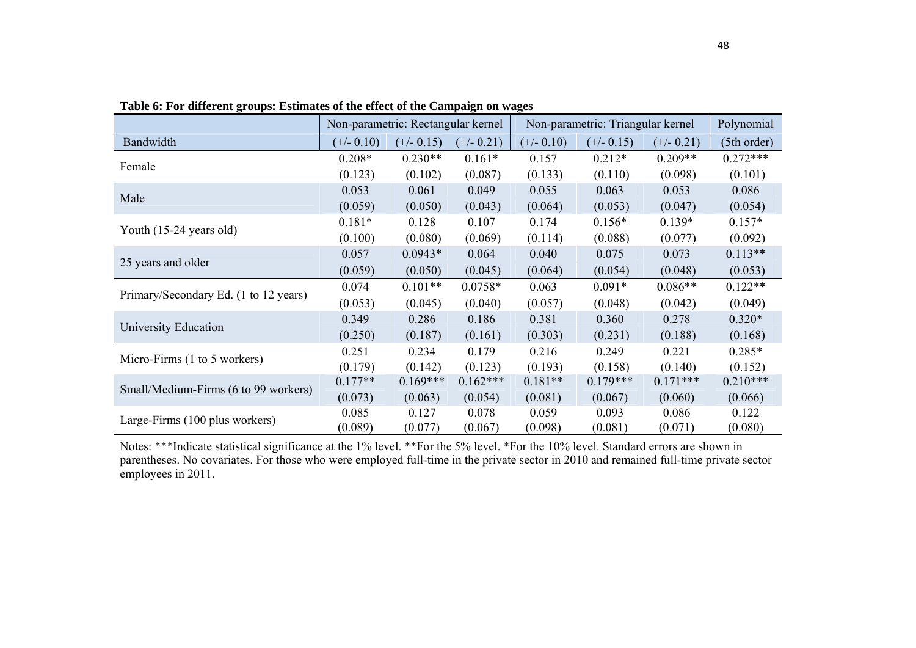|                                       |              | Non-parametric: Rectangular kernel |              |              | Non-parametric: Triangular kernel |              | Polynomial  |
|---------------------------------------|--------------|------------------------------------|--------------|--------------|-----------------------------------|--------------|-------------|
| Bandwidth                             | $(+/- 0.10)$ | $(+/- 0.15)$                       | $(+/- 0.21)$ | $(+/- 0.10)$ | $(+/- 0.15)$                      | $(+/- 0.21)$ | (5th order) |
| Female                                | $0.208*$     | $0.230**$                          | $0.161*$     | 0.157        | $0.212*$                          | $0.209**$    | $0.272***$  |
|                                       | (0.123)      | (0.102)                            | (0.087)      | (0.133)      | (0.110)                           | (0.098)      | (0.101)     |
| Male                                  | 0.053        | 0.061                              | 0.049        | 0.055        | 0.063                             | 0.053        | 0.086       |
|                                       | (0.059)      | (0.050)                            | (0.043)      | (0.064)      | (0.053)                           | (0.047)      | (0.054)     |
| Youth (15-24 years old)               | $0.181*$     | 0.128                              | 0.107        | 0.174        | $0.156*$                          | $0.139*$     | $0.157*$    |
|                                       | (0.100)      | (0.080)                            | (0.069)      | (0.114)      | (0.088)                           | (0.077)      | (0.092)     |
| 25 years and older                    | 0.057        | $0.0943*$                          | 0.064        | 0.040        | 0.075                             | 0.073        | $0.113**$   |
|                                       | (0.059)      | (0.050)                            | (0.045)      | (0.064)      | (0.054)                           | (0.048)      | (0.053)     |
|                                       | 0.074        | $0.101**$                          | $0.0758*$    | 0.063        | $0.091*$                          | $0.086**$    | $0.122**$   |
| Primary/Secondary Ed. (1 to 12 years) | (0.053)      | (0.045)                            | (0.040)      | (0.057)      | (0.048)                           | (0.042)      | (0.049)     |
|                                       | 0.349        | 0.286                              | 0.186        | 0.381        | 0.360                             | 0.278        | $0.320*$    |
| University Education                  | (0.250)      | (0.187)                            | (0.161)      | (0.303)      | (0.231)                           | (0.188)      | (0.168)     |
| Micro-Firms (1 to 5 workers)          | 0.251        | 0.234                              | 0.179        | 0.216        | 0.249                             | 0.221        | $0.285*$    |
|                                       | (0.179)      | (0.142)                            | (0.123)      | (0.193)      | (0.158)                           | (0.140)      | (0.152)     |
| Small/Medium-Firms (6 to 99 workers)  | $0.177**$    | $0.169***$                         | $0.162***$   | $0.181**$    | $0.179***$                        | $0.171***$   | $0.210***$  |
|                                       | (0.073)      | (0.063)                            | (0.054)      | (0.081)      | (0.067)                           | (0.060)      | (0.066)     |
| Large-Firms (100 plus workers)        | 0.085        | 0.127                              | 0.078        | 0.059        | 0.093                             | 0.086        | 0.122       |
|                                       | (0.089)      | (0.077)                            | (0.067)      | (0.098)      | (0.081)                           | (0.071)      | (0.080)     |

**Table 6: For different groups: Estimates of the effect of the Campaign on wages** 

Notes: \*\*\*Indicate statistical significance at the 1% level. \*\*For the 5% level. \*For the 10% level. Standard errors are shown in parentheses. No covariates. For those who were employed full-time in the private sector in 2010 and remained full-time private sector employees in 2011.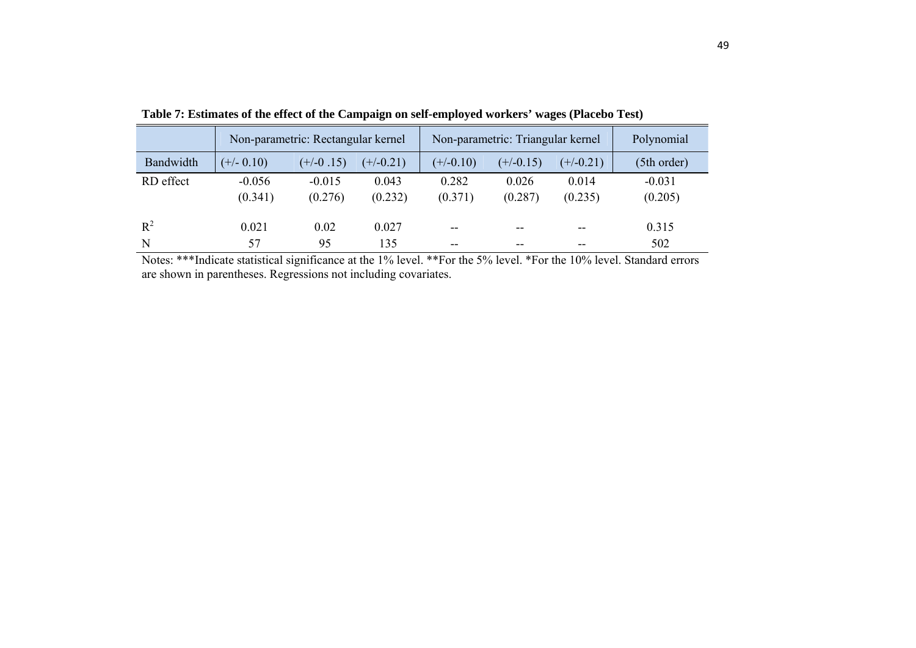|           | Non-parametric: Rectangular kernel |             |             |             | Non-parametric: Triangular kernel | Polynomial  |             |
|-----------|------------------------------------|-------------|-------------|-------------|-----------------------------------|-------------|-------------|
| Bandwidth | $(+/- 0.10)$                       | $(+/-0.15)$ | $(+/-0.21)$ | $(+/-0.10)$ | $(+/-0.15)$                       | $(+/-0.21)$ | (5th order) |
| RD effect | $-0.056$                           | $-0.015$    | 0.043       | 0.282       | 0.026                             | 0.014       | $-0.031$    |
|           | (0.341)                            | (0.276)     | (0.232)     | (0.371)     | (0.287)                           | (0.235)     | (0.205)     |
| $R^2$     | 0.021                              | 0.02        | 0.027       | $- -$       | $- -$                             | $- -$       | 0.315       |
| N         | 57                                 | 95          | 135         | --          | --                                | --          | 502         |

**Table 7: Estimates of the effect of the Campaign on self-employed workers' wages (Placebo Test)** 

Notes: \*\*\*Indicate statistical significance at the 1% level. \*\*For the 5% level. \*For the 10% level. Standard errors are shown in parentheses. Regressions not including covariates.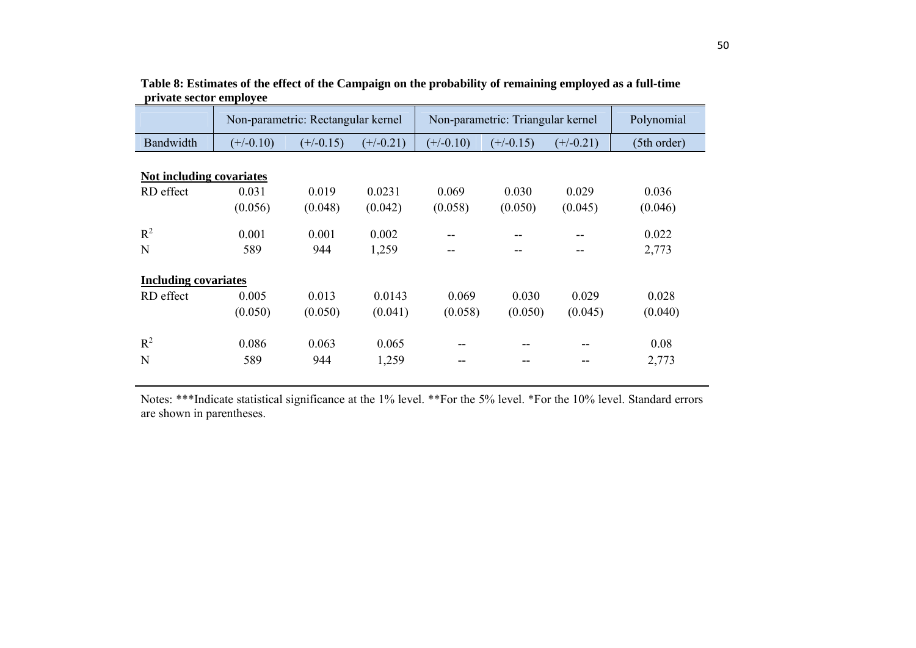|                             | Non-parametric: Rectangular kernel |             |             |             | Non-parametric: Triangular kernel |             | Polynomial  |  |  |  |  |
|-----------------------------|------------------------------------|-------------|-------------|-------------|-----------------------------------|-------------|-------------|--|--|--|--|
| Bandwidth                   | $(+/-0.10)$                        | $(+/-0.15)$ | $(+/-0.21)$ | $(+/-0.10)$ | $(+/-0.15)$                       | $(+/-0.21)$ | (5th order) |  |  |  |  |
|                             |                                    |             |             |             |                                   |             |             |  |  |  |  |
| Not including covariates    |                                    |             |             |             |                                   |             |             |  |  |  |  |
| RD effect                   | 0.031                              | 0.019       | 0.0231      | 0.069       | 0.030                             | 0.029       | 0.036       |  |  |  |  |
|                             | (0.056)                            | (0.048)     | (0.042)     | (0.058)     | (0.050)                           | (0.045)     | (0.046)     |  |  |  |  |
| $R^2$                       | 0.001                              | 0.001       | 0.002       | --          |                                   |             | 0.022       |  |  |  |  |
| N                           | 589                                | 944         | 1,259       | --          | --                                | --          | 2,773       |  |  |  |  |
| <b>Including covariates</b> |                                    |             |             |             |                                   |             |             |  |  |  |  |
| RD effect                   | 0.005                              | 0.013       | 0.0143      | 0.069       | 0.030                             | 0.029       | 0.028       |  |  |  |  |
|                             | (0.050)                            | (0.050)     | (0.041)     | (0.058)     | (0.050)                           | (0.045)     | (0.040)     |  |  |  |  |
| $R^2$                       | 0.086                              | 0.063       | 0.065       | --          | --                                |             | 0.08        |  |  |  |  |
| N                           | 589                                | 944         | 1,259       | --          | --                                |             | 2,773       |  |  |  |  |

|                         | Table 8: Estimates of the effect of the Campaign on the probability of remaining employed as a full-time |  |
|-------------------------|----------------------------------------------------------------------------------------------------------|--|
| private sector employee |                                                                                                          |  |

Notes: \*\*\*Indicate statistical significance at the 1% level. \*\*For the 5% level. \*For the 10% level. Standard errors are shown in parentheses.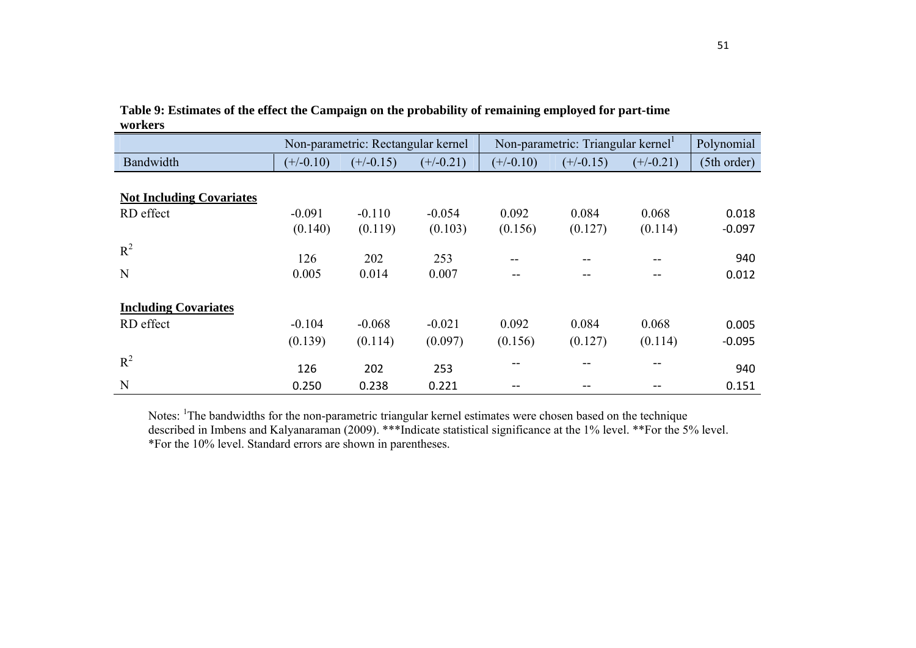|                                              |                     | Non-parametric: Rectangular kernel |                     |                         | Non-parametric: Triangular kernel |                  | Polynomial        |
|----------------------------------------------|---------------------|------------------------------------|---------------------|-------------------------|-----------------------------------|------------------|-------------------|
| Bandwidth                                    | $(+/-0.10)$         | $(+/-0.15)$                        | $(+/-0.21)$         | $(+/-0.10)$             | $(+/-0.15)$                       | $(+/-0.21)$      | (5th order)       |
| <b>Not Including Covariates</b><br>RD effect | $-0.091$<br>(0.140) | $-0.110$<br>(0.119)                | $-0.054$<br>(0.103) | 0.092<br>(0.156)        | 0.084<br>(0.127)                  | 0.068<br>(0.114) | 0.018<br>$-0.097$ |
| $R^2$<br>N                                   | 126<br>0.005        | 202<br>0.014                       | 253<br>0.007        | --<br>$\qquad \qquad -$ | --<br>--                          | --<br>--         | 940<br>0.012      |
| <b>Including Covariates</b><br>RD effect     | $-0.104$<br>(0.139) | $-0.068$<br>(0.114)                | $-0.021$<br>(0.097) | 0.092<br>(0.156)        | 0.084<br>(0.127)                  | 0.068<br>(0.114) | 0.005<br>$-0.095$ |
| $R^2$<br>N                                   | 126                 | 202                                | 253                 | $- -$                   | --                                | $- -$            | 940               |
|                                              | 0.250               | 0.238                              | 0.221               | --                      |                                   |                  | 0.151             |

**Table 9: Estimates of the effect the Campaign on the probability of remaining employed for part-time workers** 

Notes: <sup>1</sup>The bandwidths for the non-parametric triangular kernel estimates were chosen based on the technique described in Imbens and Kalyanaraman (2009). \*\*\*Indicate statistical significance at the 1% level. \*\*For the 5% level. \*For the 10% level. Standard errors are shown in parentheses.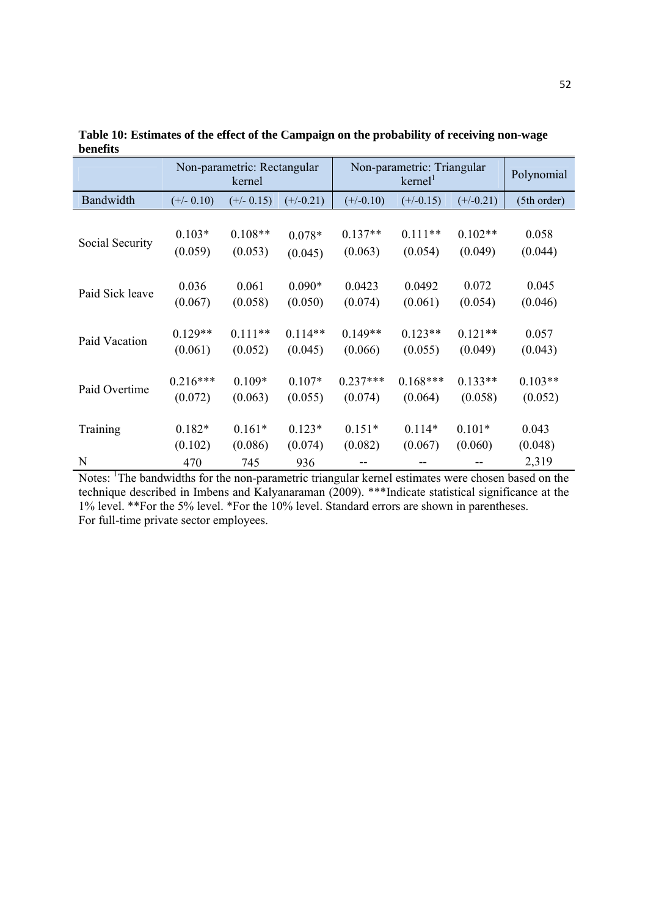|                 |              | Non-parametric: Rectangular<br>kernel |             |             | Non-parametric: Triangular<br>$k$ ernel <sup>1</sup> |             | Polynomial  |
|-----------------|--------------|---------------------------------------|-------------|-------------|------------------------------------------------------|-------------|-------------|
| Bandwidth       | $(+/- 0.10)$ | $(+/- 0.15)$                          | $(+/-0.21)$ | $(+/-0.10)$ | $(+/-0.15)$                                          | $(+/-0.21)$ | (5th order) |
| Social Security | $0.103*$     | $0.108**$                             | $0.078*$    | $0.137**$   | $0.111**$                                            | $0.102**$   | 0.058       |
|                 | (0.059)      | (0.053)                               | (0.045)     | (0.063)     | (0.054)                                              | (0.049)     | (0.044)     |
| Paid Sick leave | 0.036        | 0.061                                 | $0.090*$    | 0.0423      | 0.0492                                               | 0.072       | 0.045       |
|                 | (0.067)      | (0.058)                               | (0.050)     | (0.074)     | (0.061)                                              | (0.054)     | (0.046)     |
| Paid Vacation   | $0.129**$    | $0.111**$                             | $0.114**$   | $0.149**$   | $0.123**$                                            | $0.121**$   | 0.057       |
|                 | (0.061)      | (0.052)                               | (0.045)     | (0.066)     | (0.055)                                              | (0.049)     | (0.043)     |
| Paid Overtime   | $0.216***$   | $0.109*$                              | $0.107*$    | $0.237***$  | $0.168***$                                           | $0.133**$   | $0.103**$   |
|                 | (0.072)      | (0.063)                               | (0.055)     | (0.074)     | (0.064)                                              | (0.058)     | (0.052)     |
| Training        | $0.182*$     | $0.161*$                              | $0.123*$    | $0.151*$    | $0.114*$                                             | $0.101*$    | 0.043       |
|                 | (0.102)      | (0.086)                               | (0.074)     | (0.082)     | (0.067)                                              | (0.060)     | (0.048)     |
| N               | 470          | 745                                   | 936         |             |                                                      |             | 2,319       |

**Table 10: Estimates of the effect of the Campaign on the probability of receiving non-wage benefits** 

Notes: <sup>1</sup>The bandwidths for the non-parametric triangular kernel estimates were chosen based on the technique described in Imbens and Kalyanaraman (2009). \*\*\*Indicate statistical significance at the 1% level. \*\*For the 5% level. \*For the 10% level. Standard errors are shown in parentheses. For full-time private sector employees.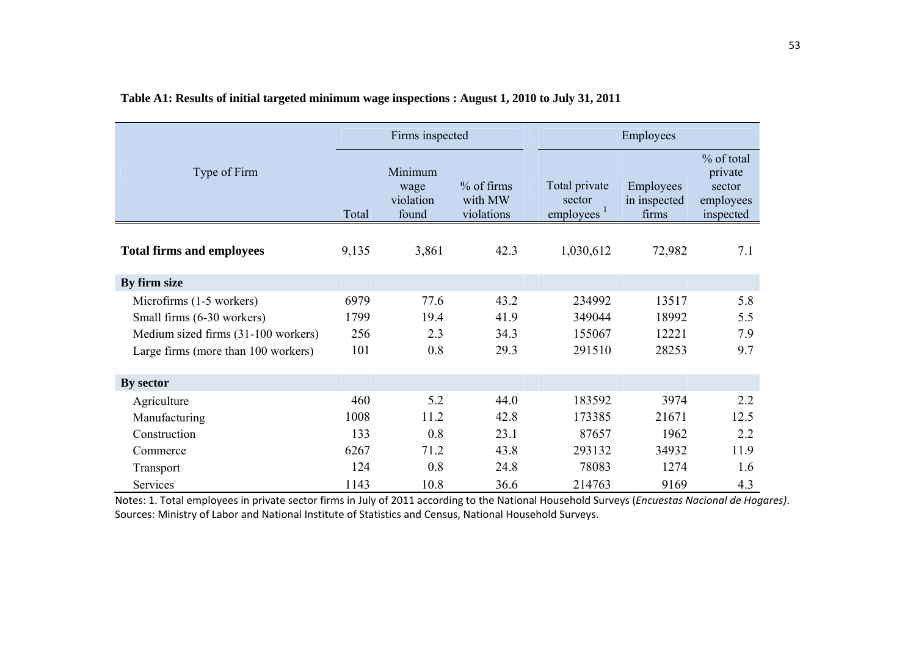|                                     |       | Firms inspected                       |                                     |                                                   | Employees                          |                                                           |
|-------------------------------------|-------|---------------------------------------|-------------------------------------|---------------------------------------------------|------------------------------------|-----------------------------------------------------------|
| Type of Firm                        | Total | Minimum<br>wage<br>violation<br>found | % of firms<br>with MW<br>violations | Total private<br>sector<br>employees <sup>1</sup> | Employees<br>in inspected<br>firms | % of total<br>private<br>sector<br>employees<br>inspected |
| <b>Total firms and employees</b>    | 9,135 | 3,861                                 | 42.3                                | 1,030,612                                         | 72,982                             | 7.1                                                       |
| By firm size                        |       |                                       |                                     |                                                   |                                    |                                                           |
| Microfirms (1-5 workers)            | 6979  | 77.6                                  | 43.2                                | 234992                                            | 13517                              | 5.8                                                       |
| Small firms (6-30 workers)          | 1799  | 19.4                                  | 41.9                                | 349044                                            | 18992                              | 5.5                                                       |
| Medium sized firms (31-100 workers) | 256   | 2.3                                   | 34.3                                | 155067                                            | 12221                              | 7.9                                                       |
| Large firms (more than 100 workers) | 101   | 0.8                                   | 29.3                                | 291510                                            | 28253                              | 9.7                                                       |
| By sector                           |       |                                       |                                     |                                                   |                                    |                                                           |
| Agriculture                         | 460   | 5.2                                   | 44.0                                | 183592                                            | 3974                               | 2.2                                                       |
| Manufacturing                       | 1008  | 11.2                                  | 42.8                                | 173385                                            | 21671                              | 12.5                                                      |
| Construction                        | 133   | 0.8                                   | 23.1                                | 87657                                             | 1962                               | 2.2                                                       |
| Commerce                            | 6267  | 71.2                                  | 43.8                                | 293132                                            | 34932                              | 11.9                                                      |
| Transport                           | 124   | 0.8                                   | 24.8                                | 78083                                             | 1274                               | 1.6                                                       |
| Services                            | 1143  | 10.8                                  | 36.6                                | 214763                                            | 9169                               | 4.3                                                       |

### **Table A1: Results of initial targeted minimum wage inspections : August 1, 2010 to July 31, 2011**

Notes: 1. Total employees in private sector firms in July of 2011 according to the National Household Surveys (*Encuestas Nacional de Hogares)*. Sources: Ministry of Labor and National Institute of Statistics and Census, National Household Surveys.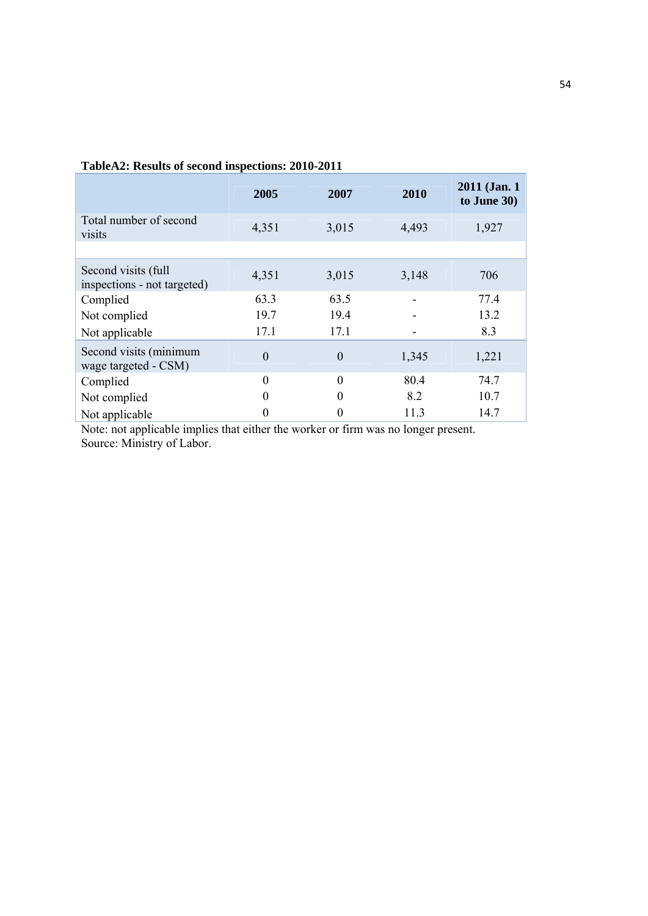|                                                    | 2005     | 2007     | 2010  | 2011 (Jan. 1)<br>to June 30) |
|----------------------------------------------------|----------|----------|-------|------------------------------|
| Total number of second<br>visits                   | 4,351    | 3,015    | 4,493 | 1,927                        |
|                                                    |          |          |       |                              |
| Second visits (full<br>inspections - not targeted) | 4,351    | 3,015    | 3,148 | 706                          |
| Complied                                           | 63.3     | 63.5     |       | 77.4                         |
| Not complied                                       | 19.7     | 19.4     |       | 13.2                         |
| Not applicable                                     | 17.1     | 17.1     |       | 8.3                          |
| Second visits (minimum<br>wage targeted - CSM)     | $\theta$ | $\theta$ | 1,345 | 1,221                        |
| Complied                                           | $\Omega$ | $\Omega$ | 80.4  | 74.7                         |
| Not complied                                       |          | 0        | 8.2   | 10.7                         |
| Not applicable                                     |          |          | 11.3  | 14.7                         |

**TableA2: Results of second inspections: 2010-2011** 

Note: not applicable implies that either the worker or firm was no longer present. Source: Ministry of Labor.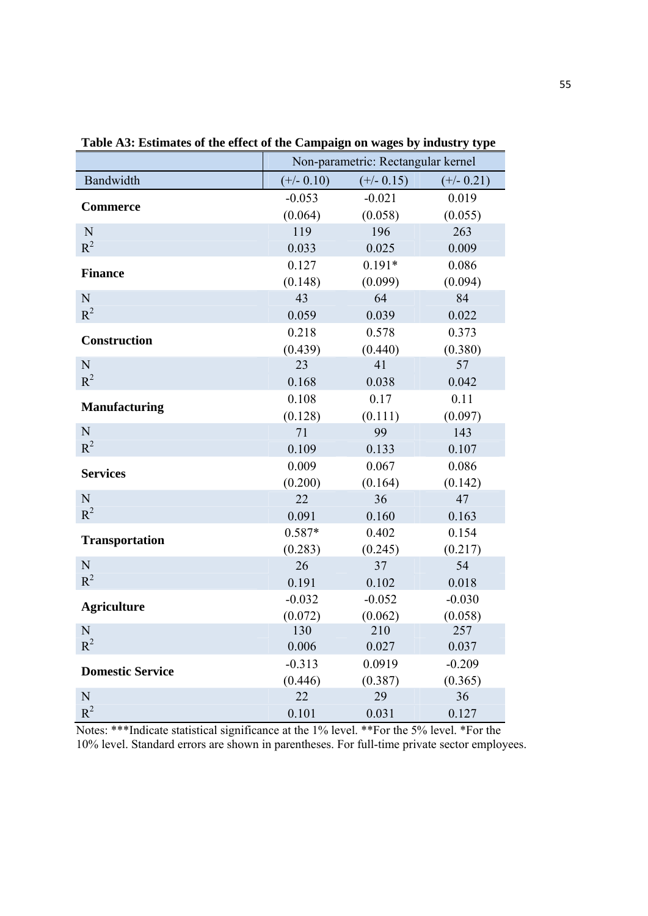|                         | Non-parametric: Rectangular kernel |                |              |  |
|-------------------------|------------------------------------|----------------|--------------|--|
| Bandwidth               | $(+/- 0.10)$                       | $(+/- 0.15)$   | $(+/- 0.21)$ |  |
| <b>Commerce</b>         | $-0.053$                           | $-0.021$       | 0.019        |  |
|                         | (0.064)                            | (0.058)        | (0.055)      |  |
| $\mathbf N$             | 119                                | 196            | 263          |  |
| $R^2$                   | 0.033                              | 0.025          | 0.009        |  |
| <b>Finance</b>          | 0.127                              | $0.191*$       | 0.086        |  |
|                         | (0.148)                            | (0.099)        | (0.094)      |  |
| N                       | 43                                 | 64             | 84           |  |
| $R^2$                   | 0.059                              | 0.039          | 0.022        |  |
| <b>Construction</b>     | 0.218                              | 0.578          | 0.373        |  |
|                         | (0.439)                            | (0.440)        | (0.380)      |  |
| N                       | 23                                 | 41             | 57           |  |
| $R^2$                   | 0.168                              | 0.038          | 0.042        |  |
| <b>Manufacturing</b>    | 0.108                              | 0.17           | 0.11         |  |
|                         | (0.128)                            | (0.111)        | (0.097)      |  |
| N                       | 71                                 | 99             | 143          |  |
| $R^2$                   | 0.109                              | 0.133          | 0.107        |  |
| <b>Services</b>         | 0.009                              | 0.067          | 0.086        |  |
|                         | (0.200)                            | (0.164)        | (0.142)      |  |
| N                       | 22                                 | 36             | 47           |  |
| $R^2$                   | 0.091                              | 0.160          | 0.163        |  |
| <b>Transportation</b>   | 0.587*                             | 0.402          | 0.154        |  |
|                         | (0.283)                            | (0.245)        | (0.217)      |  |
| N                       | 26                                 | 37             | 54           |  |
| $R^2$                   | 0.191                              | 0.102          | 0.018        |  |
| <b>Agriculture</b>      | $-0.032$                           | $-0.052$       | $-0.030$     |  |
|                         | (0.072)                            | (0.062)<br>210 | (0.058)      |  |
| N<br>$R^2$              | 130<br>0.006                       | 0.027          | 257<br>0.037 |  |
|                         | $-0.313$                           | 0.0919         | $-0.209$     |  |
| <b>Domestic Service</b> | (0.446)                            | (0.387)        | (0.365)      |  |
| ${\bf N}$               | 22                                 | 29             | 36           |  |
| $R^2$                   | 0.101                              | 0.031          | 0.127        |  |

**Table A3: Estimates of the effect of the Campaign on wages by industry type** 

Notes: \*\*\*Indicate statistical significance at the 1% level. \*\*For the 5% level. \*For the 10% level. Standard errors are shown in parentheses. For full-time private sector employees.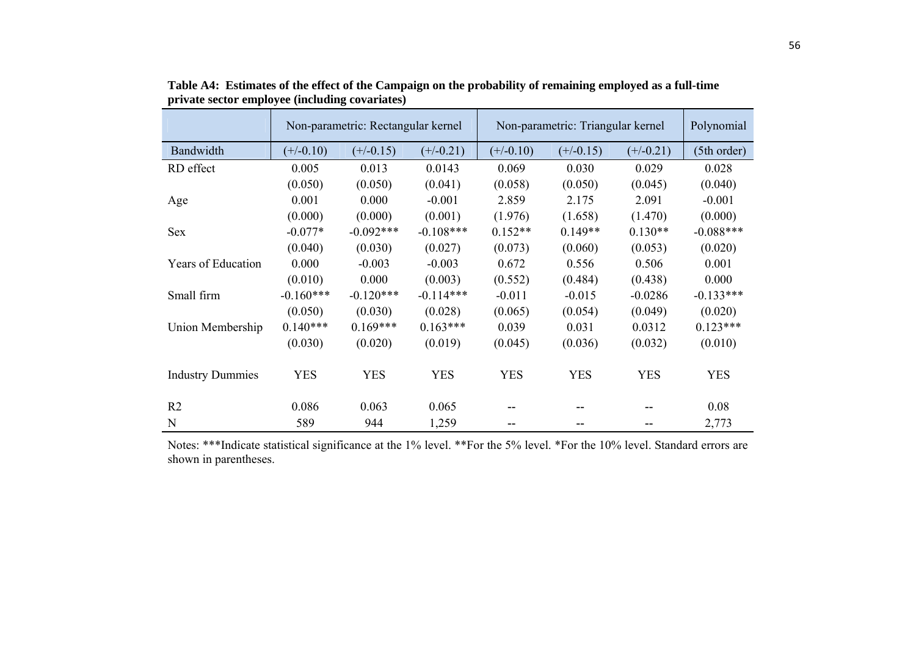|                           |             | Non-parametric: Rectangular kernel |             |             | Non-parametric: Triangular kernel |             | Polynomial  |
|---------------------------|-------------|------------------------------------|-------------|-------------|-----------------------------------|-------------|-------------|
| Bandwidth                 | $(+/-0.10)$ | $(+/-0.15)$                        | $(+/-0.21)$ | $(+/-0.10)$ | $(+/-0.15)$                       | $(+/-0.21)$ | (5th order) |
| RD effect                 | 0.005       | 0.013                              | 0.0143      | 0.069       | 0.030                             | 0.029       | 0.028       |
|                           | (0.050)     | (0.050)                            | (0.041)     | (0.058)     | (0.050)                           | (0.045)     | (0.040)     |
| Age                       | 0.001       | 0.000                              | $-0.001$    | 2.859       | 2.175                             | 2.091       | $-0.001$    |
|                           | (0.000)     | (0.000)                            | (0.001)     | (1.976)     | (1.658)                           | (1.470)     | (0.000)     |
| <b>Sex</b>                | $-0.077*$   | $-0.092***$                        | $-0.108***$ | $0.152**$   | $0.149**$                         | $0.130**$   | $-0.088***$ |
|                           | (0.040)     | (0.030)                            | (0.027)     | (0.073)     | (0.060)                           | (0.053)     | (0.020)     |
| <b>Years of Education</b> | 0.000       | $-0.003$                           | $-0.003$    | 0.672       | 0.556                             | 0.506       | 0.001       |
|                           | (0.010)     | 0.000                              | (0.003)     | (0.552)     | (0.484)                           | (0.438)     | 0.000       |
| Small firm                | $-0.160***$ | $-0.120***$                        | $-0.114***$ | $-0.011$    | $-0.015$                          | $-0.0286$   | $-0.133***$ |
|                           | (0.050)     | (0.030)                            | (0.028)     | (0.065)     | (0.054)                           | (0.049)     | (0.020)     |
| Union Membership          | $0.140***$  | $0.169***$                         | $0.163***$  | 0.039       | 0.031                             | 0.0312      | $0.123***$  |
|                           | (0.030)     | (0.020)                            | (0.019)     | (0.045)     | (0.036)                           | (0.032)     | (0.010)     |
| <b>Industry Dummies</b>   | <b>YES</b>  | <b>YES</b>                         | <b>YES</b>  | <b>YES</b>  | <b>YES</b>                        | <b>YES</b>  | <b>YES</b>  |
| R <sub>2</sub>            | 0.086       | 0.063                              | 0.065       | --          |                                   |             | 0.08        |
| N                         | 589         | 944                                | 1,259       | --          |                                   |             | 2,773       |

**Table A4: Estimates of the effect of the Campaign on the probability of remaining employed as a full-time private sector employee (including covariates)**

Notes: \*\*\*Indicate statistical significance at the 1% level. \*\*For the 5% level. \*For the 10% level. Standard errors are shown in parentheses.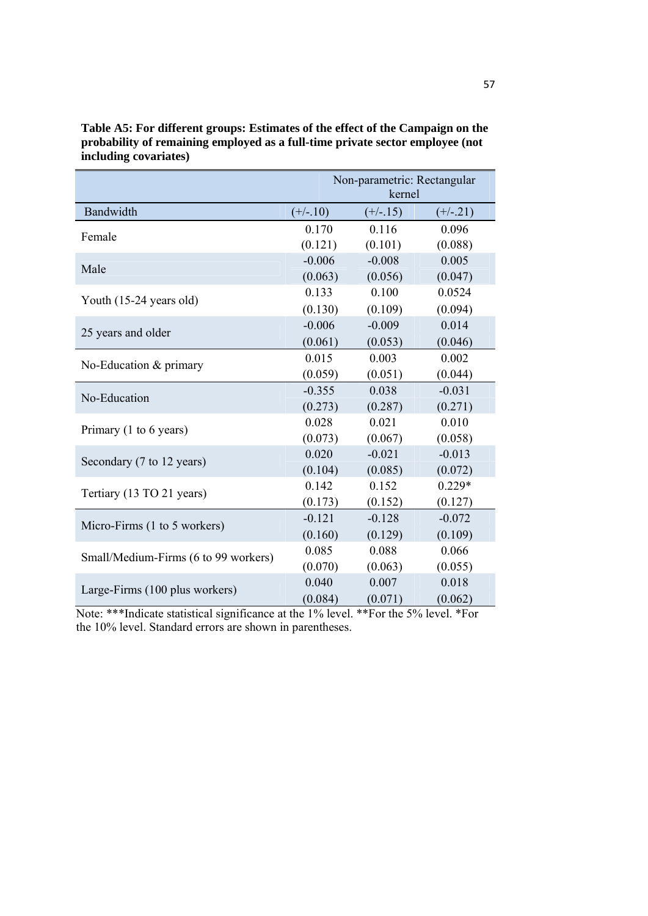|                                           | Non-parametric: Rectangular<br>kernel |            |            |  |
|-------------------------------------------|---------------------------------------|------------|------------|--|
| Bandwidth                                 | $(+/-.10)$                            | $(+/-.15)$ | $(+/-.21)$ |  |
| Female                                    | 0.170                                 | 0.116      | 0.096      |  |
|                                           | (0.121)                               | (0.101)    | (0.088)    |  |
| Male                                      | $-0.006$                              | $-0.008$   | 0.005      |  |
|                                           | (0.063)                               | (0.056)    | (0.047)    |  |
| Youth (15-24 years old)                   | 0.133                                 | 0.100      | 0.0524     |  |
|                                           | (0.130)                               | (0.109)    | (0.094)    |  |
| 25 years and older                        | $-0.006$                              | $-0.009$   | 0.014      |  |
|                                           | (0.061)                               | (0.053)    | (0.046)    |  |
| No-Education & primary                    | 0.015                                 | 0.003      | 0.002      |  |
|                                           | (0.059)                               | (0.051)    | (0.044)    |  |
| No-Education                              | $-0.355$                              | 0.038      | $-0.031$   |  |
|                                           | (0.273)                               | (0.287)    | (0.271)    |  |
| Primary $(1 \text{ to } 6 \text{ years})$ | 0.028                                 | 0.021      | 0.010      |  |
|                                           | (0.073)                               | (0.067)    | (0.058)    |  |
| Secondary (7 to 12 years)                 | 0.020                                 | $-0.021$   | $-0.013$   |  |
|                                           | (0.104)                               | (0.085)    | (0.072)    |  |
| Tertiary (13 TO 21 years)                 | 0.142                                 | 0.152      | $0.229*$   |  |
|                                           | (0.173)                               | (0.152)    | (0.127)    |  |
| Micro-Firms (1 to 5 workers)              | $-0.121$                              | $-0.128$   | $-0.072$   |  |
|                                           | (0.160)                               | (0.129)    | (0.109)    |  |
| Small/Medium-Firms (6 to 99 workers)      | 0.085                                 | 0.088      | 0.066      |  |
|                                           | (0.070)                               | (0.063)    | (0.055)    |  |
| Large-Firms (100 plus workers)            | 0.040                                 | 0.007      | 0.018      |  |
|                                           | (0.084)                               | (0.071)    | (0.062)    |  |

**Table A5: For different groups: Estimates of the effect of the Campaign on the**  probability of remaining employed as a full-time private sector employee (not **including covariates)**

Note: \*\*\*Indicate statistical significance at the 1% level. \*\*For the 5% level. \*For the 10% level. Standard errors are shown in parentheses.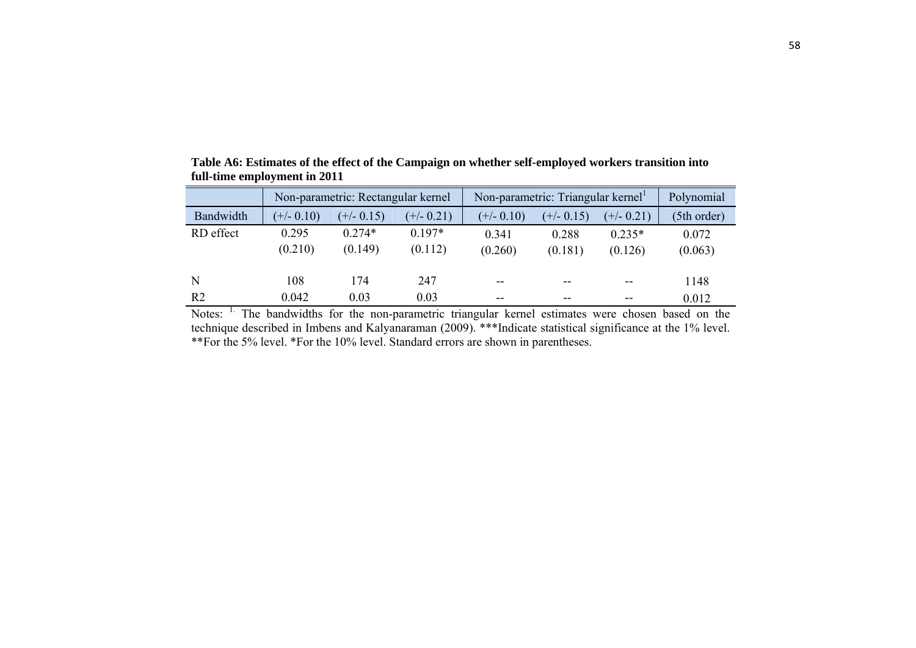|                | Non-parametric: Rectangular kernel |              |              | Non-parametric: Triangular kernel |              |              | Polynomial  |
|----------------|------------------------------------|--------------|--------------|-----------------------------------|--------------|--------------|-------------|
| Bandwidth      | $(+/- 0.10)$                       | $(+/- 0.15)$ | $(+/- 0.21)$ | $(+/- 0.10)$                      | $(+/- 0.15)$ | $(+/- 0.21)$ | (5th order) |
| RD effect      | 0.295                              | $0.274*$     | $0.197*$     | 0.341                             | 0.288        | $0.235*$     | 0.072       |
|                | (0.210)                            | (0.149)      | (0.112)      | (0.260)                           | (0.181)      | (0.126)      | (0.063)     |
| N              | 108                                | 174          | 247          | $- -$                             | $- -$        | $- -$        | 1148        |
| R <sub>2</sub> | 0.042                              | 0.03         | 0.03         |                                   | $- -$        | --           | 0.012       |

**Table A6: Estimates of the effect of the Campaign on whether self-employed workers transition into full-time employment in 2011** 

Notes: <sup>1.</sup> The bandwidths for the non-parametric triangular kernel estimates were chosen based on the technique described in Imbens and Kalyanaraman (2009). \*\*\*Indicate statistical significance at the 1% level. \*\*For the 5% level. \*For the 10% level. Standard errors are shown in parentheses.